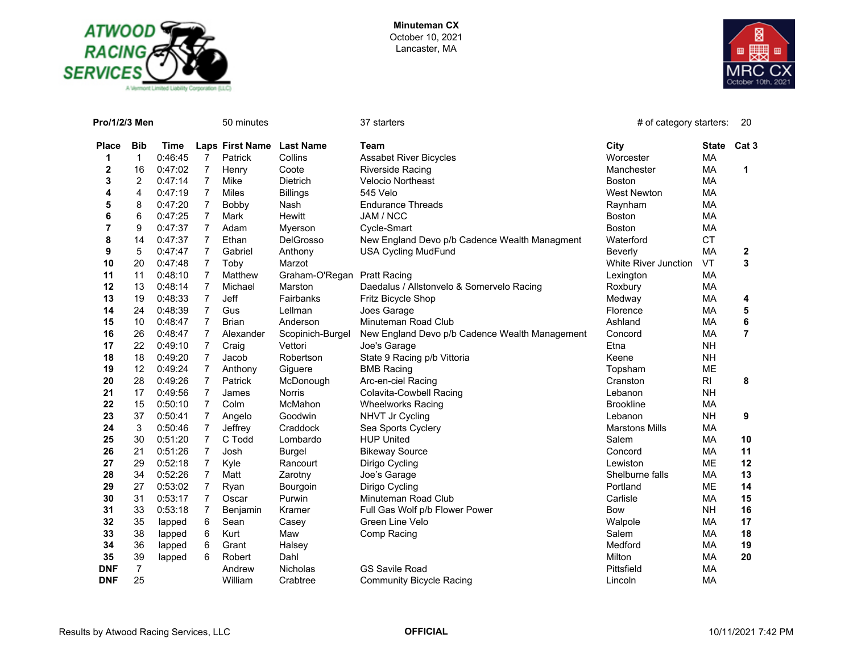



| Pro/1/2/3 Men  |                |         |                | 50 minutes                |                  | 37 starters                                    | # of category starters:     |           | 20               |
|----------------|----------------|---------|----------------|---------------------------|------------------|------------------------------------------------|-----------------------------|-----------|------------------|
| <b>Place</b>   | <b>Bib</b>     | Time    |                | Laps First Name Last Name |                  | Team                                           | City                        | State     | Cat <sub>3</sub> |
| 1              | $\mathbf{1}$   | 0:46:45 | $\overline{7}$ | Patrick                   | Collins          | <b>Assabet River Bicycles</b>                  | Worcester                   | MA        |                  |
| 2              | 16             | 0:47:02 | $\overline{7}$ | Henry                     | Coote            | <b>Riverside Racing</b>                        | Manchester                  | МA        | $\mathbf 1$      |
| 3              | 2              | 0:47:14 | $\overline{7}$ | Mike                      | <b>Dietrich</b>  | <b>Velocio Northeast</b>                       | <b>Boston</b>               | MA        |                  |
| 4              | 4              | 0:47:19 | $\overline{7}$ | Miles                     | <b>Billings</b>  | 545 Velo                                       | <b>West Newton</b>          | MA        |                  |
| 5              | 8              | 0:47:20 | 7              | Bobby                     | Nash             | <b>Endurance Threads</b>                       | Raynham                     | МA        |                  |
| 6              | 6              | 0:47:25 | $\overline{7}$ | Mark                      | Hewitt           | JAM / NCC                                      | Boston                      | MA        |                  |
| $\overline{7}$ | 9              | 0:47:37 | $\overline{7}$ | Adam                      | Myerson          | Cycle-Smart                                    | Boston                      | MA        |                  |
| 8              | 14             | 0:47:37 | $\overline{7}$ | Ethan                     | <b>DelGrosso</b> | New England Devo p/b Cadence Wealth Managment  | Waterford                   | <b>CT</b> |                  |
| 9              | 5              | 0:47:47 | $\overline{7}$ | Gabriel                   | Anthony          | <b>USA Cycling MudFund</b>                     | Beverly                     | MA        | 2                |
| 10             | 20             | 0:47:48 | $\overline{7}$ | Toby                      | Marzot           |                                                | <b>White River Junction</b> | <b>VT</b> | 3                |
| 11             | 11             | 0:48:10 | $\overline{7}$ | Matthew                   | Graham-O'Regan   | <b>Pratt Racing</b>                            | Lexington                   | МA        |                  |
| 12             | 13             | 0:48:14 | $\overline{7}$ | Michael                   | Marston          | Daedalus / Allstonvelo & Somervelo Racing      | Roxbury                     | МA        |                  |
| 13             | 19             | 0:48:33 | $\overline{7}$ | Jeff                      | Fairbanks        | Fritz Bicycle Shop                             | Medway                      | MA        | 4                |
| 14             | 24             | 0:48:39 | $\overline{7}$ | Gus                       | Lellman          | Joes Garage                                    | Florence                    | <b>MA</b> | 5                |
| 15             | 10             | 0:48:47 | $\overline{7}$ | <b>Brian</b>              | Anderson         | Minuteman Road Club                            | Ashland                     | MA        | 6                |
| 16             | 26             | 0:48:47 | $\overline{7}$ | Alexander                 | Scopinich-Burgel | New England Devo p/b Cadence Wealth Management | Concord                     | МA        | $\overline{7}$   |
| 17             | 22             | 0:49:10 | $\overline{7}$ | Craig                     | Vettori          | Joe's Garage                                   | Etna                        | <b>NH</b> |                  |
| 18             | 18             | 0:49:20 | $\overline{7}$ | Jacob                     | Robertson        | State 9 Racing p/b Vittoria                    | Keene                       | <b>NH</b> |                  |
| 19             | 12             | 0:49:24 | $\overline{7}$ | Anthony                   | Giguere          | <b>BMB Racing</b>                              | Topsham                     | ME        |                  |
| 20             | 28             | 0:49:26 | $\overline{7}$ | Patrick                   | McDonough        | Arc-en-ciel Racing                             | Cranston                    | RI        | 8                |
| 21             | 17             | 0:49:56 | $\overline{7}$ | James                     | <b>Norris</b>    | Colavita-Cowbell Racing                        | Lebanon                     | <b>NH</b> |                  |
| 22             | 15             | 0:50:10 | $\overline{7}$ | Colm                      | McMahon          | <b>Wheelworks Racing</b>                       | <b>Brookline</b>            | MA        |                  |
| 23             | 37             | 0:50:41 | $\overline{7}$ | Angelo                    | Goodwin          | NHVT Jr Cycling                                | Lebanon                     | <b>NH</b> | 9                |
| 24             | 3              | 0:50:46 | $\overline{7}$ | Jeffrey                   | Craddock         | Sea Sports Cyclery                             | <b>Marstons Mills</b>       | MA        |                  |
| 25             | 30             | 0:51:20 | $\overline{7}$ | C Todd                    | Lombardo         | <b>HUP United</b>                              | Salem                       | МA        | 10               |
| 26             | 21             | 0:51:26 | $\overline{7}$ | Josh                      | <b>Burgel</b>    | <b>Bikeway Source</b>                          | Concord                     | MA        | 11               |
| 27             | 29             | 0:52:18 | $\overline{7}$ | Kyle                      | Rancourt         | Dirigo Cycling                                 | Lewiston                    | <b>ME</b> | 12               |
| 28             | 34             | 0:52:26 | $\overline{7}$ | Matt                      | Zarotny          | Joe's Garage                                   | Shelburne falls             | MA        | 13               |
| 29             | 27             | 0:53:02 | $\overline{7}$ | Ryan                      | Bourgoin         | Dirigo Cycling                                 | Portland                    | <b>ME</b> | 14               |
| 30             | 31             | 0:53:17 | $\overline{7}$ | Oscar                     | Purwin           | Minuteman Road Club                            | Carlisle                    | МA        | 15               |
| 31             | 33             | 0:53:18 | $\overline{7}$ | Benjamin                  | Kramer           | Full Gas Wolf p/b Flower Power                 | Bow                         | <b>NH</b> | 16               |
| 32             | 35             | lapped  | 6              | Sean                      | Casey            | Green Line Velo                                | Walpole                     | MA        | 17               |
| 33             | 38             | lapped  | 6              | Kurt                      | Maw              | Comp Racing                                    | Salem                       | MA        | 18               |
| 34             | 36             | lapped  | 6              | Grant                     | Halsey           |                                                | Medford                     | MA        | 19               |
| 35             | 39             | lapped  | 6              | Robert                    | Dahl             |                                                | Milton                      | MA        | 20               |
| <b>DNF</b>     | $\overline{7}$ |         |                | Andrew                    | <b>Nicholas</b>  | <b>GS Savile Road</b>                          | Pittsfield                  | MA        |                  |
| <b>DNF</b>     | 25             |         |                | William                   | Crabtree         | <b>Community Bicycle Racing</b>                | Lincoln                     | MA        |                  |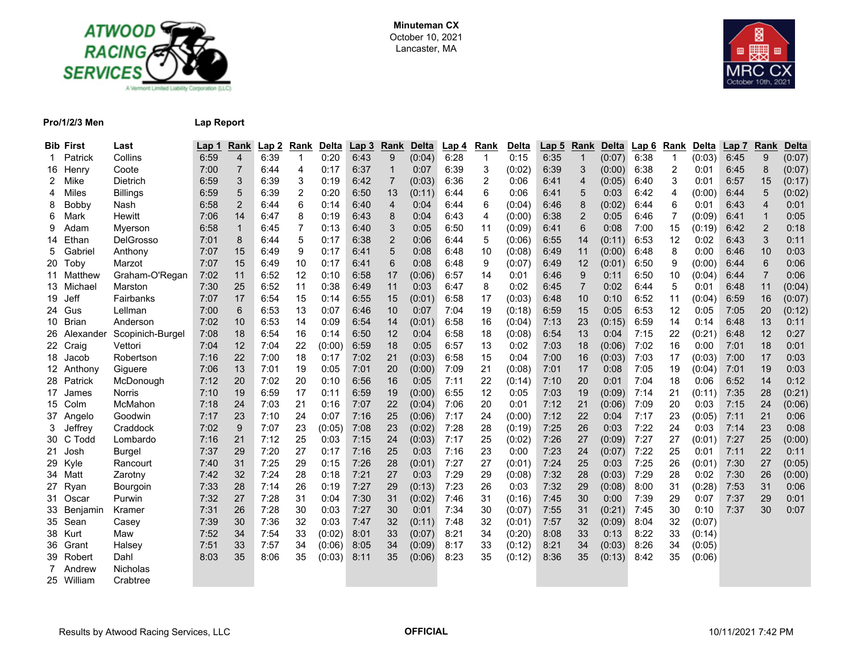



## **Pro/1/2/3 Men Lap Report**

|     | <b>Bib First</b> | Last             | Lap 1 | Rank           | Lap <sub>2</sub> | Rank | Delta  | Lap <sub>3</sub> | Rank           | <b>Delta</b> | Lap 4 | Rank        | Delta  | Lap 5 | Rank           | <b>Delta</b> | <b>Lap 6</b> | Rank | Delta  | Lap 7 | Rank           | <b>Delta</b> |
|-----|------------------|------------------|-------|----------------|------------------|------|--------|------------------|----------------|--------------|-------|-------------|--------|-------|----------------|--------------|--------------|------|--------|-------|----------------|--------------|
|     | Patrick          | Collins          | 6:59  | 4              | 6:39             | 1    | 0:20   | 6:43             | 9              | (0.04)       | 6:28  | $\mathbf 1$ | 0:15   | 6:35  | -1             | (0:07)       | 6:38         | 1    | (0.03) | 6:45  | 9              | (0:07)       |
| 16  | Henry            | Coote            | 7:00  | $\overline{7}$ | 6:44             | 4    | 0:17   | 6:37             | 1              | 0:07         | 6:39  | 3           | (0.02) | 6:39  | 3              | (0:00)       | 6:38         | 2    | 0:01   | 6:45  | 8              | (0:07)       |
|     | Mike             | Dietrich         | 6:59  | 3              | 6:39             | 3    | 0:19   | 6:42             | $\overline{7}$ | (0:03)       | 6:36  | 2           | 0:06   | 6:41  | $\overline{4}$ | (0:05)       | 6:40         | 3    | 0:01   | 6:57  | 15             | (0:17)       |
| 4   | Miles            | <b>Billings</b>  | 6:59  | 5              | 6:39             | 2    | 0:20   | 6:50             | 13             | (0:11)       | 6:44  | 6           | 0:06   | 6:41  | 5              | 0:03         | 6:42         | 4    | (0:00) | 6:44  | 5              | (0:02)       |
| 8   | Bobby            | Nash             | 6:58  | $\overline{2}$ | 6:44             | 6    | 0:14   | 6:40             | 4              | 0:04         | 6:44  | 6           | (0:04) | 6:46  | 8              | (0:02)       | 6:44         | 6    | 0:01   | 6:43  | $\overline{4}$ | 0:01         |
| 6   | Mark             | Hewitt           | 7:06  | 14             | 6:47             | 8    | 0:19   | 6:43             | 8              | 0:04         | 6:43  | 4           | (0:00) | 6:38  | $\overline{2}$ | 0:05         | 6:46         | 7    | (0:09) | 6:41  | $\mathbf 1$    | 0:05         |
| 9   | Adam             | Myerson          | 6:58  | $\mathbf{1}$   | 6:45             | 7    | 0:13   | 6:40             | 3              | 0:05         | 6:50  | 11          | (0:09) | 6:41  | 6              | 0:08         | 7:00         | 15   | (0:19) | 6:42  | $\overline{2}$ | 0:18         |
| 14  | Ethan            | <b>DelGrosso</b> | 7:01  | 8              | 6:44             | 5    | 0:17   | 6:38             | $\overline{2}$ | 0:06         | 6:44  | 5           | (0:06) | 6:55  | 14             | (0:11)       | 6:53         | 12   | 0:02   | 6:43  | 3              | 0:11         |
| 5   | Gabriel          | Anthony          | 7:07  | 15             | 6:49             | 9    | 0:17   | 6:41             | 5              | 0:08         | 6:48  | 10          | (0.08) | 6:49  | 11             | (0:00)       | 6:48         | 8    | 0:00   | 6:46  | 10             | 0:03         |
| 20  | Toby             | Marzot           | 7:07  | 15             | 6:49             | 10   | 0:17   | 6:41             | 6              | 0:08         | 6:48  | 9           | (0.07) | 6:49  | 12             | (0:01)       | 6:50         | 9    | (0:00) | 6:44  | 6              | 0:06         |
|     | Matthew          | Graham-O'Regan   | 7:02  | 11             | 6:52             | 12   | 0:10   | 6:58             | 17             | (0.06)       | 6:57  | 14          | 0:01   | 6:46  | 9              | 0:11         | 6:50         | 10   | (0.04) | 6:44  | $\overline{7}$ | 0:06         |
|     | 13 Michael       | Marston          | 7:30  | 25             | 6:52             | 11   | 0:38   | 6:49             | 11             | 0:03         | 6:47  | 8           | 0:02   | 6:45  | 7              | 0:02         | 6:44         | 5    | 0:01   | 6:48  | 11             | (0:04)       |
| 19. | Jeff             | Fairbanks        | 7:07  | 17             | 6:54             | 15   | 0:14   | 6:55             | 15             | (0:01)       | 6:58  | 17          | (0:03) | 6:48  | 10             | 0:10         | 6:52         | 11   | (0.04) | 6:59  | 16             | (0.07)       |
|     | 24 Gus           | Lellman          | 7:00  | 6              | 6:53             | 13   | 0:07   | 6:46             | 10             | 0:07         | 7:04  | 19          | (0.18) | 6:59  | 15             | 0:05         | 6:53         | 12   | 0:05   | 7:05  | 20             | (0:12)       |
| 10  | Brian            | Anderson         | 7:02  | 10             | 6:53             | 14   | 0:09   | 6:54             | 14             | (0:01)       | 6:58  | 16          | (0:04) | 7:13  | 23             | (0:15)       | 6:59         | 14   | 0:14   | 6:48  | 13             | 0:11         |
|     | 26 Alexander     | Scopinich-Burgel | 7:08  | 18             | 6:54             | 16   | 0:14   | 6:50             | 12             | 0:04         | 6:58  | 18          | (0:08) | 6:54  | 13             | 0:04         | 7:15         | 22   | (0:21) | 6:48  | 12             | 0:27         |
|     | 22 Craig         | Vettori          | 7:04  | 12             | 7:04             | 22   | (0:00) | 6:59             | 18             | 0:05         | 6:57  | 13          | 0:02   | 7:03  | 18             | (0:06)       | 7:02         | 16   | 0:00   | 7:01  | 18             | 0:01         |
| 18  | Jacob            | Robertson        | 7:16  | 22             | 7:00             | 18   | 0:17   | 7:02             | 21             | (0.03)       | 6:58  | 15          | 0:04   | 7:00  | 16             | (0:03)       | 7:03         | 17   | (0:03) | 7:00  | 17             | 0:03         |
|     | 12 Anthony       | Giguere          | 7:06  | 13             | 7:01             | 19   | 0:05   | 7:01             | 20             | (0:00)       | 7:09  | 21          | (0:08) | 7:01  | 17             | 0:08         | 7:05         | 19   | (0:04) | 7:01  | 19             | 0:03         |
|     | 28 Patrick       | McDonough        | 7:12  | 20             | 7:02             | 20   | 0:10   | 6:56             | 16             | 0:05         | 7:11  | 22          | (0:14) | 7:10  | 20             | 0:01         | 7:04         | 18   | 0:06   | 6:52  | 14             | 0:12         |
| 17  | James            | Norris           | 7:10  | 19             | 6:59             | 17   | 0:11   | 6:59             | 19             | (0:00)       | 6:55  | 12          | 0:05   | 7:03  | 19             | (0:09)       | 7:14         | 21   | (0:11) | 7:35  | 28             | (0:21)       |
|     | 15 Colm          | McMahon          | 7:18  | 24             | 7:03             | 21   | 0:16   | 7:07             | 22             | (0.04)       | 7:06  | 20          | 0:01   | 7:12  | 21             | (0:06)       | 7:09         | 20   | 0:03   | 7:15  | 24             | (0:06)       |
|     | Angelo           | Goodwin          | 7:17  | 23             | 7:10             | 24   | 0:07   | 7:16             | 25             | (0:06)       | 7:17  | 24          | (0:00) | 7:12  | 22             | 0:04         | 7:17         | 23   | (0:05) | 7:11  | 21             | 0:06         |
| 3   | Jeffrey          | Craddock         | 7:02  | 9              | 7:07             | 23   | (0:05) | 7:08             | 23             | (0:02)       | 7:28  | 28          | (0:19) | 7:25  | 26             | 0:03         | 7:22         | 24   | 0:03   | 7:14  | 23             | 0:08         |
| 30  | C Todd           | Lombardo         | 7:16  | 21             | 7:12             | 25   | 0:03   | 7:15             | 24             | (0.03)       | 7:17  | 25          | (0:02) | 7:26  | 27             | (0.09)       | 7:27         | 27   | (0:01) | 7:27  | 25             | (0:00)       |
| 21  | Josh             | <b>Burgel</b>    | 7:37  | 29             | 7:20             | 27   | 0:17   | 7:16             | 25             | 0:03         | 7:16  | 23          | 0:00   | 7:23  | 24             | (0:07)       | 7:22         | 25   | 0:01   | 7:11  | 22             | 0:11         |
| 29  | Kyle             | Rancourt         | 7:40  | 31             | 7:25             | 29   | 0:15   | 7:26             | 28             | (0.01)       | 7:27  | 27          | (0:01) | 7:24  | 25             | 0:03         | 7:25         | 26   | (0.01) | 7:30  | 27             | (0:05)       |
| 34  | Matt             | Zarotny          | 7.42  | 32             | 7:24             | 28   | 0:18   | 7:21             | 27             | 0:03         | 7:29  | 29          | (0.08) | 7:32  | 28             | (0:03)       | 7:29         | 28   | 0:02   | 7:30  | 26             | (0:00)       |
| 27  | Ryan             | Bourgoin         | 7:33  | 28             | 7:14             | 26   | 0:19   | 7:27             | 29             | (0:13)       | 7:23  | 26          | 0:03   | 7:32  | 29             | (0:08)       | 8:00         | 31   | (0:28) | 7:53  | 31             | 0:06         |
| 31. | Oscar            | Purwin           | 7:32  | 27             | 7.28             | 31   | 0:04   | 7:30             | 31             | (0:02)       | 7:46  | 31          | (0:16) | 7:45  | 30             | 0:00         | 7:39         | 29   | 0:07   | 7:37  | 29             | 0:01         |
|     | 33 Benjamin      | Kramer           | 7:31  | 26             | 7:28             | 30   | 0:03   | 7:27             | 30             | 0:01         | 7:34  | 30          | (0:07) | 7:55  | 31             | (0:21)       | 7:45         | 30   | 0:10   | 7:37  | 30             | 0:07         |
|     | 35 Sean          | Casey            | 7:39  | 30             | 7:36             | 32   | 0:03   | 7:47             | 32             | (0:11)       | 7:48  | 32          | (0:01) | 7:57  | 32             | (0:09)       | 8:04         | 32   | (0:07) |       |                |              |
| 38  | Kurt             | Maw              | 7:52  | 34             | 7:54             | 33   | (0:02) | 8:01             | 33             | (0:07)       | 8:21  | 34          | (0:20) | 8:08  | 33             | 0:13         | 8:22         | 33   | (0:14) |       |                |              |
| 36  | Grant            | Halsey           | 7:51  | 33             | 7:57             | 34   | (0:06) | 8:05             | 34             | (0:09)       | 8:17  | 33          | (0:12) | 8:21  | 34             | (0:03)       | 8:26         | 34   | (0:05) |       |                |              |
| 39  | Robert           | Dahl             | 8:03  | 35             | 8:06             | 35   | (0:03) | 8:11             | 35             | (0:06)       | 8:23  | 35          | (0:12) | 8:36  | 35             | (0:13)       | 8:42         | 35   | (0:06) |       |                |              |
|     | Andrew           | Nicholas         |       |                |                  |      |        |                  |                |              |       |             |        |       |                |              |              |      |        |       |                |              |
|     | 25 William       | Crabtree         |       |                |                  |      |        |                  |                |              |       |             |        |       |                |              |              |      |        |       |                |              |
|     |                  |                  |       |                |                  |      |        |                  |                |              |       |             |        |       |                |              |              |      |        |       |                |              |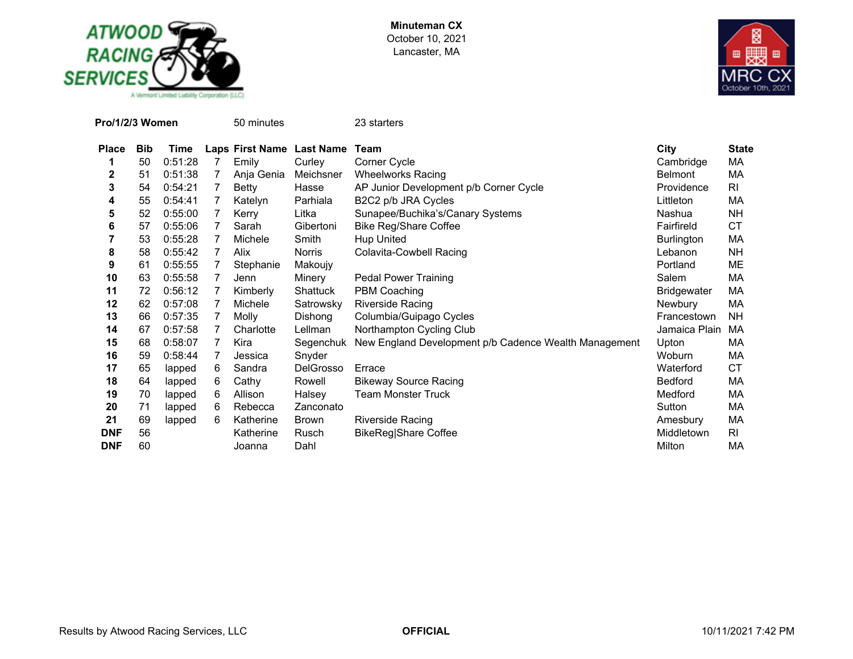



| Pro/1/2/3 Women |            |         |   | 50 minutes   |                           | 23 starters                                           |                    |              |
|-----------------|------------|---------|---|--------------|---------------------------|-------------------------------------------------------|--------------------|--------------|
| <b>Place</b>    | <b>Bib</b> | Time    |   |              | Laps First Name Last Name | Team                                                  | City               | <b>State</b> |
| 1               | 50         | 0:51:28 | 7 | Emily        | Curley                    | Corner Cycle                                          | Cambridge          | МA           |
| 2               | 51         | 0:51:38 | 7 | Anja Genia   | Meichsner                 | <b>Wheelworks Racing</b>                              | <b>Belmont</b>     | МA           |
| 3               | 54         | 0:54:21 | 7 | <b>Betty</b> | Hasse                     | AP Junior Development p/b Corner Cycle                | Providence         | RI           |
| 4               | 55         | 0:54:41 | 7 | Katelyn      | Parhiala                  | B2C2 p/b JRA Cycles                                   | Littleton          | МA           |
| 5               | 52         | 0:55:00 | 7 | Kerry        | Litka                     | Sunapee/Buchika's/Canary Systems                      | Nashua             | <b>NH</b>    |
| 6               | 57         | 0:55:06 | 7 | Sarah        | Gibertoni                 | <b>Bike Reg/Share Coffee</b>                          | Fairfireld         | <b>CT</b>    |
| 7               | 53         | 0:55:28 | 7 | Michele      | Smith                     | <b>Hup United</b>                                     | <b>Burlington</b>  | МA           |
| 8               | 58         | 0:55:42 | 7 | Alix         | <b>Norris</b>             | <b>Colavita-Cowbell Racing</b>                        | Lebanon            | NΗ           |
| 9               | 61         | 0:55:55 | 7 | Stephanie    | Makoujy                   |                                                       | Portland           | ME           |
| 10              | 63         | 0:55:58 | 7 | Jenn         | Minery                    | <b>Pedal Power Training</b>                           | Salem              | МA           |
| 11              | 72         | 0:56:12 | 7 | Kimberly     | Shattuck                  | PBM Coaching                                          | <b>Bridgewater</b> | МA           |
| 12              | 62         | 0:57:08 | 7 | Michele      | Satrowsky                 | <b>Riverside Racing</b>                               | Newbury            | MA           |
| 13              | 66         | 0:57:35 | 7 | Molly        | Dishong                   | Columbia/Guipago Cycles                               | Francestown        | <b>NH</b>    |
| 14              | 67         | 0:57:58 | 7 | Charlotte    | Lellman                   | Northampton Cycling Club                              | Jamaica Plain      | MA           |
| 15              | 68         | 0:58:07 | 7 | Kira         | Segenchuk                 | New England Development p/b Cadence Wealth Management | Upton              | МA           |
| 16              | 59         | 0:58:44 | 7 | Jessica      | Snyder                    |                                                       | Woburn             | МA           |
| 17              | 65         | lapped  | 6 | Sandra       | DelGrosso                 | Errace                                                | Waterford          | СT           |
| 18              | 64         | lapped  | 6 | Cathy        | Rowell                    | <b>Bikeway Source Racing</b>                          | <b>Bedford</b>     | МA           |
| 19              | 70         | lapped  | 6 | Allison      | Halsey                    | <b>Team Monster Truck</b>                             | Medford            | MA           |
| 20              | 71         | lapped  | 6 | Rebecca      | Zanconato                 |                                                       | Sutton             | MA           |
| 21              | 69         | lapped  | 6 | Katherine    | <b>Brown</b>              | Riverside Racing                                      | Amesbury           | МA           |
| <b>DNF</b>      | 56         |         |   | Katherine    | Rusch                     | BikeReg Share Coffee                                  | Middletown         | RI           |
| <b>DNF</b>      | 60         |         |   | Joanna       | Dahl                      |                                                       | Milton             | МA           |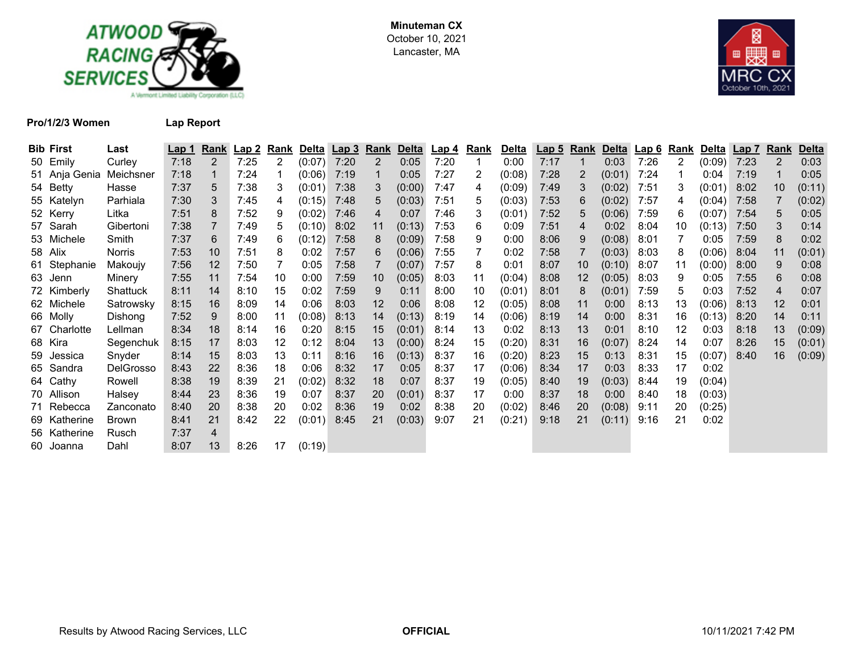



**Pro/1/2/3 Women Lap Report**

| <b>Bib First</b> | Last             | Lap 1 | <b>Rank</b>    | <u>Lap 2</u> | Rank | Delta  | <u>Lap 3</u> | <u>Rank</u> | <b>Delta</b> | <u>Lap 4</u> | <u>Rank</u> | <u>Delta</u> | <u>Lap 5</u> | <b>Rank</b> |        | Delta Lap 6 | Rank | <b>Delta</b> | Lap 7 | Rank           | <b>Delta</b> |
|------------------|------------------|-------|----------------|--------------|------|--------|--------------|-------------|--------------|--------------|-------------|--------------|--------------|-------------|--------|-------------|------|--------------|-------|----------------|--------------|
| 50 Emily         | Curley           | 7:18  | $\overline{2}$ | 7:25         | 2    | (0:07) | 7:20         | 2           | 0:05         | 7:20         | 1           | 0:00         | 7:17         | 1           | 0:03   | 7:26        | 2    | (0:09)       | 7:23  | $\overline{2}$ | 0:03         |
| 51 Anja Genia    | Meichsner        | 7:18  |                | 7:24         |      | (0:06) | 7:19         |             | 0:05         | 7:27         | 2           | (0:08)       | 7:28         | 2           | (0:01) | 7:24        |      | 0:04         | 7:19  |                | 0:05         |
| 54 Betty         | Hasse            | 7:37  | 5              | 7:38         | 3    | (0:01) | 7:38         |             | (0:00)       | 7:47         | 4           | (0:09)       | 7:49         | 3           | (0:02) | 7:51        | 3    | (0:01)       | 8:02  | 10             | (0:11)       |
| 55 Katelyn       | Parhiala         | 7:30  | 3              | 7:45         | 4    | (0:15) | 7:48         | 5.          | (0:03)       | 7:51         | 5           | (0:03)       | 7:53         | 6           | (0:02) | 7:57        | 4    | (0:04)       | 7:58  |                | (0:02)       |
| 52 Kerry         | Litka            | 7:51  | 8              | 7:52         | 9    | (0:02) | 7:46         | 4           | 0:07         | 7:46         | 3           | (0:01)       | 7:52         | 5           | (0:06) | 7:59        | 6    | (0:07)       | 7:54  | 5              | 0:05         |
| 57 Sarah         | Gibertoni        | 7:38  |                | 7:49         | 5    | (0:10) | 8:02         | 11          | (0:13)       | 7:53         | 6           | 0:09         | 7:51         | 4           | 0:02   | 8:04        | 10   | (0:13)       | 7:50  | 3              | 0:14         |
| 53 Michele       | Smith            | 7:37  | 6              | 7:49         | 6    | (0:12) | 7:58         | 8           | (0:09)       | 7:58         | 9           | 0:00         | 8:06         | 9           | (0:08) | 8:01        |      | 0:05         | 7:59  | 8              | 0:02         |
| 58 Alix          | <b>Norris</b>    | 7:53  | 10             | 7:51         | 8    | 0:02   | 7:57         | 6           | (0:06)       | 7:55         |             | 0:02         | 7:58         |             | (0:03) | 8:03        | 8    | (0:06)       | 8:04  | 11             | (0:01)       |
| 61 Stephanie     | Makoujy          | 7:56  | 12             | 7:50         |      | 0:05   | 7:58         |             | (0:07)       | 7:57         | 8           | 0:01         | 8:07         | 10          | (0:10) | 8:07        | 11   | (0:00)       | 8:00  | 9              | 0:08         |
| 63 Jenn          | Minery           | 7:55  | 11             | 7:54         | 10   | 0:00   | 7:59         | 10          | (0:05)       | 8:03         | 11          | (0:04)       | 8:08         | 12          | (0:05) | 8:03        | 9    | 0:05         | 7:55  | 6              | 0:08         |
| 72 Kimberly      | Shattuck         | 8:11  | 14             | 8:10         | 15   | 0:02   | 7:59         | 9           | 0:11         | 8:00         | 10          | (0:01)       | 8:01         | 8           | (0:01) | 7:59        | 5    | 0:03         | 7:52  | 4              | 0:07         |
| 62 Michele       | Satrowsky        | 8:15  | 16             | 8:09         | 14   | 0:06   | 8:03         | 12          | 0:06         | 8:08         | 12          | (0:05)       | 8:08         | 11          | 0:00   | 8:13        | 13   | (0:06)       | 8:13  | 12             | 0:01         |
| 66 Molly         | Dishong          | 7:52  | 9              | 8:00         | 11   | (0:08) | 8:13         | 14          | (0:13)       | 8:19         | 14          | (0:06)       | 8:19         | 14          | 0:00   | 8:31        | 16   | (0:13)       | 8:20  | 14             | 0:11         |
| 67 Charlotte     | Lellman          | 8:34  | 18             | 8:14         | 16   | 0:20   | 8:15         | 15          | (0:01)       | 8:14         | 13          | 0:02         | 8:13         | 13          | 0:01   | 8:10        | 12   | 0:03         | 8:18  | 13             | (0:09)       |
| 68 Kira          | Segenchuk        | 8:15  | 17             | 8:03         | 12   | 0:12   | 8:04         | 13          | (0:00)       | 8:24         | 15          | (0:20)       | 8:31         | 16          | (0:07) | 8:24        | 14   | 0:07         | 8:26  | 15             | (0:01)       |
| 59 Jessica       | Snyder           | 8:14  | 15             | 8:03         | 13   | 0:11   | 8:16         | 16          | (0:13)       | 8:37         | 16          | (0:20)       | 8:23         | 15          | 0:13   | 8:31        | 15   | (0:07)       | 8:40  | 16             | (0:09)       |
| 65 Sandra        | <b>DelGrosso</b> | 8:43  | 22             | 8:36         | 18   | 0:06   | 8:32         | 17          | 0:05         | 8:37         | 17          | (0:06)       | 8:34         | 17          | 0:03   | 8:33        | 17   | 0:02         |       |                |              |
| 64 Cathy         | Rowell           | 8:38  | 19             | 8:39         | 21   | (0:02) | 8:32         | 18          | 0:07         | 8:37         | 19          | (0:05)       | 8:40         | 19          | (0:03) | 8:44        | 19   | (0:04)       |       |                |              |
| 70 Allison       | Halsey           | 8:44  | 23             | 8:36         | 19   | 0:07   | 8:37         | 20          | (0:01)       | 8:37         | 17          | 0:00         | 8:37         | 18          | 0:00   | 8:40        | 18   | (0:03)       |       |                |              |
| 71 Rebecca       | Zanconato        | 8:40  | 20             | 8:38         | 20   | 0:02   | 8:36         | 19          | 0:02         | 8:38         | 20          | (0:02)       | 8:46         | 20          | (0:08) | 9:11        | 20   | (0:25)       |       |                |              |
| 69 Katherine     | Brown            | 8:41  | 21             | 8:42         | 22   | (0:01) | 8:45         | 21          | (0:03)       | 9:07         | 21          | (0:21)       | 9:18         | 21          | (0:11) | 9:16        | 21   | 0:02         |       |                |              |
| 56 Katherine     | Rusch            | 7:37  | 4              |              |      |        |              |             |              |              |             |              |              |             |        |             |      |              |       |                |              |
| 60 Joanna        | Dahl             | 8:07  | 13             | 8:26         | 17   | (0:19) |              |             |              |              |             |              |              |             |        |             |      |              |       |                |              |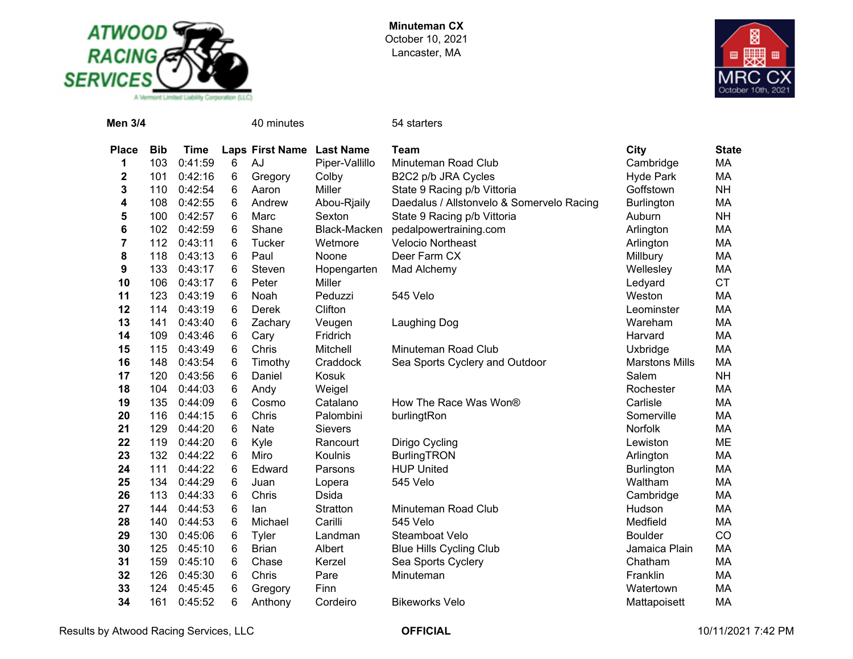



| <b>Men 3/4</b>          |            |             |   | 40 minutes                |                | 54 starters                               |                       |              |
|-------------------------|------------|-------------|---|---------------------------|----------------|-------------------------------------------|-----------------------|--------------|
| <b>Place</b>            | <b>Bib</b> | <b>Time</b> |   | Laps First Name Last Name |                | <b>Team</b>                               | City                  | <b>State</b> |
| 1                       | 103        | 0:41:59     | 6 | AJ                        | Piper-Vallillo | Minuteman Road Club                       | Cambridge             | <b>MA</b>    |
| $\mathbf 2$             | 101        | 0:42:16     | 6 | Gregory                   | Colby          | B2C2 p/b JRA Cycles                       | <b>Hyde Park</b>      | MA           |
| 3                       | 110        | 0:42:54     | 6 | Aaron                     | Miller         | State 9 Racing p/b Vittoria               | Goffstown             | <b>NH</b>    |
| 4                       | 108        | 0:42:55     | 6 | Andrew                    | Abou-Rjaily    | Daedalus / Allstonvelo & Somervelo Racing | <b>Burlington</b>     | MA           |
| 5                       | 100        | 0:42:57     | 6 | Marc                      | Sexton         | State 9 Racing p/b Vittoria               | Auburn                | <b>NH</b>    |
| 6                       | 102        | 0:42:59     | 6 | Shane                     | Black-Macken   | pedalpowertraining.com                    | Arlington             | MA           |
| $\overline{\mathbf{7}}$ | 112        | 0:43:11     | 6 | Tucker                    | Wetmore        | <b>Velocio Northeast</b>                  | Arlington             | MA           |
| 8                       | 118        | 0:43:13     | 6 | Paul                      | Noone          | Deer Farm CX                              | Millbury              | МA           |
| 9                       | 133        | 0:43:17     | 6 | Steven                    | Hopengarten    | Mad Alchemy                               | Wellesley             | MA           |
| 10                      | 106        | 0:43:17     | 6 | Peter                     | Miller         |                                           | Ledyard               | <b>CT</b>    |
| 11                      | 123        | 0:43:19     | 6 | Noah                      | Peduzzi        | 545 Velo                                  | Weston                | MA           |
| 12                      | 114        | 0:43:19     | 6 | Derek                     | Clifton        |                                           | Leominster            | МA           |
| 13                      | 141        | 0:43:40     | 6 | Zachary                   | Veugen         | Laughing Dog                              | Wareham               | МA           |
| 14                      | 109        | 0:43:46     | 6 | Cary                      | Fridrich       |                                           | Harvard               | MA           |
| 15                      | 115        | 0:43:49     | 6 | Chris                     | Mitchell       | Minuteman Road Club                       | Uxbridge              | MA           |
| 16                      | 148        | 0:43:54     | 6 | Timothy                   | Craddock       | Sea Sports Cyclery and Outdoor            | <b>Marstons Mills</b> | MA           |
| 17                      | 120        | 0:43:56     | 6 | Daniel                    | Kosuk          |                                           | Salem                 | <b>NH</b>    |
| 18                      | 104        | 0:44:03     | 6 | Andy                      | Weigel         |                                           | Rochester             | МA           |
| 19                      | 135        | 0:44:09     | 6 | Cosmo                     | Catalano       | How The Race Was Won®                     | Carlisle              | MA           |
| 20                      | 116        | 0:44:15     | 6 | Chris                     | Palombini      | burlingtRon                               | Somerville            | МA           |
| 21                      | 129        | 0:44:20     | 6 | Nate                      | <b>Sievers</b> |                                           | Norfolk               | MA           |
| 22                      | 119        | 0:44:20     | 6 | Kyle                      | Rancourt       | Dirigo Cycling                            | Lewiston              | ME           |
| 23                      | 132        | 0:44:22     | 6 | Miro                      | Koulnis        | <b>BurlingTRON</b>                        | Arlington             | MA           |
| 24                      | 111        | 0:44:22     | 6 | Edward                    | Parsons        | <b>HUP United</b>                         | <b>Burlington</b>     | MA           |
| 25                      | 134        | 0:44:29     | 6 | Juan                      | Lopera         | 545 Velo                                  | Waltham               | MA           |
| 26                      | 113        | 0:44:33     | 6 | Chris                     | <b>Dsida</b>   |                                           | Cambridge             | MA           |
| 27                      | 144        | 0:44:53     | 6 | lan                       | Stratton       | Minuteman Road Club                       | Hudson                | MA           |
| 28                      | 140        | 0:44:53     | 6 | Michael                   | Carilli        | 545 Velo                                  | Medfield              | MA           |
| 29                      | 130        | 0:45:06     | 6 | Tyler                     | Landman        | Steamboat Velo                            | <b>Boulder</b>        | CO           |
| 30                      | 125        | 0:45:10     | 6 | <b>Brian</b>              | Albert         | <b>Blue Hills Cycling Club</b>            | Jamaica Plain         | МA           |
| 31                      | 159        | 0:45:10     | 6 | Chase                     | Kerzel         | Sea Sports Cyclery                        | Chatham               | MA           |
| 32                      | 126        | 0:45:30     | 6 | Chris                     | Pare           | Minuteman                                 | Franklin              | МA           |
| 33                      | 124        | 0:45:45     | 6 | Gregory                   | Finn           |                                           | Watertown             | MA           |
| 34                      | 161        | 0:45:52     | 6 | Anthony                   | Cordeiro       | <b>Bikeworks Velo</b>                     | Mattapoisett          | MA           |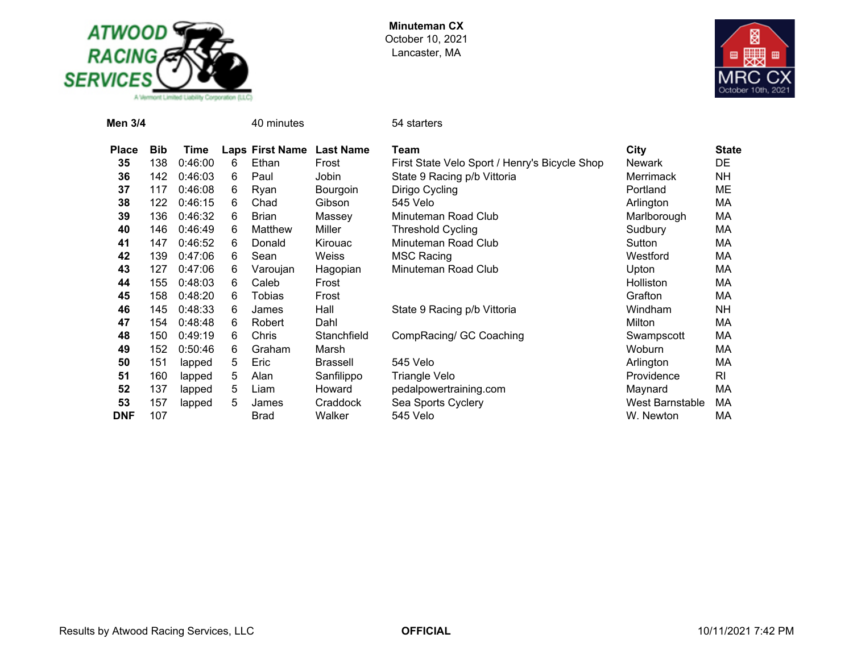



| <b>Men 3/4</b> |            |         |   | 40 minutes      |                  | 54 starters                                   |                  |              |
|----------------|------------|---------|---|-----------------|------------------|-----------------------------------------------|------------------|--------------|
| <b>Place</b>   | <b>Bib</b> | Time    |   | Laps First Name | <b>Last Name</b> | Team                                          | City             | <b>State</b> |
| 35             | 138        | 0:46:00 | 6 | Ethan           | Frost            | First State Velo Sport / Henry's Bicycle Shop | <b>Newark</b>    | DE           |
| 36             | 142        | 0:46:03 | 6 | Paul            | Jobin            | State 9 Racing p/b Vittoria                   | <b>Merrimack</b> | NΗ           |
| 37             | 117        | 0:46:08 | 6 | Ryan            | Bourgoin         | Dirigo Cycling                                | Portland         | МE           |
| 38             | 122        | 0:46:15 | 6 | Chad            | Gibson           | 545 Velo                                      | Arlington        | МA           |
| 39             | 136        | 0:46:32 | 6 | <b>Brian</b>    | Massey           | Minuteman Road Club                           | Marlborough      | MA           |
| 40             | 146        | 0:46:49 | 6 | Matthew         | Miller           | <b>Threshold Cycling</b>                      | Sudbury          | МA           |
| 41             | 147        | 0:46:52 | 6 | Donald          | Kirouac          | Minuteman Road Club                           | Sutton           | МA           |
| 42             | 139        | 0:47:06 | 6 | Sean            | Weiss            | <b>MSC Racing</b>                             | Westford         | МA           |
| 43             | 127        | 0:47:06 | 6 | Varoujan        | Hagopian         | Minuteman Road Club                           | Upton            | МA           |
| 44             | 155        | 0:48:03 | 6 | Caleb           | Frost            |                                               | <b>Holliston</b> | МA           |
| 45             | 158        | 0:48:20 | 6 | Tobias          | Frost            |                                               | Grafton          | МA           |
| 46             | 145        | 0:48:33 | 6 | James           | Hall             | State 9 Racing p/b Vittoria                   | Windham          | NΗ           |
| 47             | 154        | 0:48:48 | 6 | Robert          | Dahl             |                                               | Milton           | МA           |
| 48             | 150        | 0:49:19 | 6 | Chris           | Stanchfield      | CompRacing/ GC Coaching                       | Swampscott       | МA           |
| 49             | 152        | 0:50:46 | 6 | Graham          | Marsh            |                                               | Woburn           | MA           |
| 50             | 151        | lapped  | 5 | Eric            | <b>Brassell</b>  | 545 Velo                                      | Arlington        | MA           |
| 51             | 160        | lapped  | 5 | Alan            | Sanfilippo       | Triangle Velo                                 | Providence       | RI           |
| 52             | 137        | lapped  | 5 | Liam            | Howard           | pedalpowertraining.com                        | Maynard          | МA           |
| 53             | 157        | lapped  | 5 | James           | Craddock         | Sea Sports Cyclery                            | West Barnstable  | МA           |
| <b>DNF</b>     | 107        |         |   | <b>Brad</b>     | Walker           | 545 Velo                                      | W. Newton        | МA           |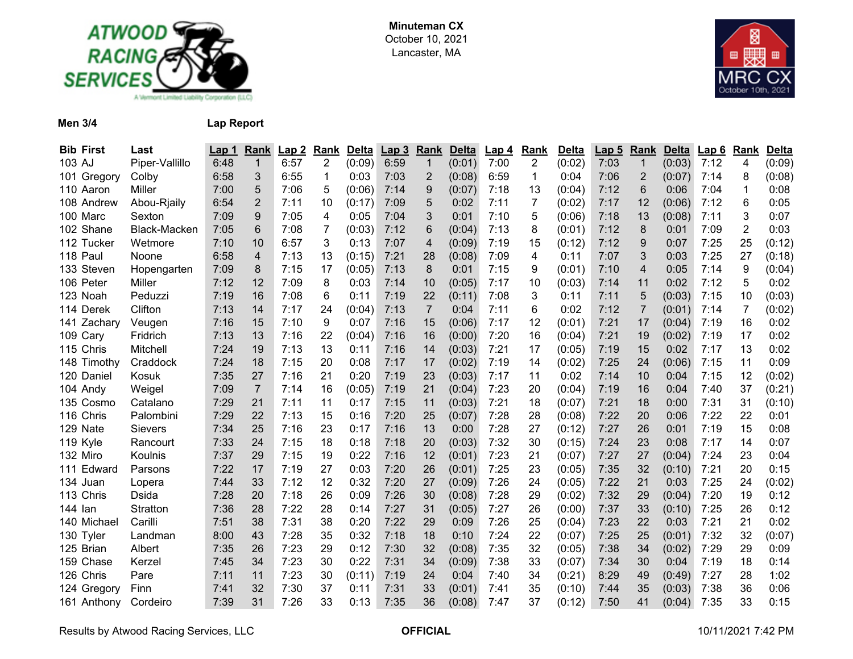



**Men 3/4 Lap Report**

| <b>Bib First</b> | Last           | Lap 1 | Rank           | Lap2 | Rank           | <b>Delta</b> | Lap <sub>3</sub> | Rank            | <b>Delta</b> | Lap 4 | Rank           | <b>Delta</b> | Lap <sub>5</sub> | Rank           | <b>Delta</b> | Lap6 | Rank           | <b>Delta</b> |
|------------------|----------------|-------|----------------|------|----------------|--------------|------------------|-----------------|--------------|-------|----------------|--------------|------------------|----------------|--------------|------|----------------|--------------|
| 103 AJ           | Piper-Vallillo | 6:48  | 1              | 6:57 | $\overline{2}$ | (0:09)       | 6:59             | $\mathbf 1$     | (0:01)       | 7:00  | $\overline{2}$ | (0:02)       | 7:03             | $\mathbf{1}$   | (0:03)       | 7:12 | 4              | (0:09)       |
| 101 Gregory      | Colby          | 6:58  | 3              | 6:55 | 1              | 0:03         | 7:03             | $\overline{2}$  | (0:08)       | 6:59  | 1              | 0:04         | 7:06             | 2              | (0:07)       | 7:14 | 8              | (0:08)       |
| 110 Aaron        | Miller         | 7:00  | 5              | 7:06 | 5              | (0:06)       | 7:14             | 9               | (0:07)       | 7:18  | 13             | (0:04)       | 7:12             | 6              | 0:06         | 7:04 | 1              | 0:08         |
| 108 Andrew       | Abou-Rjaily    | 6:54  | $\overline{2}$ | 7:11 | 10             | (0:17)       | 7:09             | 5               | 0:02         | 7:11  | 7              | (0:02)       | 7:17             | 12             | (0:06)       | 7:12 | 6              | 0:05         |
| 100 Marc         | Sexton         | 7:09  | 9              | 7:05 | 4              | 0:05         | 7:04             | 3               | 0:01         | 7:10  | 5              | (0:06)       | 7:18             | 13             | (0:08)       | 7:11 | 3              | 0:07         |
| 102 Shane        | Black-Macken   | 7:05  | 6              | 7:08 | 7              | (0:03)       | 7:12             | $6\phantom{1}6$ | (0:04)       | 7:13  | 8              | (0:01)       | 7:12             | 8              | 0:01         | 7:09 | $\overline{c}$ | 0:03         |
| 112 Tucker       | Wetmore        | 7:10  | 10             | 6:57 | 3              | 0:13         | 7:07             | $\overline{4}$  | (0:09)       | 7:19  | 15             | (0:12)       | 7:12             | 9              | 0:07         | 7:25 | 25             | (0:12)       |
| 118 Paul         | Noone          | 6:58  | 4              | 7:13 | 13             | (0:15)       | 7:21             | 28              | (0:08)       | 7:09  | 4              | 0:11         | 7:07             | 3              | 0:03         | 7:25 | 27             | (0:18)       |
| 133 Steven       | Hopengarten    | 7:09  | 8              | 7:15 | 17             | (0:05)       | 7:13             | 8               | 0:01         | 7:15  | 9              | (0:01)       | 7:10             | 4              | 0:05         | 7:14 | 9              | (0:04)       |
| 106 Peter        | Miller         | 7:12  | 12             | 7:09 | 8              | 0:03         | 7:14             | 10              | (0:05)       | 7:17  | 10             | (0:03)       | 7:14             | 11             | 0:02         | 7:12 | 5              | 0:02         |
| 123 Noah         | Peduzzi        | 7:19  | 16             | 7:08 | 6              | 0:11         | 7:19             | 22              | (0:11)       | 7:08  | 3              | 0:11         | 7:11             | 5              | (0:03)       | 7:15 | 10             | (0:03)       |
| 114 Derek        | Clifton        | 7:13  | 14             | 7:17 | 24             | (0:04)       | 7:13             | $\overline{7}$  | 0:04         | 7:11  | 6              | 0:02         | 7:12             | $\overline{7}$ | (0:01)       | 7:14 | $\overline{7}$ | (0:02)       |
| 141 Zachary      | Veugen         | 7:16  | 15             | 7:10 | 9              | 0:07         | 7:16             | 15              | (0:06)       | 7:17  | 12             | (0:01)       | 7:21             | 17             | (0:04)       | 7:19 | 16             | 0:02         |
| 109 Cary         | Fridrich       | 7:13  | 13             | 7:16 | 22             | (0:04)       | 7:16             | 16              | (0:00)       | 7:20  | 16             | (0:04)       | 7:21             | 19             | (0:02)       | 7:19 | 17             | 0:02         |
| 115 Chris        | Mitchell       | 7:24  | 19             | 7:13 | 13             | 0:11         | 7:16             | 14              | (0:03)       | 7:21  | 17             | (0:05)       | 7:19             | 15             | 0:02         | 7:17 | 13             | 0:02         |
| 148 Timothy      | Craddock       | 7:24  | 18             | 7:15 | 20             | 0:08         | 7:17             | 17              | (0:02)       | 7:19  | 14             | (0:02)       | 7:25             | 24             | (0:06)       | 7:15 | 11             | 0:09         |
| 120 Daniel       | Kosuk          | 7:35  | 27             | 7:16 | 21             | 0:20         | 7:19             | 23              | (0:03)       | 7:17  | 11             | 0:02         | 7:14             | 10             | 0:04         | 7:15 | 12             | (0:02)       |
| 104 Andy         | Weigel         | 7:09  | $\overline{7}$ | 7:14 | 16             | (0:05)       | 7:19             | 21              | (0:04)       | 7:23  | 20             | (0:04)       | 7:19             | 16             | 0:04         | 7:40 | 37             | (0:21)       |
| 135 Cosmo        | Catalano       | 7:29  | 21             | 7:11 | 11             | 0:17         | 7:15             | 11              | (0:03)       | 7:21  | 18             | (0:07)       | 7:21             | 18             | 0:00         | 7:31 | 31             | (0:10)       |
| 116 Chris        | Palombini      | 7:29  | 22             | 7:13 | 15             | 0:16         | 7:20             | 25              | (0:07)       | 7:28  | 28             | (0:08)       | 7:22             | 20             | 0:06         | 7:22 | 22             | 0:01         |
| 129 Nate         | <b>Sievers</b> | 7:34  | 25             | 7:16 | 23             | 0:17         | 7:16             | 13              | 0:00         | 7:28  | 27             | (0:12)       | 7:27             | 26             | 0:01         | 7:19 | 15             | 0:08         |
| 119 Kyle         | Rancourt       | 7:33  | 24             | 7:15 | 18             | 0:18         | 7:18             | 20              | (0:03)       | 7:32  | 30             | (0:15)       | 7:24             | 23             | 0:08         | 7:17 | 14             | 0:07         |
| 132 Miro         | Koulnis        | 7:37  | 29             | 7:15 | 19             | 0:22         | 7:16             | 12              | (0:01)       | 7:23  | 21             | (0:07)       | 7:27             | 27             | (0:04)       | 7:24 | 23             | 0:04         |
| 111 Edward       | Parsons        | 7:22  | 17             | 7:19 | 27             | 0:03         | 7:20             | 26              | (0:01)       | 7:25  | 23             | (0:05)       | 7:35             | 32             | (0:10)       | 7:21 | 20             | 0:15         |
| 134 Juan         | Lopera         | 7:44  | 33             | 7:12 | 12             | 0:32         | 7:20             | 27              | (0:09)       | 7:26  | 24             | (0:05)       | 7:22             | 21             | 0:03         | 7:25 | 24             | (0:02)       |
| 113 Chris        | Dsida          | 7:28  | 20             | 7:18 | 26             | 0:09         | 7:26             | 30              | (0:08)       | 7:28  | 29             | (0:02)       | 7:32             | 29             | (0:04)       | 7:20 | 19             | 0:12         |
| 144 lan          | Stratton       | 7:36  | 28             | 7:22 | 28             | 0:14         | 7:27             | 31              | (0:05)       | 7:27  | 26             | (0:00)       | 7:37             | 33             | (0:10)       | 7:25 | 26             | 0:12         |
| 140 Michael      | Carilli        | 7:51  | 38             | 7:31 | 38             | 0:20         | 7:22             | 29              | 0:09         | 7:26  | 25             | (0:04)       | 7:23             | 22             | 0:03         | 7:21 | 21             | 0:02         |
| 130 Tyler        | Landman        | 8:00  | 43             | 7:28 | 35             | 0:32         | 7:18             | 18              | 0:10         | 7:24  | 22             | (0:07)       | 7:25             | 25             | (0:01)       | 7:32 | 32             | (0:07)       |
| 125 Brian        | Albert         | 7:35  | 26             | 7:23 | 29             | 0:12         | 7:30             | 32              | (0:08)       | 7:35  | 32             | (0:05)       | 7:38             | 34             | (0:02)       | 7:29 | 29             | 0:09         |
| 159 Chase        | Kerzel         | 7:45  | 34             | 7:23 | 30             | 0:22         | 7:31             | 34              | (0:09)       | 7:38  | 33             | (0:07)       | 7:34             | 30             | 0:04         | 7:19 | 18             | 0:14         |
| 126 Chris        | Pare           | 7:11  | 11             | 7:23 | 30             | (0:11)       | 7:19             | 24              | 0:04         | 7:40  | 34             | (0:21)       | 8:29             | 49             | (0:49)       | 7:27 | 28             | 1:02         |
| 124 Gregory      | Finn           | 7:41  | 32             | 7:30 | 37             | 0:11         | 7:31             | 33              | (0:01)       | 7:41  | 35             | (0:10)       | 7:44             | 35             | (0:03)       | 7:38 | 36             | 0:06         |
| 161 Anthony      | Cordeiro       | 7:39  | 31             | 7:26 | 33             | 0:13         | 7:35             | 36              | (0:08)       | 7:47  | 37             | (0:12)       | 7:50             | 41             | (0:04)       | 7:35 | 33             | 0:15         |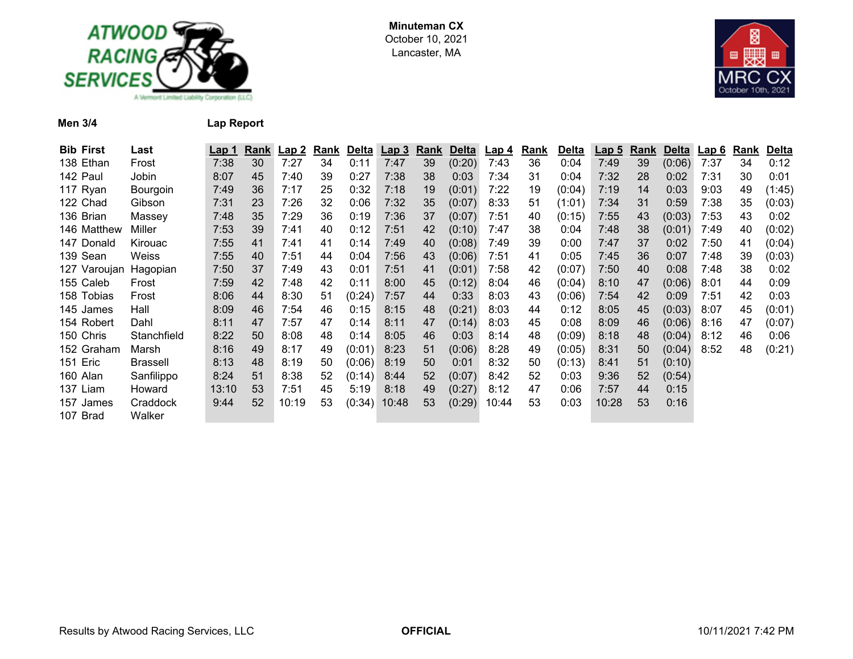



**Men 3/4 Lap Report**

| <b>Bib First</b> | Last        | Lap 1 | <u>Rank</u> | <u>Lap 2</u> | <u>Rank</u> | Delta  | <u>Lap 3</u> | Rank | Delta  | <u>Lap 4</u> | <b>Rank</b> | <b>Delta</b> | <u>Lap 5</u> | Rank | <b>Delta</b> | <u>Lap 6</u> | Rank | <b>Delta</b> |
|------------------|-------------|-------|-------------|--------------|-------------|--------|--------------|------|--------|--------------|-------------|--------------|--------------|------|--------------|--------------|------|--------------|
| 138 Ethan        | Frost       | 7:38  | 30          | 7:27         | 34          | 0:11   | 7:47         | 39   | (0:20) | 7:43         | 36          | 0:04         | 7:49         | 39   | (0:06)       | 7:37         | 34   | 0:12         |
| 142 Paul         | Jobin       | 8:07  | 45          | 7:40         | 39          | 0:27   | 7:38         | 38   | 0:03   | 7:34         | 31          | 0:04         | 7:32         | 28   | 0:02         | 7:31         | 30   | 0:01         |
| 117 Ryan         | Bourgoin    | 7:49  | 36          | 7:17         | 25          | 0:32   | 7:18         | 19   | (0:01) | 7:22         | 19          | (0:04)       | 7:19         | 14   | 0:03         | 9:03         | 49   | (1:45)       |
| 122 Chad         | Gibson      | 7:31  | 23          | 7:26         | 32          | 0:06   | 7:32         | 35   | (0:07) | 8:33         | 51          | (1:01)       | 7:34         | 31   | 0:59         | 7:38         | 35   | (0:03)       |
| 136 Brian        | Massey      | 7:48  | 35          | 7:29         | 36          | 0:19   | 7:36         | 37   | (0:07) | 7:51         | 40          | (0:15)       | 7:55         | 43   | (0:03)       | 7:53         | 43   | 0:02         |
| 146 Matthew      | Miller      | 7:53  | 39          | 7:41         | 40          | 0:12   | 7:51         | 42   | (0:10) | 7:47         | 38          | 0:04         | 7:48         | 38   | (0:01)       | 7:49         | 40   | (0:02)       |
| 147 Donald       | Kirouac     | 7:55  | 41          | 7:41         | 41          | 0:14   | 7:49         | 40   | (0:08) | 7:49         | 39          | 0:00         | 7:47         | 37   | 0:02         | 7:50         | 41   | (0:04)       |
| 139 Sean         | Weiss       | 7:55  | 40          | 7:51         | 44          | 0:04   | 7:56         | 43   | (0:06) | 7:51         | 41          | 0:05         | 7:45         | 36   | 0:07         | 7:48         | 39   | (0:03)       |
| 127 Varoujan     | Hagopian    | 7:50  | 37          | 7:49         | 43          | 0:01   | 7:51         | 41   | (0:01) | 7:58         | 42          | (0:07)       | 7:50         | 40   | 0:08         | 7:48         | 38   | 0:02         |
| 155 Caleb        | Frost       | 7:59  | 42          | 7:48         | 42          | 0:11   | 8:00         | 45   | (0:12) | 8:04         | 46          | (0:04)       | 8:10         | 47   | (0:06)       | 8:01         | 44   | 0:09         |
| 158 Tobias       | Frost       | 8:06  | 44          | 8:30         | 51          | (0:24) | 7:57         | 44   | 0:33   | 8:03         | 43          | (0:06)       | 7:54         | 42   | 0:09         | 7:51         | 42   | 0:03         |
| 145 James        | Hall        | 8:09  | 46          | 7:54         | 46          | 0:15   | 8:15         | 48   | (0:21) | 8:03         | 44          | 0:12         | 8:05         | 45   | (0:03)       | 8:07         | 45   | (0:01)       |
| 154 Robert       | Dahl        | 8:11  | 47          | 7:57         | 47          | 0:14   | 8:11         | 47   | (0:14) | 8:03         | 45          | 0:08         | 8:09         | 46   | (0:06)       | 8:16         | 47   | (0:07)       |
| 150 Chris        | Stanchfield | 8:22  | 50          | 8:08         | 48          | 0:14   | 8:05         | 46   | 0:03   | 8:14         | 48          | (0:09)       | 8:18         | 48   | (0:04)       | 8:12         | 46   | 0:06         |
| 152 Graham       | Marsh       | 8:16  | 49          | 8:17         | 49          | (0:01) | 8:23         | 51   | (0:06) | 8:28         | 49          | (0:05)       | 8:31         | 50   | (0:04)       | 8:52         | 48   | (0:21)       |
| 151 Eric         | Brassell    | 8:13  | 48          | 8:19         | 50          | (0:06) | 8:19         | 50   | 0:01   | 8:32         | 50          | (0:13)       | 8:41         | 51   | (0:10)       |              |      |              |
| 160 Alan         | Sanfilippo  | 8:24  | 51          | 8:38         | 52          | (0:14) | 8:44         | 52   | (0:07) | 8:42         | 52          | 0:03         | 9:36         | 52   | (0:54)       |              |      |              |
| 137 Liam         | Howard      | 13:10 | 53          | 7:51         | 45          | 5:19   | 8:18         | 49   | (0:27) | 8:12         | 47          | 0:06         | 7:57         | 44   | 0:15         |              |      |              |
| 157 James        | Craddock    | 9:44  | 52          | 10:19        | 53          | (0:34) | 10:48        | 53   | (0:29) | 10:44        | 53          | 0:03         | 10:28        | 53   | 0:16         |              |      |              |
| 107 Brad         | Walker      |       |             |              |             |        |              |      |        |              |             |              |              |      |              |              |      |              |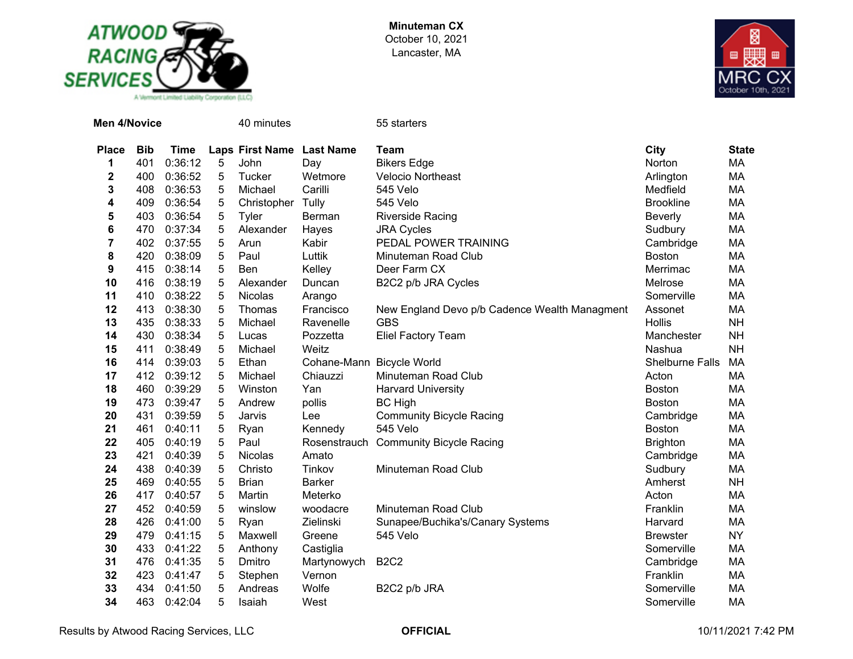



| <b>Men 4/Novice</b> |            |             |                 | 40 minutes                |                           | 55 starters                                   |                  |              |
|---------------------|------------|-------------|-----------------|---------------------------|---------------------------|-----------------------------------------------|------------------|--------------|
| <b>Place</b>        | <b>Bib</b> | <b>Time</b> |                 | Laps First Name Last Name |                           | <b>Team</b>                                   | <b>City</b>      | <b>State</b> |
| 1                   | 401        | 0:36:12     | 5               | John                      | Day                       | <b>Bikers Edge</b>                            | Norton           | MA           |
| 2                   | 400        | 0:36:52     | 5               | Tucker                    | Wetmore                   | <b>Velocio Northeast</b>                      | Arlington        | MA           |
| 3                   | 408        | 0:36:53     | 5               | Michael                   | Carilli                   | 545 Velo                                      | Medfield         | МA           |
| 4                   | 409        | 0:36:54     | 5               | Christopher               | Tully                     | 545 Velo                                      | <b>Brookline</b> | MA           |
| 5                   | 403        | 0:36:54     | $5\phantom{.0}$ | Tyler                     | Berman                    | <b>Riverside Racing</b>                       | <b>Beverly</b>   | MA           |
| 6                   | 470        | 0:37:34     | 5               | Alexander                 | Hayes                     | <b>JRA Cycles</b>                             | Sudbury          | МA           |
| 7                   | 402        | 0:37:55     | 5               | Arun                      | Kabir                     | PEDAL POWER TRAINING                          | Cambridge        | МA           |
| 8                   | 420        | 0:38:09     | 5               | Paul                      | Luttik                    | Minuteman Road Club                           | <b>Boston</b>    | MA           |
| 9                   | 415        | 0:38:14     | 5               | Ben                       | Kelley                    | Deer Farm CX                                  | Merrimac         | MA           |
| 10                  | 416        | 0:38:19     | 5               | Alexander                 | Duncan                    | B2C2 p/b JRA Cycles                           | Melrose          | MA           |
| 11                  | 410        | 0:38:22     | 5               | Nicolas                   | Arango                    |                                               | Somerville       | MA           |
| 12                  | 413        | 0:38:30     | 5               | Thomas                    | Francisco                 | New England Devo p/b Cadence Wealth Managment | Assonet          | <b>MA</b>    |
| 13                  | 435        | 0:38:33     | 5               | Michael                   | Ravenelle                 | <b>GBS</b>                                    | <b>Hollis</b>    | <b>NH</b>    |
| 14                  | 430        | 0:38:34     | 5               | Lucas                     | Pozzetta                  | <b>Eliel Factory Team</b>                     | Manchester       | <b>NH</b>    |
| 15                  | 411        | 0:38:49     | 5               | Michael                   | Weitz                     |                                               | Nashua           | <b>NH</b>    |
| 16                  | 414        | 0:39:03     | 5               | Ethan                     | Cohane-Mann Bicycle World |                                               | Shelburne Falls  | MA           |
| 17                  | 412        | 0:39:12     | 5               | Michael                   | Chiauzzi                  | Minuteman Road Club                           | Acton            | MA           |
| 18                  | 460        | 0:39:29     | 5               | Winston                   | Yan                       | <b>Harvard University</b>                     | <b>Boston</b>    | MA           |
| 19                  | 473        | 0:39:47     | 5               | Andrew                    | pollis                    | <b>BC High</b>                                | <b>Boston</b>    | MA           |
| 20                  | 431        | 0:39:59     | 5               | Jarvis                    | Lee                       | <b>Community Bicycle Racing</b>               | Cambridge        | MA           |
| 21                  | 461        | 0:40:11     | 5               | Ryan                      | Kennedy                   | 545 Velo                                      | <b>Boston</b>    | MA           |
| 22                  | 405        | 0:40:19     | 5               | Paul                      | Rosenstrauch              | <b>Community Bicycle Racing</b>               | <b>Brighton</b>  | МA           |
| 23                  | 421        | 0:40:39     | 5               | Nicolas                   | Amato                     |                                               | Cambridge        | MA           |
| 24                  | 438        | 0:40:39     | 5               | Christo                   | Tinkov                    | Minuteman Road Club                           | Sudbury          | MA           |
| 25                  | 469        | 0:40:55     | 5               | <b>Brian</b>              | <b>Barker</b>             |                                               | Amherst          | <b>NH</b>    |
| 26                  | 417        | 0:40:57     | 5               | Martin                    | Meterko                   |                                               | Acton            | MA           |
| 27                  | 452        | 0:40:59     | 5               | winslow                   | woodacre                  | Minuteman Road Club                           | Franklin         | МA           |
| 28                  | 426        | 0:41:00     | 5               | Ryan                      | Zielinski                 | Sunapee/Buchika's/Canary Systems              | Harvard          | MA           |
| 29                  | 479        | 0:41:15     | 5               | Maxwell                   | Greene                    | 545 Velo                                      | <b>Brewster</b>  | <b>NY</b>    |
| 30                  | 433        | 0:41:22     | 5               | Anthony                   | Castiglia                 |                                               | Somerville       | MA           |
| 31                  | 476        | 0:41:35     | 5               | Dmitro                    | Martynowych               | <b>B2C2</b>                                   | Cambridge        | MA           |
| 32                  | 423        | 0:41:47     | 5               | Stephen                   | Vernon                    |                                               | Franklin         | MA           |
| 33                  | 434        | 0:41:50     | $\sqrt{5}$      | Andreas                   | Wolfe                     | B2C2 p/b JRA                                  | Somerville       | MA           |
| 34                  | 463        | 0:42:04     | 5               | Isaiah                    | West                      |                                               | Somerville       | <b>MA</b>    |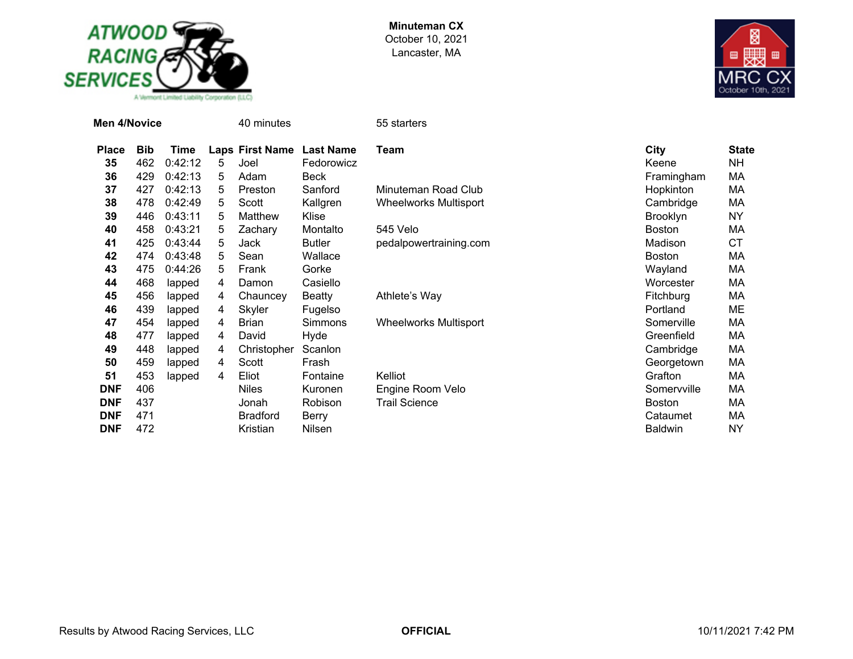



| Men 4/Novice |            |         |   | 40 minutes             |                  | 55 starters                  |                 |              |
|--------------|------------|---------|---|------------------------|------------------|------------------------------|-----------------|--------------|
| <b>Place</b> | <b>Bib</b> | Time    |   | <b>Laps First Name</b> | <b>Last Name</b> | Team                         | City            | <b>State</b> |
| 35           | 462        | 0:42:12 | 5 | Joel                   | Fedorowicz       |                              | Keene           | <b>NH</b>    |
| 36           | 429        | 0:42:13 | 5 | Adam                   | Beck             |                              | Framingham      | МA           |
| 37           | 427        | 0:42:13 | 5 | Preston                | Sanford          | Minuteman Road Club          | Hopkinton       | МA           |
| 38           | 478        | 0:42:49 | 5 | Scott                  | Kallgren         | <b>Wheelworks Multisport</b> | Cambridge       | МA           |
| 39           | 446        | 0:43:11 | 5 | Matthew                | Klise            |                              | <b>Brooklyn</b> | ΝY           |
| 40           | 458        | 0:43:21 | 5 | Zachary                | Montalto         | 545 Velo                     | <b>Boston</b>   | МA           |
| 41           | 425        | 0:43:44 | 5 | Jack                   | <b>Butler</b>    | pedalpowertraining.com       | Madison         | <b>CT</b>    |
| 42           | 474        | 0:43:48 | 5 | Sean                   | Wallace          |                              | Boston          | МA           |
| 43           | 475        | 0:44:26 | 5 | Frank                  | Gorke            |                              | Wayland         | МA           |
| 44           | 468        | lapped  | 4 | Damon                  | Casiello         |                              | Worcester       | МA           |
| 45           | 456        | lapped  | 4 | Chauncey               | Beatty           | Athlete's Way                | Fitchburg       | МA           |
| 46           | 439        | lapped  | 4 | Skyler                 | Fugelso          |                              | Portland        | ME           |
| 47           | 454        | lapped  | 4 | <b>Brian</b>           | Simmons          | <b>Wheelworks Multisport</b> | Somerville      | МA           |
| 48           | 477        | lapped  | 4 | David                  | Hyde             |                              | Greenfield      | МA           |
| 49           | 448        | lapped  | 4 | Christopher            | Scanlon          |                              | Cambridge       | МA           |
| 50           | 459        | lapped  | 4 | Scott                  | Frash            |                              | Georgetown      | МA           |
| 51           | 453        | lapped  | 4 | Eliot                  | Fontaine         | Kelliot                      | Grafton         | МA           |
| <b>DNF</b>   | 406        |         |   | <b>Niles</b>           | Kuronen          | Engine Room Velo             | Somervville     | МA           |
| <b>DNF</b>   | 437        |         |   | Jonah                  | Robison          | <b>Trail Science</b>         | <b>Boston</b>   | МA           |
| <b>DNF</b>   | 471        |         |   | <b>Bradford</b>        | Berry            |                              | Cataumet        | МA           |
| <b>DNF</b>   | 472        |         |   | Kristian               | Nilsen           |                              | <b>Baldwin</b>  | ΝY           |

Results by Atwood Racing Services, LLC **CORPERTICIAL OFFICIAL CONTERTIGIAL** 10/11/2021 7:42 PM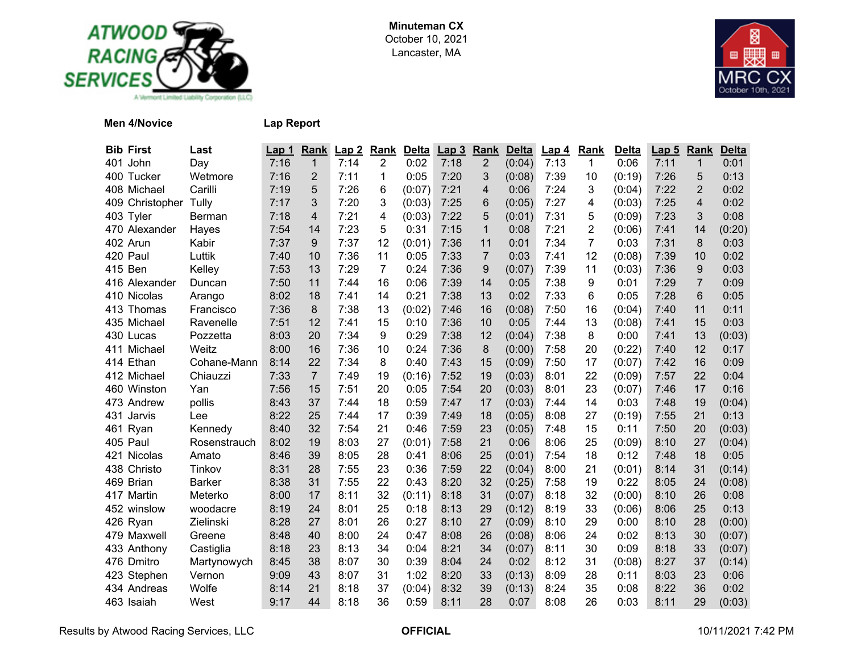



## **Men 4/Novice Lap Report**

| <b>Bib First</b> | Last          | Lap <sub>1</sub> | Rank           | Lap2 | Rank | <b>Delta</b> | Lap <sub>3</sub> | Rank           | <b>Delta</b> | Lap 4 | <b>Rank</b> | <b>Delta</b> | Lap 5 | Rank           | <b>Delta</b> |
|------------------|---------------|------------------|----------------|------|------|--------------|------------------|----------------|--------------|-------|-------------|--------------|-------|----------------|--------------|
| 401 John         | Day           | 7:16             | $\mathbf{1}$   | 7:14 | 2    | 0:02         | 7:18             | $\overline{2}$ | (0:04)       | 7:13  | 1           | 0:06         | 7:11  | $\mathbf 1$    | 0:01         |
| 400 Tucker       | Wetmore       | 7:16             | $\overline{2}$ | 7:11 | 1    | 0:05         | 7:20             | 3              | (0:08)       | 7:39  | 10          | (0:19)       | 7:26  | 5              | 0:13         |
| 408 Michael      | Carilli       | 7:19             | 5              | 7:26 | 6    | (0:07)       | 7:21             | 4              | 0:06         | 7:24  | 3           | (0:04)       | 7:22  | $\overline{2}$ | 0:02         |
| 409 Christopher  | Tully         | 7:17             | 3              | 7:20 | 3    | (0:03)       | 7:25             | 6              | (0:05)       | 7:27  | 4           | (0:03)       | 7:25  | $\overline{4}$ | 0:02         |
| 403 Tyler        | <b>Berman</b> | 7:18             | 4              | 7:21 | 4    | (0:03)       | 7:22             | 5              | (0:01)       | 7:31  | 5           | (0:09)       | 7:23  | 3              | 0:08         |
| 470 Alexander    | Hayes         | 7:54             | 14             | 7:23 | 5    | 0:31         | 7:15             | $\mathbf{1}$   | 0:08         | 7:21  | 2           | (0:06)       | 7:41  | 14             | (0:20)       |
| 402 Arun         | Kabir         | 7:37             | 9              | 7:37 | 12   | (0:01)       | 7:36             | 11             | 0:01         | 7:34  | 7           | 0:03         | 7:31  | 8              | 0:03         |
| 420 Paul         | Luttik        | 7:40             | 10             | 7:36 | 11   | 0:05         | 7:33             | $\overline{7}$ | 0:03         | 7:41  | 12          | (0:08)       | 7:39  | 10             | 0:02         |
| 415 Ben          | Kelley        | 7:53             | 13             | 7:29 | 7    | 0:24         | 7:36             | 9              | (0:07)       | 7:39  | 11          | (0:03)       | 7:36  | 9              | 0:03         |
| 416 Alexander    | Duncan        | 7:50             | 11             | 7:44 | 16   | 0:06         | 7:39             | 14             | 0:05         | 7:38  | 9           | 0:01         | 7:29  | $\overline{7}$ | 0:09         |
| 410 Nicolas      | Arango        | 8:02             | 18             | 7:41 | 14   | 0:21         | 7:38             | 13             | 0:02         | 7:33  | 6           | 0:05         | 7:28  | 6              | 0:05         |
| 413 Thomas       | Francisco     | 7:36             | 8              | 7:38 | 13   | (0:02)       | 7:46             | 16             | (0:08)       | 7:50  | 16          | (0:04)       | 7:40  | 11             | 0:11         |
| 435 Michael      | Ravenelle     | 7:51             | 12             | 7:41 | 15   | 0:10         | 7:36             | 10             | 0:05         | 7:44  | 13          | (0:08)       | 7:41  | 15             | 0:03         |
| 430 Lucas        | Pozzetta      | 8:03             | 20             | 7:34 | 9    | 0:29         | 7:38             | 12             | (0:04)       | 7:38  | 8           | 0:00         | 7:41  | 13             | (0:03)       |
| 411 Michael      | Weitz         | 8:00             | 16             | 7:36 | 10   | 0:24         | 7:36             | 8              | (0:00)       | 7:58  | 20          | (0:22)       | 7:40  | 12             | 0:17         |
| 414 Ethan        | Cohane-Mann   | 8:14             | 22             | 7:34 | 8    | 0:40         | 7:43             | 15             | (0:09)       | 7:50  | 17          | (0:07)       | 7:42  | 16             | 0:09         |
| 412 Michael      | Chiauzzi      | 7:33             | $\overline{7}$ | 7:49 | 19   | (0:16)       | 7:52             | 19             | (0:03)       | 8:01  | 22          | (0:09)       | 7:57  | 22             | 0:04         |
| 460 Winston      | Yan           | 7:56             | 15             | 7:51 | 20   | 0:05         | 7:54             | 20             | (0:03)       | 8:01  | 23          | (0:07)       | 7:46  | 17             | 0:16         |
| 473 Andrew       | pollis        | 8:43             | 37             | 7:44 | 18   | 0:59         | 7:47             | 17             | (0:03)       | 7:44  | 14          | 0:03         | 7:48  | 19             | (0:04)       |
| 431<br>Jarvis    | Lee           | 8:22             | 25             | 7:44 | 17   | 0:39         | 7:49             | 18             | (0:05)       | 8:08  | 27          | (0:19)       | 7:55  | 21             | 0:13         |
| 461 Ryan         | Kennedy       | 8:40             | 32             | 7:54 | 21   | 0:46         | 7:59             | 23             | (0:05)       | 7:48  | 15          | 0:11         | 7:50  | 20             | (0:03)       |
| 405 Paul         | Rosenstrauch  | 8:02             | 19             | 8:03 | 27   | (0:01)       | 7:58             | 21             | 0:06         | 8:06  | 25          | (0:09)       | 8:10  | 27             | (0:04)       |
| 421 Nicolas      | Amato         | 8:46             | 39             | 8:05 | 28   | 0:41         | 8:06             | 25             | (0:01)       | 7:54  | 18          | 0:12         | 7:48  | 18             | 0:05         |
| 438 Christo      | Tinkov        | 8:31             | 28             | 7:55 | 23   | 0:36         | 7:59             | 22             | (0:04)       | 8:00  | 21          | (0:01)       | 8:14  | 31             | (0:14)       |
| 469 Brian        | <b>Barker</b> | 8:38             | 31             | 7:55 | 22   | 0:43         | 8:20             | 32             | (0:25)       | 7:58  | 19          | 0:22         | 8:05  | 24             | (0:08)       |
| 417 Martin       | Meterko       | 8:00             | 17             | 8:11 | 32   | (0:11)       | 8:18             | 31             | (0:07)       | 8:18  | 32          | (0:00)       | 8:10  | 26             | 0:08         |
| 452 winslow      | woodacre      | 8:19             | 24             | 8:01 | 25   | 0:18         | 8:13             | 29             | (0:12)       | 8:19  | 33          | (0:06)       | 8:06  | 25             | 0:13         |
| 426 Ryan         | Zielinski     | 8:28             | 27             | 8:01 | 26   | 0:27         | 8:10             | 27             | (0:09)       | 8:10  | 29          | 0:00         | 8:10  | 28             | (0:00)       |
| 479 Maxwell      | Greene        | 8:48             | 40             | 8:00 | 24   | 0:47         | 8:08             | 26             | (0:08)       | 8:06  | 24          | 0:02         | 8:13  | 30             | (0:07)       |
| 433 Anthony      | Castiglia     | 8:18             | 23             | 8:13 | 34   | 0:04         | 8:21             | 34             | (0:07)       | 8:11  | 30          | 0:09         | 8:18  | 33             | (0:07)       |
| 476 Dmitro       | Martynowych   | 8:45             | 38             | 8:07 | 30   | 0:39         | 8:04             | 24             | 0:02         | 8:12  | 31          | (0:08)       | 8:27  | 37             | (0:14)       |
| 423 Stephen      | Vernon        | 9:09             | 43             | 8:07 | 31   | 1:02         | 8:20             | 33             | (0:13)       | 8:09  | 28          | 0:11         | 8:03  | 23             | 0:06         |
| 434 Andreas      | Wolfe         | 8:14             | 21             | 8:18 | 37   | (0:04)       | 8:32             | 39             | (0:13)       | 8:24  | 35          | 0:08         | 8:22  | 36             | 0:02         |
| 463 Isaiah       | West          | 9:17             | 44             | 8:18 | 36   | 0:59         | 8:11             | 28             | 0:07         | 8:08  | 26          | 0:03         | 8:11  | 29             | (0:03)       |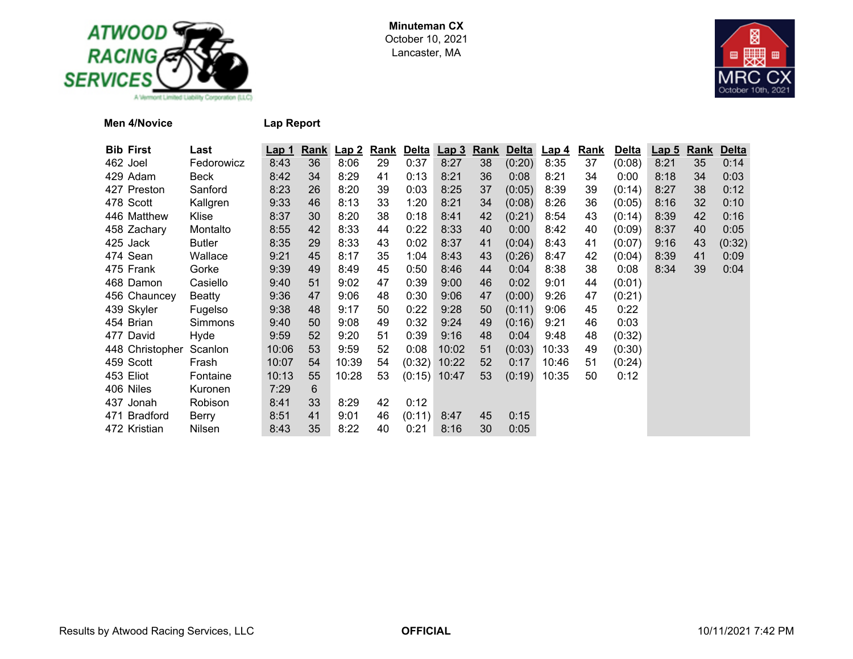



**Men 4/Novice Lap Report**

| <b>Bib First</b> | Last          | <u>Lap 1</u> | Rank | Lap2  | <b>Rank</b> | <b>Delta</b> | Lap <sub>3</sub> | <b>Rank</b> | <b>Delta</b> | <u>Lap 4</u> | <b>Rank</b> | <b>Delta</b> | <b>Lap 5</b> | <b>Rank</b> | <b>Delta</b> |
|------------------|---------------|--------------|------|-------|-------------|--------------|------------------|-------------|--------------|--------------|-------------|--------------|--------------|-------------|--------------|
| 462 Joel         | Fedorowicz    | 8:43         | 36   | 8:06  | 29          | 0:37         | 8:27             | 38          | (0:20)       | 8:35         | 37          | (0:08)       | 8:21         | 35          | 0:14         |
| 429 Adam         | Beck          | 8:42         | 34   | 8:29  | 41          | 0:13         | 8:21             | 36          | 0:08         | 8:21         | 34          | 0:00         | 8:18         | 34          | 0:03         |
| 427 Preston      | Sanford       | 8:23         | 26   | 8:20  | 39          | 0:03         | 8:25             | 37          | (0:05)       | 8:39         | 39          | (0:14)       | 8:27         | 38          | 0:12         |
| 478 Scott        | Kallgren      | 9:33         | 46   | 8:13  | 33          | 1:20         | 8:21             | 34          | (0:08)       | 8:26         | 36          | (0:05)       | 8:16         | 32          | 0:10         |
| 446 Matthew      | Klise         | 8:37         | 30   | 8:20  | 38          | 0:18         | 8:41             | 42          | (0:21)       | 8:54         | 43          | (0:14)       | 8:39         | 42          | 0:16         |
| 458 Zachary      | Montalto      | 8:55         | 42   | 8:33  | 44          | 0:22         | 8:33             | 40          | 0:00         | 8:42         | 40          | (0:09)       | 8:37         | 40          | 0:05         |
| 425 Jack         | <b>Butler</b> | 8:35         | 29   | 8:33  | 43          | 0:02         | 8:37             | 41          | (0:04)       | 8:43         | 41          | (0:07)       | 9:16         | 43          | (0:32)       |
| 474 Sean         | Wallace       | 9:21         | 45   | 8:17  | 35          | 1:04         | 8:43             | 43          | (0:26)       | 8:47         | 42          | (0:04)       | 8:39         | 41          | 0:09         |
| 475 Frank        | Gorke         | 9:39         | 49   | 8:49  | 45          | 0:50         | 8:46             | 44          | 0:04         | 8:38         | 38          | 0:08         | 8:34         | 39          | 0:04         |
| 468 Damon        | Casiello      | 9:40         | 51   | 9:02  | 47          | 0:39         | 9:00             | 46          | 0:02         | 9:01         | 44          | (0:01)       |              |             |              |
| 456 Chauncey     | Beatty        | 9:36         | 47   | 9:06  | 48          | 0:30         | 9:06             | 47          | (0:00)       | 9:26         | 47          | (0:21)       |              |             |              |
| 439 Skyler       | Fugelso       | 9:38         | 48   | 9:17  | 50          | 0:22         | 9:28             | 50          | (0:11)       | 9:06         | 45          | 0:22         |              |             |              |
| 454 Brian        | Simmons       | 9:40         | 50   | 9:08  | 49          | 0:32         | 9:24             | 49          | (0:16)       | 9:21         | 46          | 0:03         |              |             |              |
| 477 David        | Hyde          | 9:59         | 52   | 9:20  | 51          | 0:39         | 9:16             | 48          | 0:04         | 9:48         | 48          | (0:32)       |              |             |              |
| 448 Christopher  | Scanlon       | 10:06        | 53   | 9:59  | 52          | 0:08         | 10:02            | 51          | (0:03)       | 10:33        | 49          | (0:30)       |              |             |              |
| 459 Scott        | Frash         | 10:07        | 54   | 10:39 | 54          | (0:32)       | 10:22            | 52          | 0:17         | 10:46        | 51          | (0:24)       |              |             |              |
| 453 Eliot        | Fontaine      | 10:13        | 55   | 10:28 | 53          | (0:15)       | 10:47            | 53          | (0:19)       | 10:35        | 50          | 0:12         |              |             |              |
| 406 Niles        | Kuronen       | 7:29         | 6    |       |             |              |                  |             |              |              |             |              |              |             |              |
| 437 Jonah        | Robison       | 8:41         | 33   | 8:29  | 42          | 0:12         |                  |             |              |              |             |              |              |             |              |
| 471 Bradford     | Berry         | 8:51         | 41   | 9:01  | 46          | (0:11)       | 8:47             | 45          | 0:15         |              |             |              |              |             |              |
| 472 Kristian     | Nilsen        | 8:43         | 35   | 8:22  | 40          | 0:21         | 8:16             | 30          | 0:05         |              |             |              |              |             |              |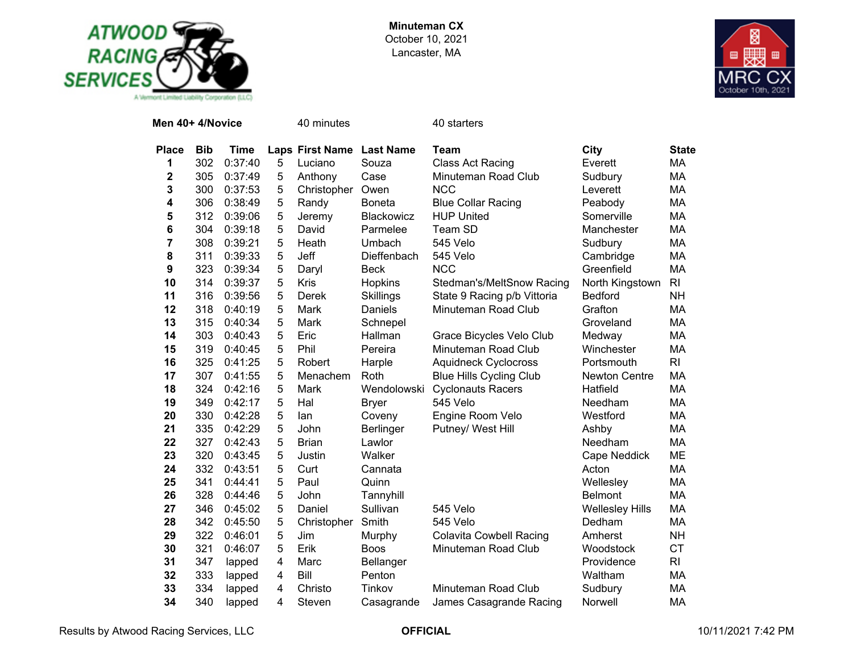



| Men 40+ 4/Novice |            |         |   | 40 minutes                |                  | 40 starters                    |                        |                |
|------------------|------------|---------|---|---------------------------|------------------|--------------------------------|------------------------|----------------|
| <b>Place</b>     | <b>Bib</b> | Time    |   | Laps First Name Last Name |                  | <b>Team</b>                    | City                   | <b>State</b>   |
| 1                | 302        | 0:37:40 | 5 | Luciano                   | Souza            | Class Act Racing               | Everett                | MA             |
| 2                | 305        | 0:37:49 | 5 | Anthony                   | Case             | Minuteman Road Club            | Sudbury                | MA             |
| 3                | 300        | 0:37:53 | 5 | Christopher               | Owen             | <b>NCC</b>                     | Leverett               | MA             |
| 4                | 306        | 0:38:49 | 5 | Randy                     | <b>Boneta</b>    | <b>Blue Collar Racing</b>      | Peabody                | MA             |
| 5                | 312        | 0:39:06 | 5 | Jeremy                    | Blackowicz       | <b>HUP United</b>              | Somerville             | <b>MA</b>      |
| 6                | 304        | 0:39:18 | 5 | David                     | Parmelee         | Team SD                        | Manchester             | MA             |
| $\overline{7}$   | 308        | 0:39:21 | 5 | Heath                     | Umbach           | 545 Velo                       | Sudbury                | MA             |
| 8                | 311        | 0:39:33 | 5 | Jeff                      | Dieffenbach      | 545 Velo                       | Cambridge              | MA             |
| $\boldsymbol{9}$ | 323        | 0:39:34 | 5 | Daryl                     | <b>Beck</b>      | <b>NCC</b>                     | Greenfield             | MA             |
| 10               | 314        | 0:39:37 | 5 | Kris                      | Hopkins          | Stedman's/MeltSnow Racing      | North Kingstown        | R <sub>l</sub> |
| 11               | 316        | 0:39:56 | 5 | Derek                     | Skillings        | State 9 Racing p/b Vittoria    | <b>Bedford</b>         | <b>NH</b>      |
| 12               | 318        | 0:40:19 | 5 | Mark                      | Daniels          | Minuteman Road Club            | Grafton                | MA             |
| 13               | 315        | 0:40:34 | 5 | Mark                      | Schnepel         |                                | Groveland              | MA             |
| 14               | 303        | 0:40:43 | 5 | Eric                      | Hallman          | Grace Bicycles Velo Club       | Medway                 | MA             |
| 15               | 319        | 0:40:45 | 5 | Phil                      | Pereira          | Minuteman Road Club            | Winchester             | MA             |
| 16               | 325        | 0:41:25 | 5 | Robert                    | Harple           | <b>Aquidneck Cyclocross</b>    | Portsmouth             | R <sub>l</sub> |
| 17               | 307        | 0:41:55 | 5 | Menachem                  | Roth             | <b>Blue Hills Cycling Club</b> | <b>Newton Centre</b>   | MA             |
| 18               | 324        | 0:42:16 | 5 | Mark                      | Wendolowski      | <b>Cyclonauts Racers</b>       | Hatfield               | MA             |
| 19               | 349        | 0:42:17 | 5 | Hal                       | <b>Bryer</b>     | 545 Velo                       | Needham                | MA             |
| 20               | 330        | 0:42:28 | 5 | lan                       | Coveny           | Engine Room Velo               | Westford               | MA             |
| 21               | 335        | 0:42:29 | 5 | John                      | <b>Berlinger</b> | Putney/ West Hill              | Ashby                  | MA             |
| 22               | 327        | 0:42:43 | 5 | <b>Brian</b>              | Lawlor           |                                | Needham                | MA             |
| 23               | 320        | 0:43:45 | 5 | Justin                    | Walker           |                                | Cape Neddick           | ME             |
| 24               | 332        | 0:43:51 | 5 | Curt                      | Cannata          |                                | Acton                  | MA             |
| 25               | 341        | 0:44:41 | 5 | Paul                      | Quinn            |                                | Wellesley              | MA             |
| 26               | 328        | 0:44:46 | 5 | John                      | Tannyhill        |                                | <b>Belmont</b>         | MA             |
| 27               | 346        | 0:45:02 | 5 | Daniel                    | Sullivan         | 545 Velo                       | <b>Wellesley Hills</b> | MA             |
| 28               | 342        | 0:45:50 | 5 | Christopher               | Smith            | 545 Velo                       | Dedham                 | MA             |
| 29               | 322        | 0:46:01 | 5 | Jim                       | Murphy           | <b>Colavita Cowbell Racing</b> | Amherst                | <b>NH</b>      |
| 30               | 321        | 0:46:07 | 5 | Erik                      | <b>Boos</b>      | Minuteman Road Club            | Woodstock              | <b>CT</b>      |
| 31               | 347        | lapped  | 4 | Marc                      | <b>Bellanger</b> |                                | Providence             | RI             |
| 32               | 333        | lapped  | 4 | Bill                      | Penton           |                                | Waltham                | MA             |
| 33               | 334        | lapped  | 4 | Christo                   | Tinkov           | Minuteman Road Club            | Sudbury                | MA             |
| 34               | 340        | lapped  | 4 | Steven                    | Casagrande       | James Casagrande Racing        | Norwell                | MA             |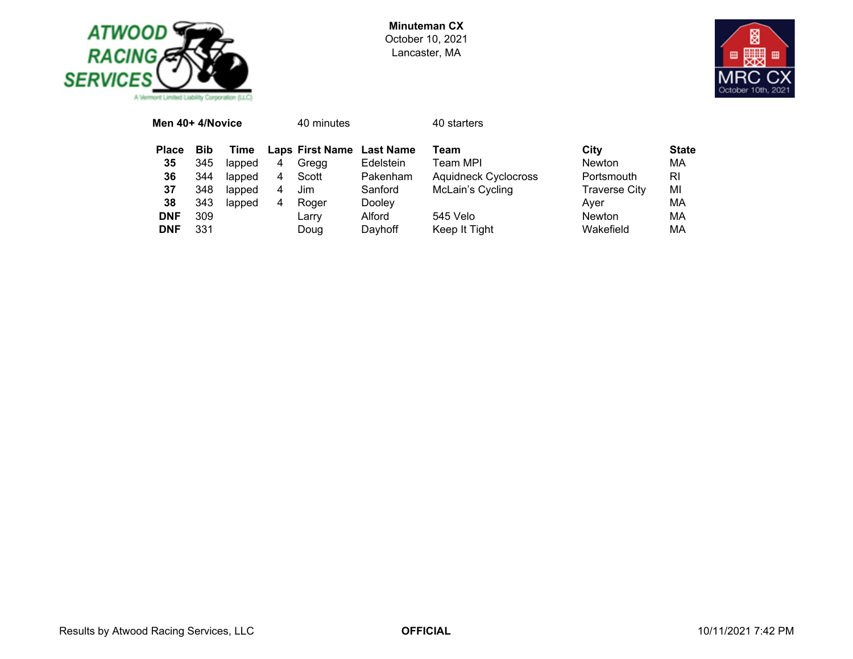



| Men 40+ 4/Novice |            |        |   | 40 minutes                |           | 40 starters                 |                      |              |
|------------------|------------|--------|---|---------------------------|-----------|-----------------------------|----------------------|--------------|
| <b>Place</b>     | <b>Bib</b> | Time   |   | Laps First Name Last Name |           | Team                        | City                 | <b>State</b> |
| 35               | 345        | lapped | 4 | Gregg                     | Edelstein | Team MPI                    | <b>Newton</b>        | МA           |
| 36               | 344        | lapped | 4 | Scott                     | Pakenham  | <b>Aquidneck Cyclocross</b> | Portsmouth           | RI           |
| 37               | 348        | lapped | 4 | Jim                       | Sanford   | McLain's Cycling            | <b>Traverse City</b> | ΜI           |
| 38               | 343        | lapped | 4 | Roger                     | Dooley    |                             | Aver                 | ΜА           |
| <b>DNF</b>       | 309        |        |   | Larry                     | Alford    | 545 Velo                    | <b>Newton</b>        | ΜА           |
| <b>DNF</b>       | 331        |        |   | Doug                      | Dayhoff   | Keep It Tight               | Wakefield            | ΜА           |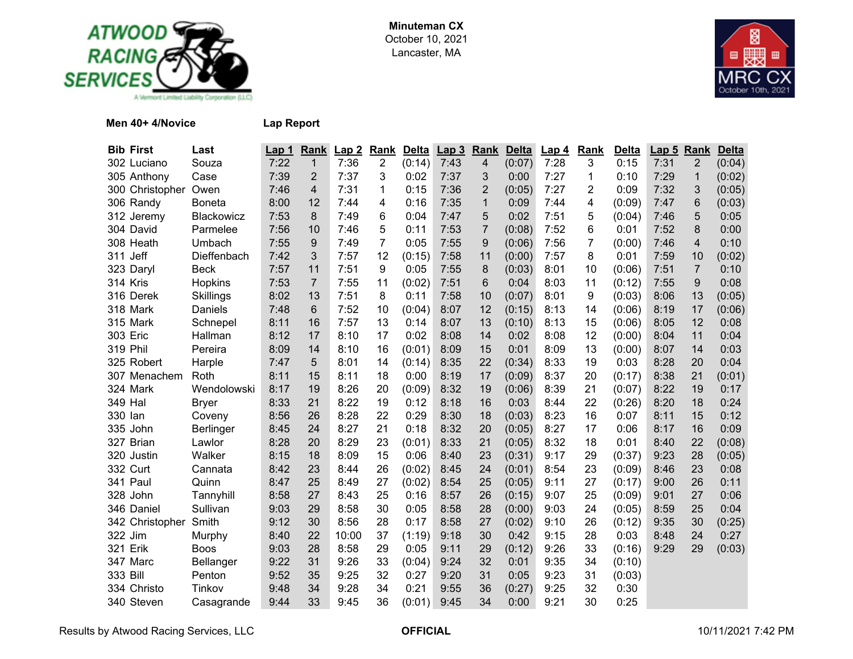



## **Men 40+ 4/Novice Lap Report**

| <b>Bib First</b> | Last           | Lap 1 | Rank            | Lap2  | <b>Rank</b>    | <b>Delta</b> | Lap <sub>3</sub> | Rank                    | <b>Delta</b> | Lap <sub>4</sub> | Rank | <b>Delta</b> | Lap <sub>5</sub> | Rank | <b>Delta</b> |
|------------------|----------------|-------|-----------------|-------|----------------|--------------|------------------|-------------------------|--------------|------------------|------|--------------|------------------|------|--------------|
| 302 Luciano      | Souza          | 7:22  | $\mathbf{1}$    | 7:36  | $\overline{c}$ | (0:14)       | 7:43             | $\overline{\mathbf{4}}$ | (0:07)       | 7:28             | 3    | 0:15         | 7:31             | 2    | (0:04)       |
| 305 Anthony      | Case           | 7:39  | $\overline{2}$  | 7:37  | 3              | 0:02         | 7:37             | 3                       | 0:00         | 7:27             | 1    | 0:10         | 7:29             | 1    | (0:02)       |
| 300 Christopher  | Owen           | 7:46  | 4               | 7:31  | 1              | 0:15         | 7:36             | $\overline{2}$          | (0:05)       | 7:27             | 2    | 0:09         | 7:32             | 3    | (0:05)       |
| 306 Randy        | Boneta         | 8:00  | 12              | 7:44  | 4              | 0:16         | 7:35             | $\mathbf{1}$            | 0:09         | 7:44             | 4    | (0:09)       | 7:47             | 6    | (0:03)       |
| 312 Jeremy       | Blackowicz     | 7:53  | 8               | 7:49  | 6              | 0:04         | 7:47             | 5                       | 0:02         | 7:51             | 5    | (0:04)       | 7:46             | 5    | 0:05         |
| 304 David        | Parmelee       | 7:56  | 10              | 7:46  | 5              | 0:11         | 7:53             | $\overline{7}$          | (0:08)       | 7:52             | 6    | 0:01         | 7:52             | 8    | 0:00         |
| 308 Heath        | Umbach         | 7:55  | 9               | 7:49  | 7              | 0:05         | 7:55             | 9                       | (0:06)       | 7:56             | 7    | (0:00)       | 7:46             | 4    | 0:10         |
| 311 Jeff         | Dieffenbach    | 7:42  | 3               | 7:57  | 12             | (0:15)       | 7:58             | 11                      | (0:00)       | 7:57             | 8    | 0:01         | 7:59             | 10   | (0:02)       |
| 323 Daryl        | <b>Beck</b>    | 7:57  | 11              | 7:51  | 9              | 0:05         | 7:55             | 8                       | (0:03)       | 8:01             | 10   | (0:06)       | 7:51             | 7    | 0:10         |
| 314 Kris         | <b>Hopkins</b> | 7:53  | $\overline{7}$  | 7:55  | 11             | (0:02)       | 7:51             | 6                       | 0:04         | 8:03             | 11   | (0:12)       | 7:55             | 9    | 0:08         |
| 316 Derek        | Skillings      | 8:02  | 13              | 7:51  | 8              | 0:11         | 7:58             | 10                      | (0:07)       | 8:01             | 9    | (0:03)       | 8:06             | 13   | (0:05)       |
| 318 Mark         | Daniels        | 7:48  | $6\phantom{1}6$ | 7:52  | 10             | (0:04)       | 8:07             | 12                      | (0:15)       | 8:13             | 14   | (0:06)       | 8:19             | 17   | (0:06)       |
| 315 Mark         | Schnepel       | 8:11  | 16              | 7:57  | 13             | 0:14         | 8:07             | 13                      | (0:10)       | 8:13             | 15   | (0:06)       | 8:05             | 12   | 0:08         |
| <b>303 Eric</b>  | Hallman        | 8:12  | 17              | 8:10  | 17             | 0:02         | 8:08             | 14                      | 0:02         | 8:08             | 12   | (0:00)       | 8:04             | 11   | 0:04         |
| 319 Phil         | Pereira        | 8:09  | 14              | 8:10  | 16             | (0:01)       | 8:09             | 15                      | 0:01         | 8:09             | 13   | (0:00)       | 8:07             | 14   | 0:03         |
| 325 Robert       | Harple         | 7:47  | 5               | 8:01  | 14             | (0:14)       | 8:35             | 22                      | (0:34)       | 8:33             | 19   | 0:03         | 8:28             | 20   | 0:04         |
| 307 Menachem     | Roth           | 8:11  | 15              | 8:11  | 18             | 0:00         | 8:19             | 17                      | (0:09)       | 8:37             | 20   | (0:17)       | 8:38             | 21   | (0:01)       |
| 324 Mark         | Wendolowski    | 8:17  | 19              | 8:26  | 20             | (0:09)       | 8:32             | 19                      | (0:06)       | 8:39             | 21   | (0:07)       | 8:22             | 19   | 0:17         |
| 349 Hal          | <b>Bryer</b>   | 8:33  | 21              | 8:22  | 19             | 0:12         | 8:18             | 16                      | 0:03         | 8:44             | 22   | (0:26)       | 8:20             | 18   | 0:24         |
| 330 lan          | Coveny         | 8:56  | 26              | 8:28  | 22             | 0:29         | 8:30             | 18                      | (0:03)       | 8:23             | 16   | 0:07         | 8:11             | 15   | 0:12         |
| 335 John         | Berlinger      | 8:45  | 24              | 8:27  | 21             | 0:18         | 8:32             | 20                      | (0:05)       | 8:27             | 17   | 0:06         | 8:17             | 16   | 0:09         |
| 327 Brian        | Lawlor         | 8:28  | 20              | 8:29  | 23             | (0:01)       | 8:33             | 21                      | (0:05)       | 8:32             | 18   | 0:01         | 8:40             | 22   | (0:08)       |
| 320 Justin       | Walker         | 8:15  | 18              | 8:09  | 15             | 0:06         | 8:40             | 23                      | (0:31)       | 9:17             | 29   | (0:37)       | 9:23             | 28   | (0:05)       |
| 332 Curt         | Cannata        | 8:42  | 23              | 8:44  | 26             | (0:02)       | 8:45             | 24                      | (0:01)       | 8:54             | 23   | (0:09)       | 8:46             | 23   | 0:08         |
| 341 Paul         | Quinn          | 8:47  | 25              | 8:49  | 27             | (0:02)       | 8:54             | 25                      | (0:05)       | 9:11             | 27   | (0:17)       | 9:00             | 26   | 0:11         |
| 328 John         | Tannyhill      | 8:58  | 27              | 8:43  | 25             | 0:16         | 8:57             | 26                      | (0:15)       | 9:07             | 25   | (0:09)       | 9:01             | 27   | 0:06         |
| 346 Daniel       | Sullivan       | 9:03  | 29              | 8:58  | 30             | 0:05         | 8:58             | 28                      | (0:00)       | 9:03             | 24   | (0:05)       | 8:59             | 25   | 0:04         |
| 342 Christopher  | Smith          | 9:12  | 30              | 8:56  | 28             | 0:17         | 8:58             | 27                      | (0:02)       | 9:10             | 26   | (0:12)       | 9:35             | 30   | (0:25)       |
| 322 Jim          | Murphy         | 8:40  | 22              | 10:00 | 37             | (1:19)       | 9:18             | 30                      | 0:42         | 9:15             | 28   | 0:03         | 8:48             | 24   | 0:27         |
| 321 Erik         | <b>Boos</b>    | 9:03  | 28              | 8:58  | 29             | 0:05         | 9:11             | 29                      | (0:12)       | 9:26             | 33   | (0:16)       | 9:29             | 29   | (0:03)       |
| 347 Marc         | Bellanger      | 9:22  | 31              | 9:26  | 33             | (0:04)       | 9:24             | 32                      | 0:01         | 9:35             | 34   | (0:10)       |                  |      |              |
| 333 Bill         | Penton         | 9:52  | 35              | 9:25  | 32             | 0:27         | 9:20             | 31                      | 0:05         | 9:23             | 31   | (0:03)       |                  |      |              |
| 334 Christo      | Tinkov         | 9:48  | 34              | 9:28  | 34             | 0:21         | 9:55             | 36                      | (0:27)       | 9:25             | 32   | 0:30         |                  |      |              |
| 340 Steven       | Casagrande     | 9:44  | 33              | 9:45  | 36             | (0:01)       | 9:45             | 34                      | 0:00         | 9:21             | 30   | 0:25         |                  |      |              |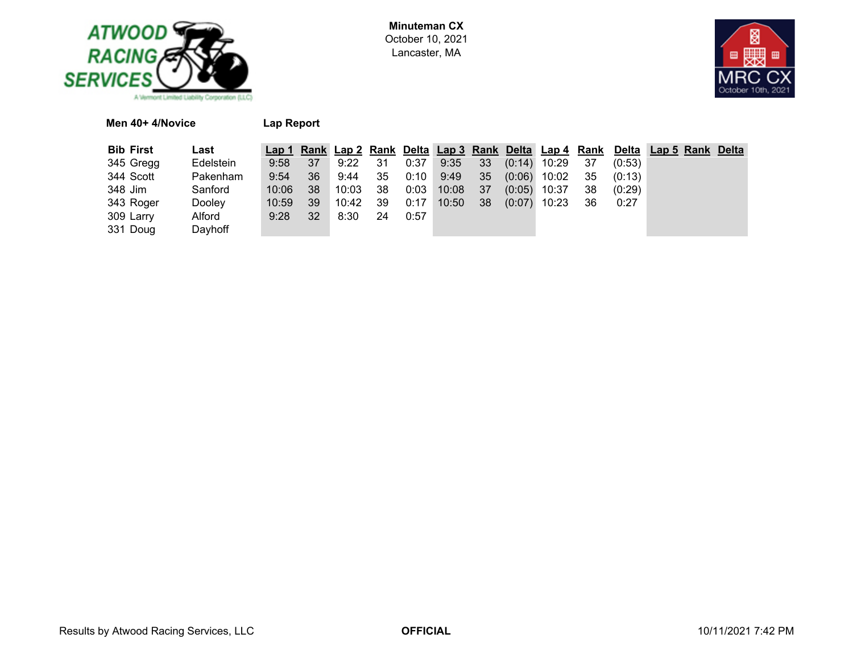



| Men 40+ 4/Novice |           | Lap Report |     |                     |   |
|------------------|-----------|------------|-----|---------------------|---|
| <b>Bib First</b> | Last      |            |     | Lap 1 Rank Lap 2 Ra |   |
| 345 Gregg        | Edelstein | 9:58       | -37 | 9:22                | 3 |
|                  |           |            |     |                     |   |

| <b>Bib First</b> | Last      |           |      |         |      |      |                 |  |                           |     |        | Lap 1 Rank Lap 2 Rank Delta Lap 3 Rank Delta Lap 4 Rank Delta Lap 5 Rank Delta |  |
|------------------|-----------|-----------|------|---------|------|------|-----------------|--|---------------------------|-----|--------|--------------------------------------------------------------------------------|--|
| 345 Gregg        | Edelstein | $9:58$ 37 |      | 9:22 31 |      | 0:37 |                 |  | $9:35$ 33 (0:14) 10:29 37 |     | (0:53) |                                                                                |  |
| 344 Scott        | Pakenham  | 9:54      | -36  | 9:44 35 |      |      |                 |  | 0:10 9:49 35 (0:06) 10:02 | 35  | (0:13) |                                                                                |  |
| 348 Jim          | Sanford   | 10:06     | - 38 | 10:03   | - 38 |      | $0:03$ 10:08 37 |  | $(0:05)$ 10:37            | 38  | (0:29) |                                                                                |  |
| 343 Roger        | Dooley    | 10:59     | -39  | 10:42   | - 39 | 0:17 | $10:50$ 38      |  | $(0.07)$ 10:23            | -36 | 0:27   |                                                                                |  |
| 309 Larry        | Alford    | 9:28      | -32  | 8:30    | 24   | 0:57 |                 |  |                           |     |        |                                                                                |  |
| 331 Doug         | Dayhoff   |           |      |         |      |      |                 |  |                           |     |        |                                                                                |  |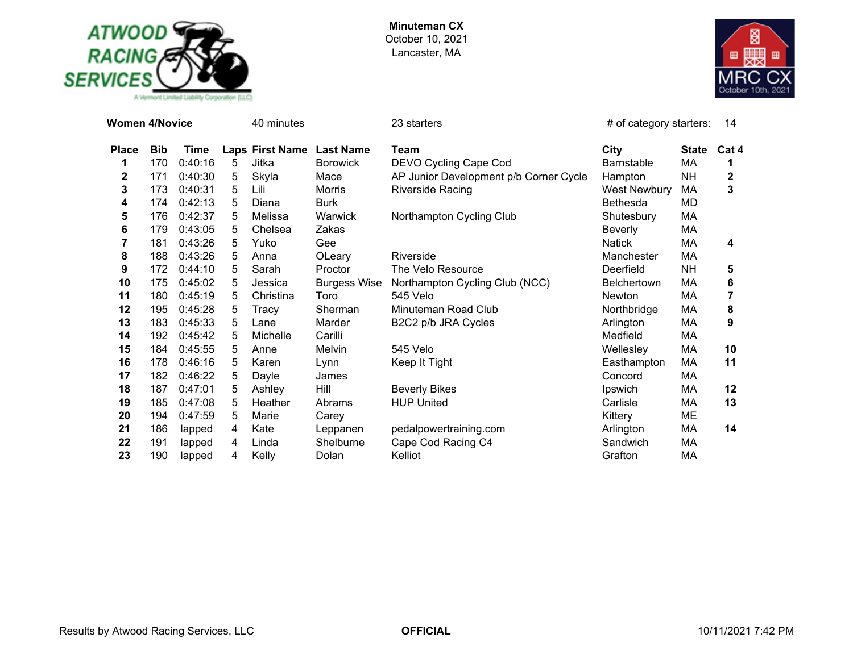



| <b>Women 4/Novice</b> |            |             |   | 40 minutes             |                     | 23 starters                            | # of category starters: |              | 14    |
|-----------------------|------------|-------------|---|------------------------|---------------------|----------------------------------------|-------------------------|--------------|-------|
| <b>Place</b>          | <b>Bib</b> | <b>Time</b> |   | <b>Laps First Name</b> | <b>Last Name</b>    | Team                                   | City                    | <b>State</b> | Cat 4 |
| 1                     | 170        | 0:40:16     | 5 | Jitka                  | <b>Borowick</b>     | DEVO Cycling Cape Cod                  | <b>Barnstable</b>       | МA           | 1     |
| $\mathbf 2$           | 171        | 0:40:30     | 5 | Skyla                  | Mace                | AP Junior Development p/b Corner Cycle | Hampton                 | <b>NH</b>    | 2     |
| 3                     | 173        | 0:40:31     | 5 | Lili                   | <b>Morris</b>       | <b>Riverside Racing</b>                | <b>West Newbury</b>     | МA           | 3     |
| 4                     | 174        | 0:42:13     | 5 | Diana                  | <b>Burk</b>         |                                        | <b>Bethesda</b>         | MD           |       |
| 5                     | 176        | 0:42:37     | 5 | Melissa                | Warwick             | Northampton Cycling Club               | Shutesbury              | MA           |       |
| 6                     | 179        | 0:43:05     | 5 | Chelsea                | Zakas               |                                        | <b>Beverly</b>          | MA           |       |
| 7                     | 181        | 0:43:26     | 5 | Yuko                   | Gee                 |                                        | <b>Natick</b>           | MA           | 4     |
| 8                     | 188        | 0:43:26     | 5 | Anna                   | OLeary              | Riverside                              | Manchester              | MA           |       |
| 9                     | 172        | 0:44:10     | 5 | Sarah                  | Proctor             | The Velo Resource                      | Deerfield               | <b>NH</b>    | 5     |
| 10                    | 175        | 0:45:02     | 5 | Jessica                | <b>Burgess Wise</b> | Northampton Cycling Club (NCC)         | <b>Belchertown</b>      | МA           | 6     |
| 11                    | 180        | 0:45:19     | 5 | Christina              | Toro                | 545 Velo                               | Newton                  | МA           | 7     |
| 12                    | 195        | 0:45:28     | 5 | Tracy                  | Sherman             | Minuteman Road Club                    | Northbridge             | MA           | 8     |
| 13                    | 183        | 0:45:33     | 5 | Lane                   | Marder              | B2C2 p/b JRA Cycles                    | Arlington               | МA           | 9     |
| 14                    | 192        | 0:45:42     | 5 | Michelle               | Carilli             |                                        | Medfield                | МA           |       |
| 15                    | 184        | 0:45:55     | 5 | Anne                   | Melvin              | 545 Velo                               | Wellesley               | МA           | 10    |
| 16                    | 178        | 0:46:16     | 5 | Karen                  | Lynn                | Keep It Tight                          | Easthampton             | МA           | 11    |
| 17                    | 182        | 0:46:22     | 5 | Dayle                  | James               |                                        | Concord                 | МA           |       |
| 18                    | 187        | 0:47:01     | 5 | Ashley                 | Hill                | <b>Beverly Bikes</b>                   | Ipswich                 | МA           | 12    |
| 19                    | 185        | 0:47:08     | 5 | Heather                | Abrams              | <b>HUP United</b>                      | Carlisle                | МA           | 13    |
| 20                    | 194        | 0:47:59     | 5 | Marie                  | Carey               |                                        | Kittery                 | ME           |       |
| 21                    | 186        | lapped      | 4 | Kate                   | Leppanen            | pedalpowertraining.com                 | Arlington               | МA           | 14    |
| 22                    | 191        | lapped      | 4 | Linda                  | Shelburne           | Cape Cod Racing C4                     | Sandwich                | MA           |       |
| 23                    | 190        | lapped      | 4 | Kelly                  | Dolan               | Kelliot                                | Grafton                 | МA           |       |

Results by Atwood Racing Services, LLC **CORPERTICIAL OFFICIAL CONTERTIGIAL** 10/11/2021 7:42 PM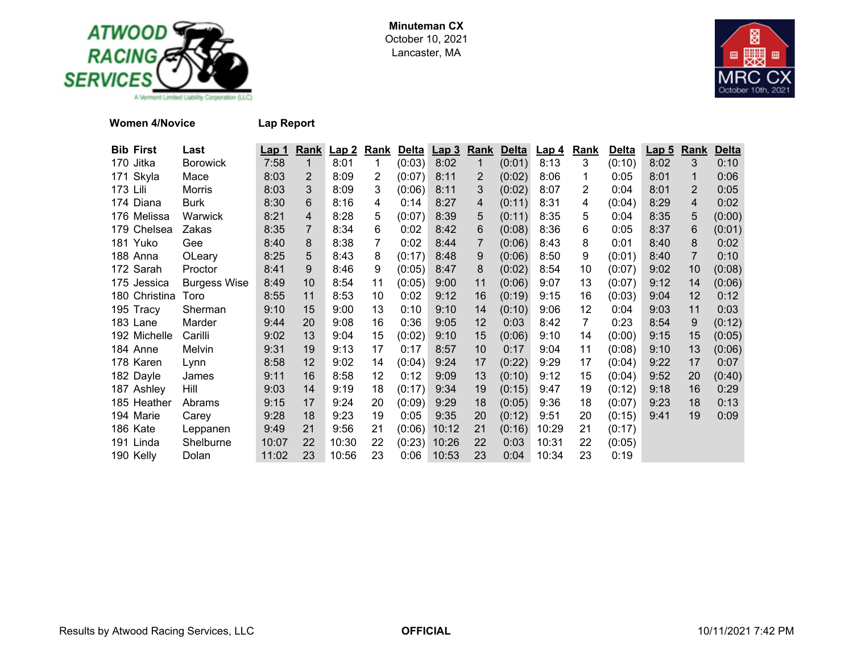



**Women 4/Novice Lap Report**

| <b>Bib First</b> | Last                | <u>Lap 1</u> | Rank | Lap2  | Rank | <b>Delta</b> | <u>Lap 3</u>   | <b>Rank</b>    | <b>Delta</b> | <b>Lap 4</b> | Rank | <b>Delta</b> | <u>Lap 5</u> | Rank | <b>Delta</b> |
|------------------|---------------------|--------------|------|-------|------|--------------|----------------|----------------|--------------|--------------|------|--------------|--------------|------|--------------|
| 170 Jitka        | <b>Borowick</b>     | 7:58         | 1    | 8:01  | 1    | (0:03)       | 8:02           | $\mathbf{1}$   | (0:01)       | 8:13         | 3    | (0:10)       | 8:02         | 3    | 0:10         |
| 171 Skyla        | Mace                | 8:03         | 2    | 8:09  | 2    | (0:07)       | 8:11           | $\overline{2}$ | (0:02)       | 8:06         | 1    | 0:05         | 8:01         |      | 0:06         |
| 173 Lili         | Morris              | 8:03         | 3    | 8:09  | 3    | (0:06)       | 8:11           | 3              | (0:02)       | 8:07         | 2    | 0:04         | 8:01         | 2    | 0:05         |
| 174 Diana        | <b>Burk</b>         | 8:30         | 6    | 8:16  | 4    | 0:14         | 8:27           | 4              | (0:11)       | 8:31         | 4    | (0:04)       | 8:29         | 4    | 0:02         |
| 176 Melissa      | Warwick             | 8:21         | 4    | 8:28  | 5    | (0:07)       | 8:39           | 5              | (0:11)       | 8:35         | 5    | 0:04         | 8:35         | 5    | (0:00)       |
| 179 Chelsea      | Zakas               | 8:35         |      | 8:34  | 6    | 0:02         | 8:42           | 6              | (0:08)       | 8:36         | 6    | 0:05         | 8:37         | 6    | (0:01)       |
| 181 Yuko         | Gee                 | 8:40         | 8    | 8:38  | 7    | 0:02         | 8:44           | 7              | (0:06)       | 8:43         | 8    | 0:01         | 8:40         | 8    | 0:02         |
| 188 Anna         | OLeary              | 8:25         | 5    | 8:43  | 8    | (0:17)       | 8:48           | 9              | (0:06)       | 8:50         | 9    | (0:01)       | 8:40         | 7    | 0:10         |
| 172 Sarah        | Proctor             | 8:41         | 9    | 8:46  | 9    | (0:05)       | 8:47           | 8              | (0:02)       | 8:54         | 10   | (0:07)       | 9:02         | 10   | (0:08)       |
| 175 Jessica      | <b>Burgess Wise</b> | 8:49         | 10   | 8:54  | 11   | (0:05)       | 9:00           | 11             | (0:06)       | 9:07         | 13   | (0:07)       | 9:12         | 14   | (0:06)       |
| 180 Christina    | Toro                | 8:55         | 11   | 8:53  | 10   | 0:02         | 9:12           | 16             | (0:19)       | 9:15         | 16   | (0:03)       | 9:04         | 12   | 0:12         |
| 195 Tracy        | Sherman             | 9:10         | 15   | 9:00  | 13   | 0:10         | 9:10           | 14             | (0:10)       | 9:06         | 12   | 0:04         | 9:03         | 11   | 0:03         |
| 183 Lane         | Marder              | 9:44         | 20   | 9:08  | 16   | 0:36         | 9:05           | 12             | 0:03         | 8:42         | 7    | 0:23         | 8:54         | 9    | (0:12)       |
| 192 Michelle     | Carilli             | 9:02         | 13   | 9:04  | 15   | (0:02)       | 9:10           | 15             | (0:06)       | 9:10         | 14   | (0:00)       | 9:15         | 15   | (0:05)       |
| 184 Anne         | Melvin              | 9:31         | 19   | 9:13  | 17   | 0:17         | 8:57           | 10             | 0:17         | 9:04         | 11   | (0:08)       | 9:10         | 13   | (0:06)       |
| 178 Karen        | Lynn                | 8:58         | 12   | 9:02  | 14   | (0:04)       | 9:24           | 17             | (0:22)       | 9:29         | 17   | (0:04)       | 9:22         | 17   | 0:07         |
| 182 Dayle        | James               | 9:11         | 16   | 8:58  | 12   | 0:12         | 9:09           | 13             | (0:10)       | 9:12         | 15   | (0:04)       | 9:52         | 20   | (0:40)       |
| 187 Ashley       | Hill                | 9:03         | 14   | 9:19  | 18   | (0:17)       | 9:34           | 19             | (0:15)       | 9:47         | 19   | (0:12)       | 9:18         | 16   | 0:29         |
| 185 Heather      | Abrams              | 9:15         | 17   | 9:24  | 20   | (0:09)       | 9:29           | 18             | (0:05)       | 9:36         | 18   | (0:07)       | 9:23         | 18   | 0:13         |
| 194 Marie        | Carey               | 9:28         | 18   | 9:23  | 19   | 0:05         | 9:35           | 20             | (0:12)       | 9:51         | 20   | (0:15)       | 9:41         | 19   | 0:09         |
| 186 Kate         | Leppanen            | 9:49         | 21   | 9:56  | 21   | (0:06)       | 10:12          | 21             | (0:16)       | 10:29        | 21   | (0:17)       |              |      |              |
| 191 Linda        | Shelburne           | 10:07        | 22   | 10:30 | 22   |              | $(0:23)$ 10:26 | 22             | 0:03         | 10:31        | 22   | (0:05)       |              |      |              |
| 190 Kelly        | Dolan               | 11:02        | 23   | 10:56 | 23   | 0:06         | 10:53          | 23             | 0:04         | 10:34        | 23   | 0:19         |              |      |              |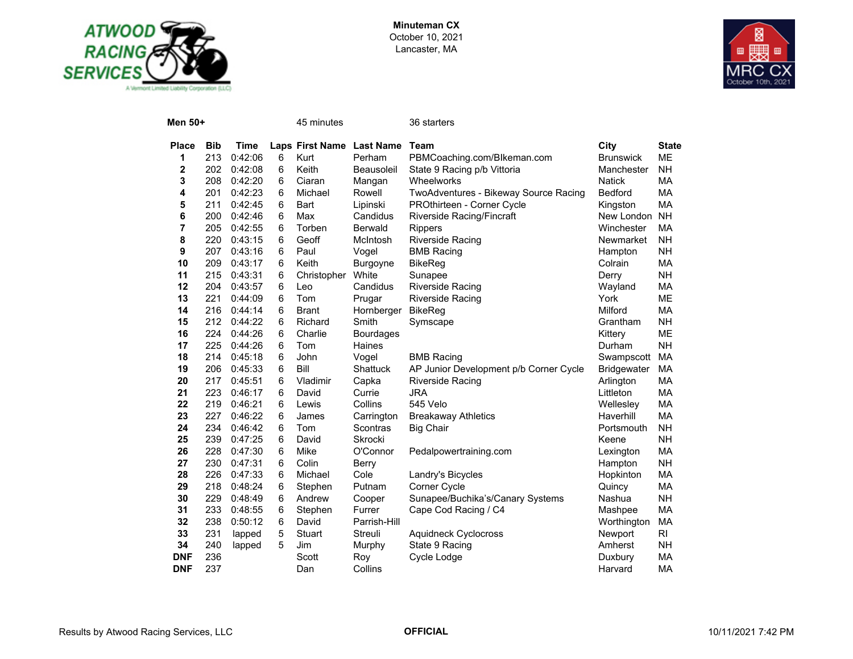



| Men 50+    |            |         |   | 45 minutes                |                  | 36 starters                            |                    |              |
|------------|------------|---------|---|---------------------------|------------------|----------------------------------------|--------------------|--------------|
| Place      | <b>Bib</b> | Time    |   | Laps First Name Last Name |                  | <b>Team</b>                            | City               | <b>State</b> |
| 1          | 213        | 0:42:06 | 6 | Kurt                      | Perham           | PBMCoaching.com/Blkeman.com            | <b>Brunswick</b>   | ME           |
| 2          | 202        | 0:42:08 | 6 | Keith                     | Beausoleil       | State 9 Racing p/b Vittoria            | Manchester         | NΗ           |
| 3          | 208        | 0:42:20 | 6 | Ciaran                    | Mangan           | Wheelworks                             | <b>Natick</b>      | MA           |
| 4          | 201        | 0:42:23 | 6 | Michael                   | Rowell           | TwoAdventures - Bikeway Source Racing  | <b>Bedford</b>     | <b>MA</b>    |
| 5          | 211        | 0:42:45 | 6 | Bart                      | Lipinski         | PROthirteen - Corner Cycle             | Kingston           | МA           |
| 6          | 200        | 0:42:46 | 6 | Max                       | Candidus         | Riverside Racing/Fincraft              | New London         | <b>NH</b>    |
| 7          | 205        | 0:42:55 | 6 | Torben                    | <b>Berwald</b>   | <b>Rippers</b>                         | Winchester         | МA           |
| 8          | 220        | 0:43:15 | 6 | Geoff                     | McIntosh         | <b>Riverside Racing</b>                | Newmarket          | <b>NH</b>    |
| 9          | 207        | 0:43:16 | 6 | Paul                      | Vogel            | <b>BMB Racing</b>                      | Hampton            | NΗ           |
| 10         | 209        | 0:43:17 | 6 | Keith                     | Burgoyne         | <b>BikeReg</b>                         | Colrain            | МA           |
| 11         | 215        | 0:43:31 | 6 | Christopher               | White            | Sunapee                                | Derry              | <b>NH</b>    |
| 12         | 204        | 0:43:57 | 6 | Leo                       | Candidus         | <b>Riverside Racing</b>                | Wayland            | МA           |
| 13         | 221        | 0:44:09 | 6 | Tom                       | Prugar           | <b>Riverside Racing</b>                | York               | ME           |
| 14         | 216        | 0:44:14 | 6 | <b>Brant</b>              | Hornberger       | <b>BikeReg</b>                         | Milford            | МA           |
| 15         | 212        | 0:44:22 | 6 | Richard                   | Smith            | Symscape                               | Grantham           | NΗ           |
| 16         | 224        | 0:44:26 | 6 | Charlie                   | <b>Bourdages</b> |                                        | Kittery            | ME           |
| 17         | 225        | 0:44:26 | 6 | Tom                       | <b>Haines</b>    |                                        | Durham             | <b>NH</b>    |
| 18         | 214        | 0:45:18 | 6 | John                      | Vogel            | <b>BMB Racing</b>                      | Swampscott         | МA           |
| 19         | 206        | 0:45:33 | 6 | Bill                      | Shattuck         | AP Junior Development p/b Corner Cycle | <b>Bridgewater</b> | МA           |
| 20         | 217        | 0:45:51 | 6 | Vladimir                  | Capka            | Riverside Racing                       | Arlington          | МA           |
| 21         | 223        | 0:46:17 | 6 | David                     | Currie           | <b>JRA</b>                             | Littleton          | МA           |
| 22         | 219        | 0:46:21 | 6 | Lewis                     | Collins          | 545 Velo                               | Wellesley          | МA           |
| 23         | 227        | 0:46:22 | 6 | James                     | Carrington       | <b>Breakaway Athletics</b>             | Haverhill          | МA           |
| 24         | 234        | 0:46:42 | 6 | Tom                       | Scontras         | <b>Big Chair</b>                       | Portsmouth         | NΗ           |
| 25         | 239        | 0:47:25 | 6 | David                     | Skrocki          |                                        | Keene              | <b>NH</b>    |
| 26         | 228        | 0:47:30 | 6 | Mike                      | O'Connor         | Pedalpowertraining.com                 | Lexington          | МA           |
| 27         | 230        | 0:47:31 | 6 | Colin                     | Berry            |                                        | Hampton            | <b>NH</b>    |
| 28         | 226        | 0:47:33 | 6 | Michael                   | Cole             | Landry's Bicycles                      | Hopkinton          | MA           |
| 29         | 218        | 0:48:24 | 6 | Stephen                   | Putnam           | Corner Cycle                           | Quincy             | МA           |
| 30         | 229        | 0:48:49 | 6 | Andrew                    | Cooper           | Sunapee/Buchika's/Canary Systems       | Nashua             | <b>NH</b>    |
| 31         | 233        | 0:48:55 | 6 | Stephen                   | Furrer           | Cape Cod Racing / C4                   | Mashpee            | МA           |
| 32         | 238        | 0:50:12 | 6 | David                     | Parrish-Hill     |                                        | Worthington        | МA           |
| 33         | 231        | lapped  | 5 | Stuart                    | Streuli          | <b>Aquidneck Cyclocross</b>            | Newport            | RI           |
| 34         | 240        | lapped  | 5 | Jim                       | Murphy           | State 9 Racing                         | Amherst            | NΗ           |
| <b>DNF</b> | 236        |         |   | Scott                     | Roy              | Cycle Lodge                            | Duxbury            | MA           |
| <b>DNF</b> | 237        |         |   | Dan                       | Collins          |                                        | Harvard            | МA           |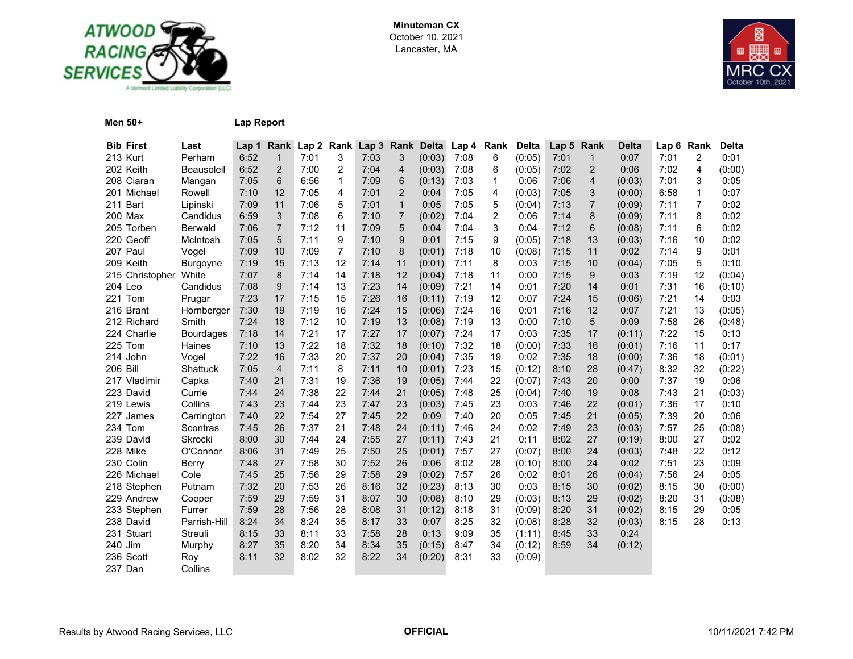



**Men 50+ Lap Report**

| <b>Bib First</b> | Last           | Lap 1 | Rank           | Lap2 | <b>Rank</b>    | Lap3 | Rank           | <b>Delta</b> | Lap 4 | <b>Rank</b> | <b>Delta</b> | Lap <sub>5</sub> | Rank           | Delta  | Lap6 | Rank | <b>Delta</b> |
|------------------|----------------|-------|----------------|------|----------------|------|----------------|--------------|-------|-------------|--------------|------------------|----------------|--------|------|------|--------------|
| 213 Kurt         | Perham         | 6:52  | $\mathbf{1}$   | 7:01 | 3              | 7:03 | 3              | (0:03)       | 7:08  | 6           | (0:05)       | 7:01             | $\mathbf{1}$   | 0:07   | 7:01 | 2    | 0:01         |
| 202 Keith        | Beausoleil     | 6:52  | 2              | 7:00 | 2              | 7:04 | 4              | (0:03)       | 7:08  | 6           | (0:05)       | 7:02             | $\overline{2}$ | 0:06   | 7:02 | 4    | (0:00)       |
| 208 Ciaran       | Mangan         | 7:05  | 6              | 6:56 | 1              | 7:09 | 6              | (0:13)       | 7:03  | $\mathbf 1$ | 0:06         | 7:06             | 4              | (0:03) | 7:01 | 3    | 0:05         |
| 201 Michael      | Rowell         | 7:10  | 12             | 7:05 | 4              | 7:01 | 2              | 0:04         | 7:05  | 4           | (0:03)       | 7:05             | 3              | (0:00) | 6:58 | 1    | 0:07         |
| 211 Bart         | Lipinski       | 7:09  | 11             | 7:06 | 5              | 7:01 | $\mathbf{1}$   | 0:05         | 7:05  | 5           | (0:04)       | 7:13             | $\overline{7}$ | (0:09) | 7:11 | 7    | 0:02         |
| 200 Max          | Candidus       | 6:59  | 3              | 7:08 | 6              | 7:10 | $\overline{7}$ | (0:02)       | 7:04  | 2           | 0:06         | 7:14             | 8              | (0:09) | 7:11 | 8    | 0:02         |
| 205 Torben       | <b>Berwald</b> | 7:06  | $\overline{7}$ | 7:12 | 11             | 7:09 | 5              | 0:04         | 7:04  | 3           | 0:04         | 7:12             | 6              | (0:08) | 7:11 | 6    | 0:02         |
| 220 Geoff        | McIntosh       | 7:05  | 5              | 7:11 | 9              | 7:10 | 9              | 0:01         | 7:15  | 9           | (0:05)       | 7:18             | 13             | (0:03) | 7:16 | 10   | 0:02         |
| 207 Paul         | Vogel          | 7:09  | 10             | 7:09 | $\overline{7}$ | 7:10 | 8              | (0:01)       | 7:18  | 10          | (0:08)       | 7:15             | 11             | 0:02   | 7:14 | 9    | 0:01         |
| 209 Keith        | Burgoyne       | 7:19  | 15             | 7:13 | 12             | 7:14 | 11             | (0:01)       | 7:11  | 8           | 0:03         | 7:15             | 10             | (0:04) | 7:05 | 5    | 0:10         |
| 215 Christopher  | White          | 7:07  | 8              | 7:14 | 14             | 7:18 | 12             | (0:04)       | 7:18  | 11          | 0:00         | 7:15             | 9              | 0:03   | 7:19 | 12   | (0:04)       |
| 204 Leo          | Candidus       | 7:08  | 9              | 7:14 | 13             | 7:23 | 14             | (0:09)       | 7:21  | 14          | 0:01         | 7:20             | 14             | 0:01   | 7:31 | 16   | (0:10)       |
| 221 Tom          | Prugar         | 7:23  | 17             | 7:15 | 15             | 7:26 | 16             | (0:11)       | 7:19  | 12          | 0:07         | 7:24             | 15             | (0:06) | 7:21 | 14   | 0:03         |
| 216 Brant        | Hornberger     | 7:30  | 19             | 7:19 | 16             | 7:24 | 15             | (0:06)       | 7:24  | 16          | 0:01         | 7:16             | 12             | 0:07   | 7:21 | 13   | (0:05)       |
| 212 Richard      | Smith          | 7:24  | 18             | 7:12 | 10             | 7:19 | 13             | (0:08)       | 7:19  | 13          | 0:00         | 7:10             | 5              | 0:09   | 7:58 | 26   | (0:48)       |
| 224 Charlie      | Bourdages      | 7:18  | 14             | 7:21 | 17             | 7:27 | 17             | (0:07)       | 7:24  | 17          | 0:03         | 7:35             | 17             | (0:11) | 7:22 | 15   | 0:13         |
| 225 Tom          | Haines         | 7:10  | 13             | 7:22 | 18             | 7:32 | 18             | (0:10)       | 7:32  | 18          | (0:00)       | 7:33             | 16             | (0:01) | 7:16 | 11   | 0:17         |
| 214 John         | Vogel          | 7:22  | 16             | 7:33 | 20             | 7:37 | 20             | (0:04)       | 7:35  | 19          | 0:02         | 7:35             | 18             | (0:00) | 7:36 | 18   | (0:01)       |
| <b>206 Bill</b>  | Shattuck       | 7:05  | $\overline{4}$ | 7:11 | 8              | 7:11 | 10             | (0:01)       | 7:23  | 15          | (0:12)       | 8:10             | 28             | (0:47) | 8:32 | 32   | (0:22)       |
| 217 Vladimir     | Capka          | 7:40  | 21             | 7:31 | 19             | 7:36 | 19             | (0:05)       | 7:44  | 22          | (0:07)       | 7:43             | 20             | 0:00   | 7:37 | 19   | 0:06         |
| 223 David        | Currie         | 7:44  | 24             | 7:38 | 22             | 7:44 | 21             | (0:05)       | 7:48  | 25          | (0:04)       | 7:40             | 19             | 0:08   | 7:43 | 21   | (0:03)       |
| 219 Lewis        | Collins        | 7:43  | 23             | 7:44 | 23             | 7:47 | 23             | (0:03)       | 7:45  | 23          | 0:03         | 7:46             | 22             | (0:01) | 7:36 | 17   | 0:10         |
| 227 James        | Carrington     | 7:40  | 22             | 7:54 | 27             | 7:45 | 22             | 0:09         | 7:40  | 20          | 0:05         | 7:45             | 21             | (0:05) | 7:39 | 20   | 0:06         |
| 234 Tom          | Scontras       | 7:45  | 26             | 7:37 | 21             | 7:48 | 24             | (0:11)       | 7:46  | 24          | 0:02         | 7:49             | 23             | (0:03) | 7:57 | 25   | (0:08)       |
| 239 David        | Skrocki        | 8:00  | 30             | 7:44 | 24             | 7:55 | 27             | (0:11)       | 7:43  | 21          | 0:11         | 8:02             | 27             | (0:19) | 8:00 | 27   | 0:02         |
| 228 Mike         | O'Connor       | 8:06  | 31             | 7:49 | 25             | 7:50 | 25             | (0:01)       | 7:57  | 27          | (0:07)       | 8:00             | 24             | (0:03) | 7:48 | 22   | 0:12         |
| 230 Colin        | Berry          | 7:48  | 27             | 7:58 | 30             | 7:52 | 26             | 0:06         | 8:02  | 28          | (0:10)       | 8:00             | 24             | 0:02   | 7:51 | 23   | 0:09         |
| 226 Michael      | Cole           | 7:45  | 25             | 7:56 | 29             | 7:58 | 29             | (0:02)       | 7:57  | 26          | 0:02         | 8:01             | 26             | (0:04) | 7:56 | 24   | 0:05         |
| 218 Stephen      | Putnam         | 7:32  | 20             | 7:53 | 26             | 8:16 | 32             | (0:23)       | 8:13  | 30          | 0:03         | 8:15             | 30             | (0:02) | 8:15 | 30   | (0:00)       |
| 229 Andrew       | Cooper         | 7:59  | 29             | 7:59 | 31             | 8:07 | 30             | (0:08)       | 8:10  | 29          | (0:03)       | 8:13             | 29             | (0:02) | 8:20 | 31   | (0:08)       |
| 233 Stephen      | Furrer         | 7:59  | 28             | 7:56 | 28             | 8:08 | 31             | (0:12)       | 8:18  | 31          | (0:09)       | 8:20             | 31             | (0:02) | 8:15 | 29   | 0:05         |
| 238 David        | Parrish-Hill   | 8:24  | 34             | 8:24 | 35             | 8:17 | 33             | 0:07         | 8:25  | 32          | (0:08)       | 8:28             | 32             | (0:03) | 8:15 | 28   | 0:13         |
| 231 Stuart       | Streuli        | 8:15  | 33             | 8:11 | 33             | 7:58 | 28             | 0:13         | 9:09  | 35          | (1:11)       | 8:45             | 33             | 0:24   |      |      |              |
| 240 Jim          | Murphy         | 8:27  | 35             | 8:20 | 34             | 8:34 | 35             | (0:15)       | 8:47  | 34          | (0:12)       | 8:59             | 34             | (0:12) |      |      |              |
| 236 Scott        | Roy            | 8:11  | 32             | 8:02 | 32             | 8:22 | 34             | (0:20)       | 8:31  | 33          | (0:09)       |                  |                |        |      |      |              |
| 237 Dan          | Collins        |       |                |      |                |      |                |              |       |             |              |                  |                |        |      |      |              |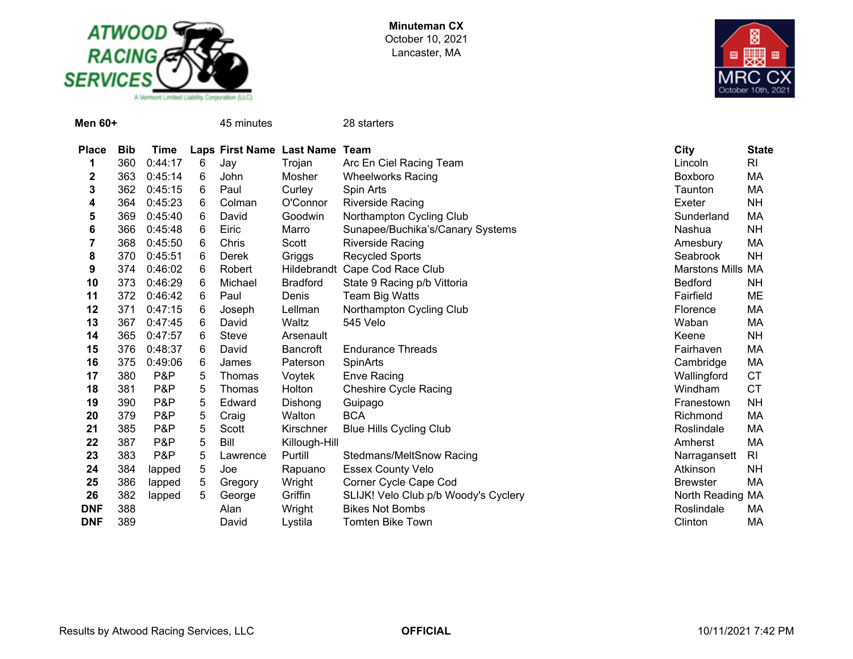



| <b>Men 60+</b>          |            |             |   | 45 minutes                     |                 | 28 starters                                                |                |
|-------------------------|------------|-------------|---|--------------------------------|-----------------|------------------------------------------------------------|----------------|
| <b>Place</b>            | <b>Bib</b> | <b>Time</b> |   | Laps First Name Last Name Team |                 | City                                                       | <b>State</b>   |
| 1                       | 360        | 0:44:17     | 6 | Jay                            | Trojan          | Arc En Ciel Racing Team<br>Lincoln                         | R <sub>l</sub> |
| $\overline{\mathbf{c}}$ | 363        | 0:45:14     | 6 | John                           | Mosher          | <b>Wheelworks Racing</b><br><b>Boxboro</b>                 | MA             |
| 3                       | 362        | 0:45:15     | 6 | Paul                           | Curley          | Spin Arts<br>Taunton                                       | МA             |
| 4                       | 364        | 0:45:23     | 6 | Colman                         | O'Connor        | <b>Riverside Racing</b><br>Exeter                          | <b>NH</b>      |
| 5                       | 369        | 0:45:40     | 6 | David                          | Goodwin         | Northampton Cycling Club<br>Sunderland                     | MA             |
| 6                       | 366        | 0:45:48     | 6 | Eiric                          | Marro           | Sunapee/Buchika's/Canary Systems<br>Nashua                 | <b>NH</b>      |
| 7                       | 368        | 0:45:50     | 6 | Chris                          | Scott           | <b>Riverside Racing</b><br>Amesbury                        | МA             |
| 8                       | 370        | 0:45:51     | 6 | Derek                          | Griggs          | <b>Recycled Sports</b><br>Seabrook                         | <b>NH</b>      |
| 9                       | 374        | 0:46:02     | 6 | Robert                         |                 | Hildebrandt Cape Cod Race Club<br><b>Marstons Mills MA</b> |                |
| 10                      | 373        | 0:46:29     |   | Michael                        | <b>Bradford</b> | State 9 Racing p/b Vittoria<br><b>Bedford</b>              | NΗ             |
| 11                      | 372        | 0:46:42     | 6 | Paul                           | Denis           | Fairfield<br>Team Big Watts                                | ME             |
| 12                      | 371        | 0:47:15     | 6 | Joseph                         | Lellman         | Northampton Cycling Club<br>Florence                       | МA             |
| 13                      | 367        | 0:47:45     | 6 | David                          | Waltz           | 545 Velo<br>Waban                                          | МA             |
| 14                      | 365        | 0:47:57     | 6 | Steve                          | Arsenault       | Keene                                                      | <b>NH</b>      |
| 15                      | 376        | 0:48:37     | 6 | David                          | <b>Bancroft</b> | <b>Endurance Threads</b><br>Fairhaven                      | MA             |
| 16                      | 375        | 0:49:06     | 6 | James                          | Paterson        | <b>SpinArts</b><br>Cambridge                               | МA             |
| 17                      | 380        | P&P         | 5 | Thomas                         | Voytek          | Wallingford<br><b>Enve Racing</b>                          | <b>CT</b>      |
| 18                      | 381        | P&P         | 5 | <b>Thomas</b>                  | Holton          | <b>Cheshire Cycle Racing</b><br>Windham                    | <b>CT</b>      |
| 19                      | 390        | P&P         | 5 | Edward                         | Dishong         | Guipago<br>Franestown                                      | NΗ             |
| 20                      | 379        | P&P         | 5 | Craig                          | Walton          | <b>BCA</b><br>Richmond                                     | MA             |
| 21                      | 385        | P&P         | 5 | Scott                          | Kirschner       | Roslindale<br><b>Blue Hills Cycling Club</b>               | MA             |
| 22                      | 387        | P&P         | 5 | Bill                           | Killough-Hill   | Amherst                                                    | МA             |
| 23                      | 383        | P&P         | 5 | Lawrence                       | Purtill         | <b>Stedmans/MeltSnow Racing</b><br>Narragansett            | R <sub>l</sub> |
| 24                      | 384        | lapped      | 5 | Joe                            | Rapuano         | <b>Essex County Velo</b><br>Atkinson                       | <b>NH</b>      |
| 25                      | 386        | lapped      | 5 | Gregory                        | Wright          | Corner Cycle Cape Cod<br><b>Brewster</b>                   | МA             |
| 26                      | 382        | lapped      | 5 | George                         | Griffin         | SLIJK! Velo Club p/b Woody's Cyclery<br>North Reading      | МA             |
| <b>DNF</b>              | 388        |             |   | Alan                           | Wright          | <b>Bikes Not Bombs</b><br>Roslindale                       | МA             |
| <b>DNF</b>              | 389        |             |   | David                          | Lystila         | <b>Tomten Bike Town</b><br>Clinton                         | MA             |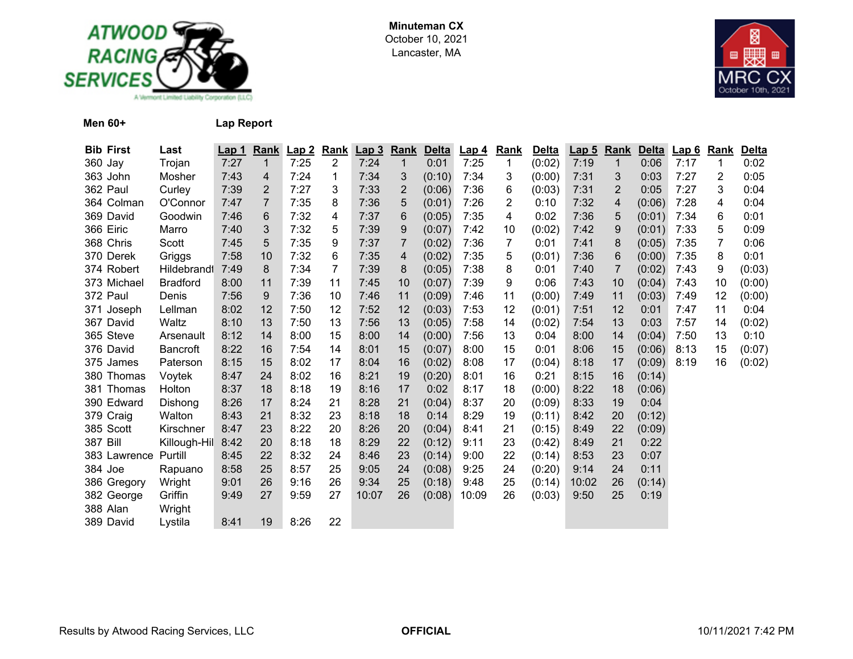



**Men 60+ Lap Report**

| <b>Bib First</b> | Last               | Lap <sub>1</sub> |                | Rank Lap 2 | <b>Rank</b>    | Lap3  | Rank         | <b>Delta</b> | Lap <sub>4</sub> | <b>Rank</b> | <b>Delta</b> | Lap <sub>5</sub> | Rank                    | <b>Delta</b> | Lap6 | <b>Rank</b> | <b>Delta</b> |
|------------------|--------------------|------------------|----------------|------------|----------------|-------|--------------|--------------|------------------|-------------|--------------|------------------|-------------------------|--------------|------|-------------|--------------|
| 360 Jay          | Trojan             | 7:27             | $\mathbf 1$    | 7:25       | $\overline{2}$ | 7:24  | $\mathbf{1}$ | 0:01         | 7:25             | 1           | (0:02)       | 7:19             | $\mathbf{1}$            | 0:06         | 7:17 | 1           | 0:02         |
| 363 John         | Mosher             | 7:43             | 4              | 7:24       | 1              | 7:34  | 3            | (0:10)       | 7:34             | 3           | (0:00)       | 7:31             | 3                       | 0:03         | 7:27 | 2           | 0:05         |
| 362 Paul         | Curley             | 7:39             | $\overline{2}$ | 7:27       | 3              | 7:33  | 2            | (0:06)       | 7:36             | 6           | (0:03)       | 7:31             | $\overline{2}$          | 0:05         | 7:27 | 3           | 0:04         |
| 364 Colman       | O'Connor           | 7:47             | $\overline{7}$ | 7:35       | 8              | 7:36  | 5            | (0:01)       | 7:26             | 2           | 0:10         | 7:32             | $\overline{\mathbf{4}}$ | (0:06)       | 7:28 | 4           | 0:04         |
| 369 David        | Goodwin            | 7:46             | 6              | 7:32       | 4              | 7:37  | 6            | (0:05)       | 7:35             | 4           | 0:02         | 7:36             | 5                       | (0:01)       | 7:34 | 6           | 0:01         |
| 366 Eiric        | Marro              | 7:40             | 3              | 7:32       | 5              | 7:39  | 9            | (0:07)       | 7:42             | 10          | (0:02)       | 7:42             | 9                       | (0:01)       | 7:33 | 5           | 0:09         |
| 368 Chris        | Scott              | 7:45             | 5              | 7:35       | 9              | 7:37  | 7            | (0:02)       | 7:36             | 7           | 0:01         | 7:41             | 8                       | (0:05)       | 7:35 | 7           | 0:06         |
| 370 Derek        | Griggs             | 7:58             | 10             | 7:32       | 6              | 7:35  | 4            | (0:02)       | 7:35             | 5           | (0:01)       | 7:36             | 6                       | (0:00)       | 7:35 | 8           | 0:01         |
| 374 Robert       | <b>Hildebrandt</b> | 7:49             | 8              | 7:34       | 7              | 7:39  | 8            | (0:05)       | 7:38             | 8           | 0:01         | 7:40             | $\overline{7}$          | (0:02)       | 7:43 | 9           | (0:03)       |
| 373 Michael      | <b>Bradford</b>    | 8:00             | 11             | 7:39       | 11             | 7:45  | 10           | (0:07)       | 7:39             | 9           | 0:06         | 7:43             | 10                      | (0:04)       | 7:43 | 10          | (0:00)       |
| 372 Paul         | Denis              | 7:56             | 9              | 7:36       | 10             | 7:46  | 11           | (0:09)       | 7:46             | 11          | (0:00)       | 7:49             | 11                      | (0:03)       | 7:49 | 12          | (0:00)       |
| 371 Joseph       | Lellman            | 8:02             | 12             | 7:50       | 12             | 7:52  | 12           | (0:03)       | 7:53             | 12          | (0:01)       | 7:51             | 12                      | 0:01         | 7:47 | 11          | 0:04         |
| 367 David        | Waltz              | 8:10             | 13             | 7:50       | 13             | 7:56  | 13           | (0:05)       | 7:58             | 14          | (0:02)       | 7:54             | 13                      | 0:03         | 7:57 | 14          | (0:02)       |
| 365 Steve        | Arsenault          | 8:12             | 14             | 8:00       | 15             | 8:00  | 14           | (0:00)       | 7:56             | 13          | 0:04         | 8:00             | 14                      | (0:04)       | 7:50 | 13          | 0:10         |
| 376 David        | Bancroft           | 8:22             | 16             | 7:54       | 14             | 8:01  | 15           | (0:07)       | 8:00             | 15          | 0:01         | 8:06             | 15                      | (0:06)       | 8:13 | 15          | (0:07)       |
| 375 James        | Paterson           | 8:15             | 15             | 8:02       | 17             | 8:04  | 16           | (0:02)       | 8:08             | 17          | (0:04)       | 8:18             | 17                      | (0:09)       | 8:19 | 16          | (0:02)       |
| 380 Thomas       | Voytek             | 8:47             | 24             | 8:02       | 16             | 8:21  | 19           | (0:20)       | 8:01             | 16          | 0:21         | 8:15             | 16                      | (0:14)       |      |             |              |
| 381 Thomas       | Holton             | 8:37             | 18             | 8:18       | 19             | 8:16  | 17           | 0:02         | 8:17             | 18          | (0:00)       | 8:22             | 18                      | (0:06)       |      |             |              |
| 390 Edward       | Dishong            | 8:26             | 17             | 8:24       | 21             | 8:28  | 21           | (0:04)       | 8:37             | 20          | (0:09)       | 8:33             | 19                      | 0:04         |      |             |              |
| 379 Craig        | Walton             | 8:43             | 21             | 8:32       | 23             | 8:18  | 18           | 0:14         | 8:29             | 19          | (0:11)       | 8:42             | 20                      | (0:12)       |      |             |              |
| 385 Scott        | Kirschner          | 8:47             | 23             | 8:22       | 20             | 8:26  | 20           | (0:04)       | 8:41             | 21          | (0:15)       | 8:49             | 22                      | (0:09)       |      |             |              |
| <b>387 Bill</b>  | Killough-Hil       | 8:42             | 20             | 8:18       | 18             | 8:29  | 22           | (0:12)       | 9:11             | 23          | (0:42)       | 8:49             | 21                      | 0:22         |      |             |              |
| 383 Lawrence     | Purtill            | 8:45             | 22             | 8:32       | 24             | 8:46  | 23           | (0:14)       | 9:00             | 22          | (0:14)       | 8:53             | 23                      | 0:07         |      |             |              |
| 384 Joe          | Rapuano            | 8:58             | 25             | 8:57       | 25             | 9:05  | 24           | (0:08)       | 9:25             | 24          | (0:20)       | 9:14             | 24                      | 0:11         |      |             |              |
| 386 Gregory      | Wright             | 9:01             | 26             | 9:16       | 26             | 9:34  | 25           | (0:18)       | 9:48             | 25          | (0:14)       | 10:02            | 26                      | (0:14)       |      |             |              |
| 382 George       | Griffin            | 9:49             | 27             | 9:59       | 27             | 10:07 | 26           | (0:08)       | 10:09            | 26          | (0:03)       | 9:50             | 25                      | 0:19         |      |             |              |
| 388 Alan         | Wright             |                  |                |            |                |       |              |              |                  |             |              |                  |                         |              |      |             |              |
| 389 David        | Lystila            | 8:41             | 19             | 8:26       | 22             |       |              |              |                  |             |              |                  |                         |              |      |             |              |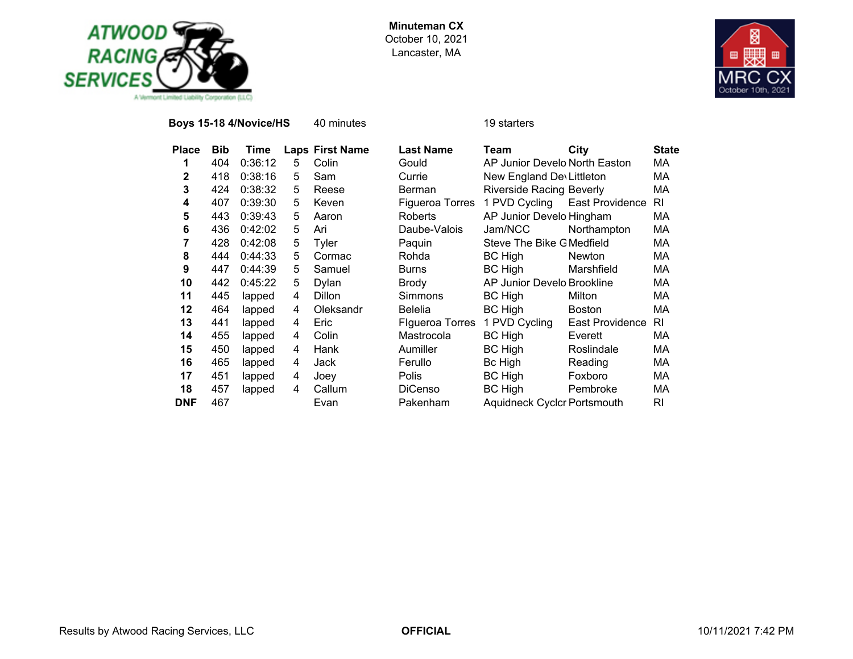



**Boys 15-18 4/Novice/HS** 40 minutes 19 starters

| <b>Place</b> | Bib | Time    | Laps | <b>First Name</b> |
|--------------|-----|---------|------|-------------------|
| 1            | 404 | 0:36:12 | 5    | Colin             |
| 2            | 418 | 0:38:16 | 5    | Sam               |
| 3            | 424 | 0:38:32 | 5    | Reese             |
| 4            | 407 | 0:39:30 | 5    | Keven             |
| 5            | 443 | 0:39:43 | 5    | Aaron             |
| 6            | 436 | 0:42:02 | 5    | Ari               |
| 7            | 428 | 0:42:08 | 5    | Tyler             |
| 8            | 444 | 0:44:33 | 5    | Cormac            |
| 9            | 447 | 0:44:39 | 5    | Samuel            |
| 10           | 442 | 0:45:22 | 5    | Dylan             |
| 11           | 445 | lapped  | 4    | Dillon            |
| 12           | 464 | lapped  | 4    | Oleksandr         |
| 13           | 441 | lapped  | 4    | Eric              |
| 14           | 455 | lapped  | 4    | Colin             |
| 15           | 450 | lapped  | 4    | Hank              |
| 16           | 465 | lapped  | 4    | Jack              |
| 17           | 451 | lapped  | 4    | Joey              |
| 18           | 457 | lapped  | 4    | Callum            |
| DNF          | 467 |         |      | Evan              |
|              |     |         |      |                   |

| Place        | Bib | Time    |   | <b>Laps First Name</b> | <b>Last Name</b>       | Team                               | City            | <b>State</b> |
|--------------|-----|---------|---|------------------------|------------------------|------------------------------------|-----------------|--------------|
| 1            | 404 | 0:36:12 | 5 | Colin                  | Gould                  | AP Junior Develo North Easton      |                 | MA.          |
| $\mathbf{2}$ | 418 | 0:38:16 | 5 | Sam                    | Currie                 | New England Dev Littleton          |                 | МA           |
| 3            | 424 | 0:38:32 | 5 | Reese                  | Berman                 | <b>Riverside Racing Beverly</b>    |                 | МA           |
| 4            | 407 | 0:39:30 | 5 | Keven                  | Figueroa Torres        | 1 PVD Cycling                      | East Providence | RI           |
| 5            | 443 | 0:39:43 | 5 | Aaron                  | <b>Roberts</b>         | AP Junior Develo Hingham           |                 | МA           |
| 6            | 436 | 0:42:02 | 5 | Ari                    | Daube-Valois           | Jam/NCC                            | Northampton     | МA           |
| 7            | 428 | 0:42:08 | 5 | Tyler                  | Paquin                 | Steve The Bike G Medfield          |                 | МA           |
| 8            | 444 | 0:44:33 | 5 | Cormac                 | Rohda                  | <b>BC High</b>                     | Newton          | МA           |
| 9            | 447 | 0:44:39 | 5 | Samuel                 | <b>Burns</b>           | <b>BC High</b>                     | Marshfield      | МA           |
| 10           | 442 | 0:45:22 | 5 | Dylan                  | <b>Brody</b>           | AP Junior Develo Brookline         |                 | МA           |
| 11           | 445 | lapped  | 4 | <b>Dillon</b>          | Simmons                | BC High                            | Milton          | МA           |
| 12           | 464 | lapped  | 4 | Oleksandr              | <b>Belelia</b>         | BC High                            | <b>Boston</b>   | МA           |
| 13           | 441 | lapped  | 4 | Eric                   | <b>Figueroa Torres</b> | 1 PVD Cycling                      | East Providence | RI           |
| 14           | 455 | lapped  | 4 | Colin                  | Mastrocola             | <b>BC High</b>                     | Everett         | МA           |
| 15           | 450 | lapped  | 4 | Hank                   | Aumiller               | <b>BC High</b>                     | Roslindale      | МA           |
| 16           | 465 | lapped  | 4 | Jack                   | Ferullo                | Bc High                            | Reading         | МA           |
| 17           | 451 | lapped  | 4 | Joey                   | <b>Polis</b>           | <b>BC High</b>                     | Foxboro         | МA           |
| 18           | 457 | lapped  | 4 | Callum                 | <b>DiCenso</b>         | <b>BC High</b>                     | Pembroke        | МA           |
| <b>DNF</b>   | 467 |         |   | Evan                   | Pakenham               | <b>Aquidneck Cyclcr Portsmouth</b> |                 | <b>RI</b>    |
|              |     |         |   |                        |                        |                                    |                 |              |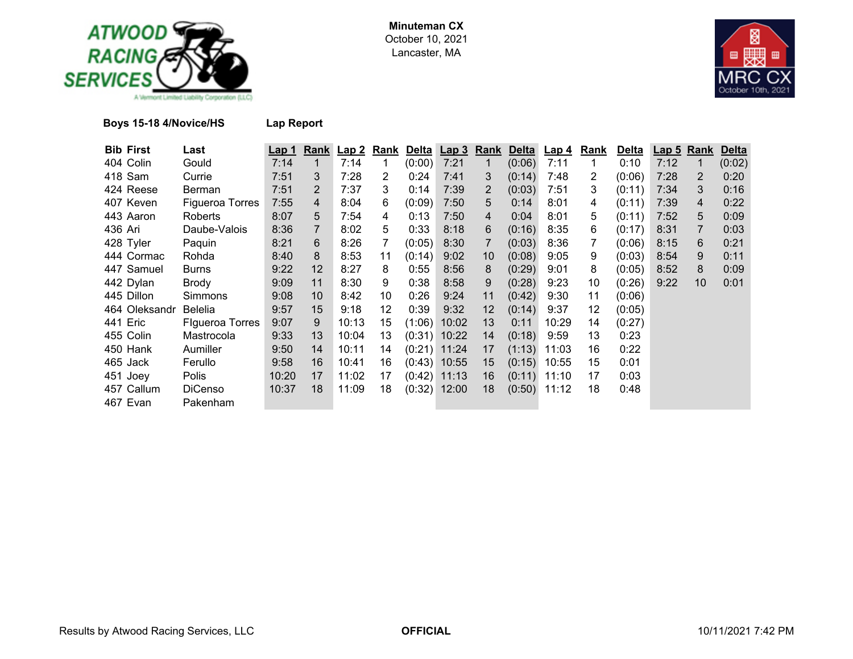



## **Boys 15-18 4/Novice/HS Lap Report**

| <b>Bib First</b> | Last            | Lap 1 |                | Rank Lap 2 | Rank                  |        | Delta Lap 3    | Rank              | <b>Delta</b> | <u>Lap 4</u> | Rank           | <b>Delta</b> |      | Lap 5 Rank | <b>Delta</b> |
|------------------|-----------------|-------|----------------|------------|-----------------------|--------|----------------|-------------------|--------------|--------------|----------------|--------------|------|------------|--------------|
| 404 Colin        | Gould           | 7:14  | 1              | 7:14       | 1                     | (0:00) | 7:21           | $\mathbf 1$       | (0:06)       | 7:11         |                | 0:10         | 7:12 |            | (0:02)       |
| 418 Sam          | Currie          | 7:51  | 3              | 7:28       | $\mathbf{2}^{\prime}$ | 0:24   | 7:41           | 3                 | (0:14)       | 7:48         | $\overline{2}$ | (0:06)       | 7:28 | 2          | 0:20         |
| 424 Reese        | Berman          | 7:51  | $\overline{2}$ | 7:37       | 3                     | 0:14   | 7:39           | 2                 | (0:03)       | 7:51         | 3              | (0:11)       | 7:34 | 3          | 0:16         |
| 407 Keven        | Figueroa Torres | 7:55  | 4              | 8:04       | 6                     | (0:09) | 7:50           | 5                 | 0:14         | 8:01         | 4              | (0:11)       | 7:39 | 4          | 0:22         |
| 443 Aaron        | Roberts         | 8:07  | 5              | 7:54       | 4                     | 0:13   | 7:50           | 4                 | 0:04         | 8:01         | 5              | (0:11)       | 7:52 | 5          | 0:09         |
| 436 Ari          | Daube-Valois    | 8:36  | $\overline{7}$ | 8:02       | 5                     | 0:33   | 8:18           | 6                 | (0:16)       | 8:35         | 6              | (0:17)       | 8:31 |            | 0:03         |
| 428 Tyler        | Paquin          | 8:21  | 6              | 8:26       |                       | (0:05) | 8:30           | 7                 | (0:03)       | 8:36         |                | (0:06)       | 8:15 | 6          | 0:21         |
| 444 Cormac       | Rohda           | 8:40  | 8              | 8:53       | 11                    | (0:14) | 9:02           | 10                | (0:08)       | 9:05         | 9              | (0:03)       | 8:54 | 9          | 0:11         |
| 447 Samuel       | Burns           | 9:22  | 12             | 8:27       | 8                     | 0:55   | 8:56           | 8                 | (0:29)       | 9:01         | 8              | (0:05)       | 8:52 | 8          | 0:09         |
| 442 Dylan        | Brody           | 9:09  | 11             | 8:30       | 9                     | 0:38   | 8:58           | 9                 | (0:28)       | 9:23         | 10             | (0:26)       | 9:22 | 10         | 0:01         |
| 445 Dillon       | Simmons         | 9:08  | 10             | 8:42       | 10                    | 0:26   | 9:24           | 11                | (0:42)       | 9:30         | 11             | (0:06)       |      |            |              |
| 464 Oleksandr    | <b>Belelia</b>  | 9:57  | 15             | 9:18       | 12                    | 0:39   | 9:32           | $12 \overline{ }$ | (0:14)       | 9:37         | 12             | (0:05)       |      |            |              |
| 441 Eric         | Figueroa Torres | 9:07  | 9              | 10:13      | 15                    |        | $(1:06)$ 10:02 | 13                | 0:11         | 10:29        | 14             | (0:27)       |      |            |              |
| 455 Colin        | Mastrocola      | 9:33  | 13             | 10:04      | 13                    |        | $(0:31)$ 10:22 | 14                | (0:18)       | 9:59         | 13             | 0:23         |      |            |              |
| 450 Hank         | Aumiller        | 9:50  | 14             | 10:11      | 14                    |        | $(0:21)$ 11:24 | 17                | (1:13)       | 11:03        | 16             | 0:22         |      |            |              |
| 465 Jack         | Ferullo         | 9:58  | 16             | 10:41      | 16                    |        | $(0.43)$ 10:55 | 15                | (0:15)       | 10:55        | 15             | 0:01         |      |            |              |
| 451 Joey         | Polis           | 10:20 | 17             | 11:02      | 17                    |        | $(0.42)$ 11:13 | 16                | (0:11)       | 11:10        | 17             | 0:03         |      |            |              |
| 457 Callum       | <b>DiCenso</b>  | 10:37 | 18             | 11:09      | 18                    |        | $(0:32)$ 12:00 | 18                | (0:50)       | 11:12        | 18             | 0:48         |      |            |              |
| 467 Evan         | Pakenham        |       |                |            |                       |        |                |                   |              |              |                |              |      |            |              |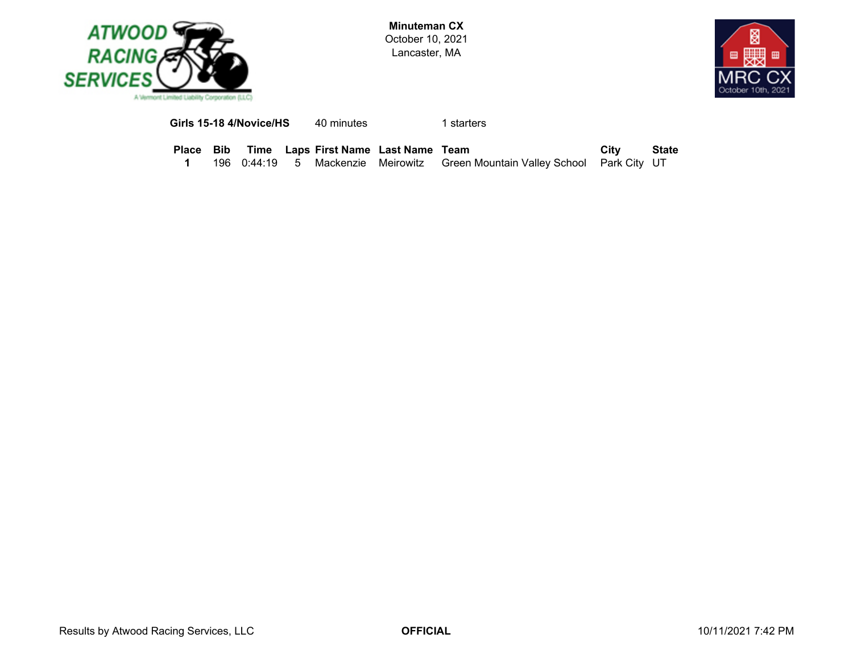



**Girls 15-18 4/Novice/HS**40 minutes 1 starters

**Place Bib Time Laps First Name Last Name Team <b>City State**<br>**1** 196 0:44:19 5 Mackenzie Meirowitz Green Mountain Valley School Park City UT **1**5 Mackenzie Meirowitz Green Mountain Valley School Park City UT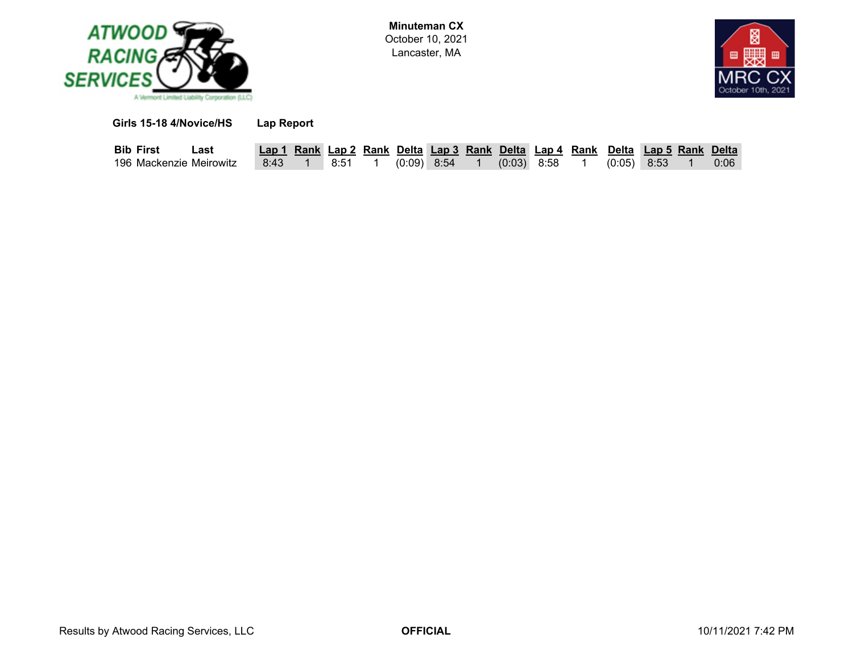



**Girls 15-18 4/Novice/HS Lap Report**

| <b>Bib First</b>        | Last |  |
|-------------------------|------|--|
| 196 Mackenzie Meirowitz |      |  |

| Bib First               | ∟ast |      |      |               |  |               |  | Lap 1 Rank Lap 2 Rank Delta Lap 3 Rank Delta Lap 4 Rank Delta Lap 5 Rank Delta |  |      |
|-------------------------|------|------|------|---------------|--|---------------|--|--------------------------------------------------------------------------------|--|------|
| 196 Mackenzie Meirowitz |      | 8:43 | 8:51 | $(0.09)$ 8:54 |  | $(0:03)$ 8:58 |  | $(0.05)$ 8:53                                                                  |  | 0:06 |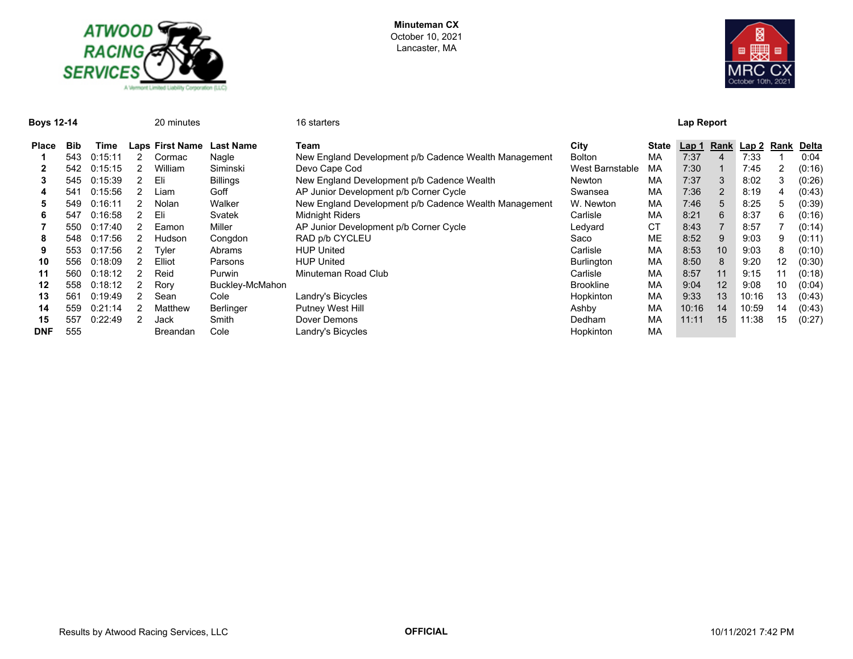



**Boys 12-14** 20 minutes 16 starters **Lap Report**

| <b>Place</b> | <b>Bib</b> | Time    | Laps First Name | <b>Last Name</b> | Team                                                  | City              | State | Lap 1 |    | Rank Lap 2 Rank |    | Delta  |
|--------------|------------|---------|-----------------|------------------|-------------------------------------------------------|-------------------|-------|-------|----|-----------------|----|--------|
|              | 543        | 0:15:11 | Cormac          | Nagle            | New England Development p/b Cadence Wealth Management | <b>Bolton</b>     | МA    | 7:37  | 4  | 7:33            |    | 0:04   |
|              | 542        | 0:15:15 | William         | Siminski         | Devo Cape Cod                                         | West Barnstable   | МA    | 7:30  |    | 7:45            |    | (0:16) |
|              | 545        | 0:15:39 | Eli             | <b>Billings</b>  | New England Development p/b Cadence Wealth            | Newton            | МA    | 7:37  | 3  | 8:02            | 3  | (0:26) |
|              | 541        | 0:15:56 | Liam.           | Goff             | AP Junior Development p/b Corner Cycle                | Swansea           | MA    | 7:36  | 2  | 8:19            |    | (0:43) |
|              | 549        | 0:16:11 | Nolan           | Walker           | New England Development p/b Cadence Wealth Management | W. Newton         | МA    | 7:46  |    | 8:25            |    | (0:39) |
|              | 547        | 0:16:58 | Eli             | Svatek           | <b>Midnight Riders</b>                                | Carlisle          | МA    | 8:21  | 6  | 8:37            | 6  | (0:16) |
|              | 550        | 0:17:40 | Eamon           | Miller           | AP Junior Development p/b Corner Cycle                | Ledyard           | CT    | 8:43  |    | 8:57            |    | (0:14) |
|              | 548        | 0:17:56 | <b>Hudson</b>   | Congdon          | RAD p/b CYCLEU                                        | Saco              | ME    | 8:52  |    | 9:03            | 9  | (0:11) |
|              | 553        | 0:17:56 | Tyler           | Abrams           | <b>HUP United</b>                                     | Carlisle          | МA    | 8:53  | 10 | 9:03            | 8  | (0:10) |
| 10           | 556        | 0:18:09 | Elliot          | Parsons          | <b>HUP United</b>                                     | <b>Burlington</b> | МA    | 8:50  | 8  | 9:20            | 12 | (0:30) |
| 11           | 560        | 0:18:12 | Reid            | <b>Purwin</b>    | Minuteman Road Club                                   | Carlisle          | МA    | 8:57  | 11 | 9:15            | 11 | (0:18) |
| 12           | 558        | 0:18:12 | Rory            | Buckley-McMahon  |                                                       | <b>Brookline</b>  | МA    | 9:04  | 12 | 9:08            | 10 | (0:04) |
| 13           | 561        | 0:19:49 | Sean            | Cole             | Landry's Bicycles                                     | Hopkinton         | МA    | 9:33  | 13 | 10:16           | 13 | (0:43) |
| 14           | 559        | 0:21:14 | Matthew         | <b>Berlinger</b> | <b>Putney West Hill</b>                               | Ashby             | МA    | 10:16 | 14 | 10:59           | 14 | (0:43) |
| 15           | 557        | 0:22:49 | Jack            | Smith            | Dover Demons                                          | Dedham            | МA    | 11:11 | 15 | 11:38           | 15 | (0:27) |
| <b>DNF</b>   | 555        |         | Breandan        | Cole             | Landry's Bicycles                                     | Hopkinton         | MA    |       |    |                 |    |        |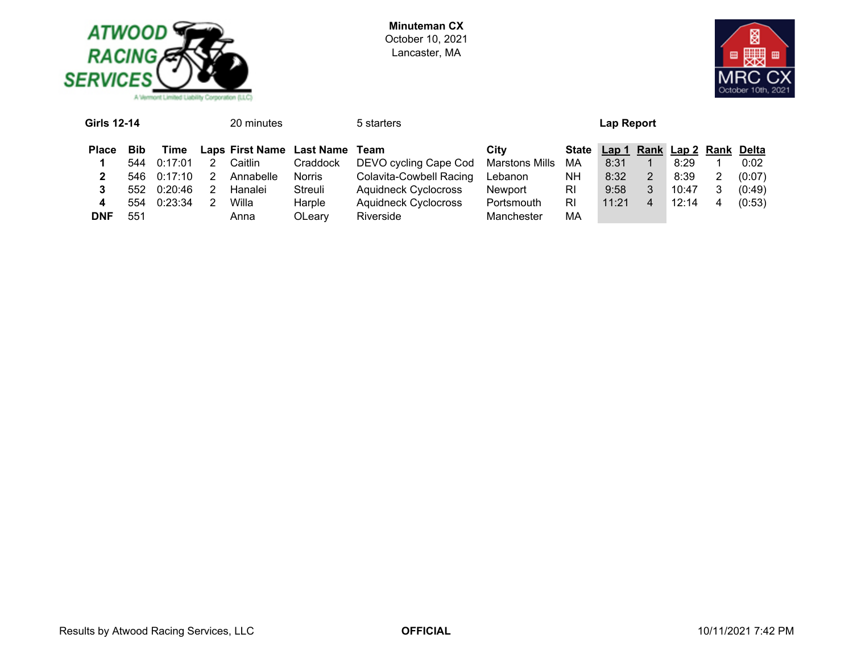



| <b>Girls 12-14</b><br>20 minutes |            |         |   |           |                                | 5 starters                  |                | Lap Report   |                             |                |       |  |        |  |
|----------------------------------|------------|---------|---|-----------|--------------------------------|-----------------------------|----------------|--------------|-----------------------------|----------------|-------|--|--------|--|
| <b>Place</b>                     | <b>Bib</b> | Time    |   |           | Laps First Name Last Name Team |                             | City           | <b>State</b> | Lap 1 Rank Lap 2 Rank Delta |                |       |  |        |  |
|                                  | 544        | 0:17:01 | 2 | Caitlin   | Craddock                       | DEVO cycling Cape Cod       | Marstons Mills | МA           | 8:31                        |                | 8:29  |  | 0:02   |  |
|                                  | 546.       | 0:17:10 | 2 | Annabelle | Norris                         | Colavita-Cowbell Racing     | Lebanon        | <b>NH</b>    | 8:32                        | $\overline{2}$ | 8:39  |  | (0:07) |  |
| 3                                | 552.       | 0:20:46 | 2 | Hanalei   | Streuli                        | <b>Aquidneck Cyclocross</b> | Newport        | RI           | 9:58                        | 3              | 10:47 |  | (0:49) |  |
| 4                                | 554        | 0:23:34 | 2 | Willa     | Harple                         | <b>Aquidneck Cyclocross</b> | Portsmouth     | RI           | 11:21                       | $\overline{4}$ | 12:14 |  | (0:53) |  |
| <b>DNF</b>                       | 551        |         |   | Anna      | OLeary                         | Riverside                   | Manchester     | МA           |                             |                |       |  |        |  |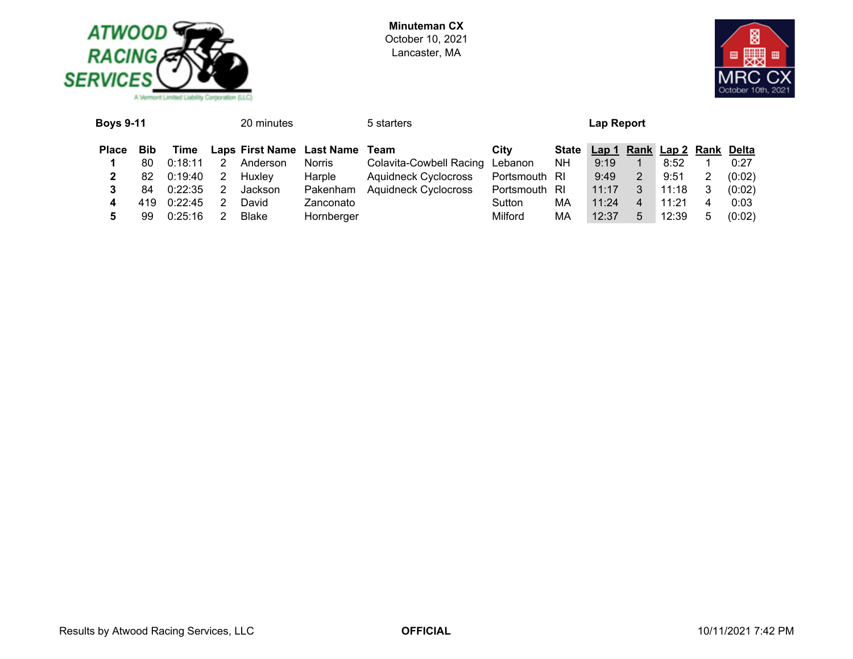



| State Lap 1 Rank Lap 2 Rank Delta<br>Laps First Name Last Name<br><b>Place</b><br>City<br><b>Bib</b><br>Time<br>Team        |        |
|-----------------------------------------------------------------------------------------------------------------------------|--------|
| Colavita-Cowbell Racing Lebanon<br>Anderson<br>NH.<br>9:19<br>8:52<br>Norris<br>0:18:11<br>80                               | 0:27   |
| Harple<br><b>Aquidneck Cyclocross</b><br>Portsmouth RI<br>9:49<br>9:51<br>Huxley<br>2<br>0:19:40<br>82<br>$\mathbf{2}$<br>2 | (0:02) |
| Aquidneck Cyclocross Portsmouth RI<br>11:18<br>Pakenham<br>11:17<br>0:22:35<br>3<br>Jackson<br>84                           | (0:02) |
| 11:24<br>Zanconato<br>11:21<br>0:22:45<br>МA<br>419.<br>David<br>Sutton<br>4<br>4                                           | 0:03   |
| Milford<br>Hornberger<br>МA<br>12:37<br>12:39<br>Blake<br>5<br>0:25:16<br>99<br>5<br>5                                      | (0:02) |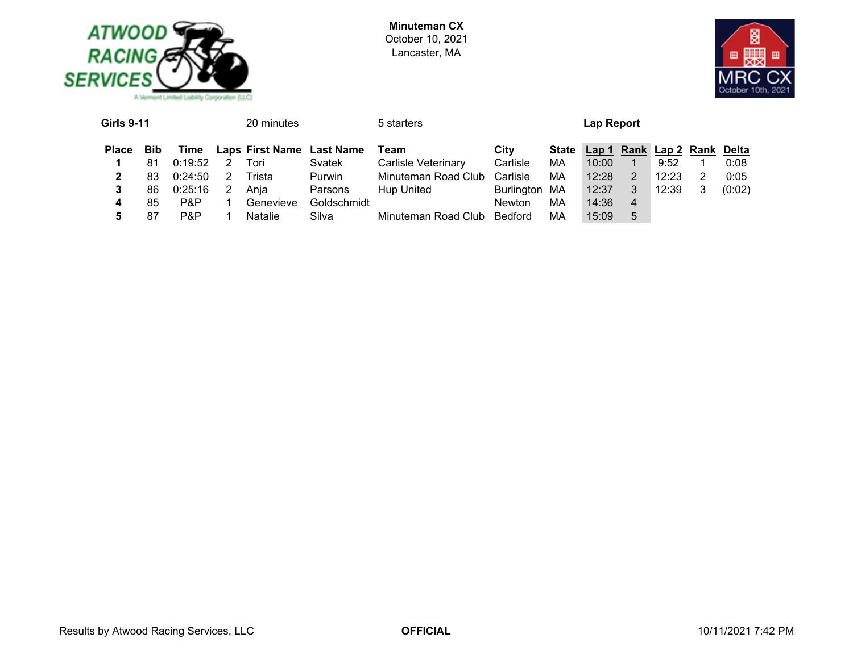



| <b>Girls 9-11</b> |            |         | 20 minutes     |                           | 5 starters                   |               |    | Lap Report                        |   |       |        |
|-------------------|------------|---------|----------------|---------------------------|------------------------------|---------------|----|-----------------------------------|---|-------|--------|
| <b>Place</b>      | <b>Bib</b> | Time    |                | Laps First Name Last Name | Team                         | City          |    | State Lap 1 Rank Lap 2 Rank Delta |   |       |        |
|                   | 81         | 0:19:52 | Tori           | Svatek                    | <b>Carlisle Veterinary</b>   | Carlisle      | МA | 10:00                             |   | 9:52  | 0:08   |
|                   | 83         | 0:24:50 | Trista         | Purwin                    | Minuteman Road Club Carlisle |               | МA | 12:28                             | 2 | 12:23 | 0:05   |
|                   | 86         | 0:25:16 | Ania           | Parsons                   | Hup United                   | Burlington MA |    | 12:37                             | 3 | 12:39 | (0:02) |
| 4                 | 85         | P&P     | Genevieve      | Goldschmidt               |                              | <b>Newton</b> | MA | 14:36                             | 4 |       |        |
|                   | 87         | P&P     | <b>Natalie</b> | Silva                     | Minuteman Road Club          | Bedford       | МA | 15:09                             | 5 |       |        |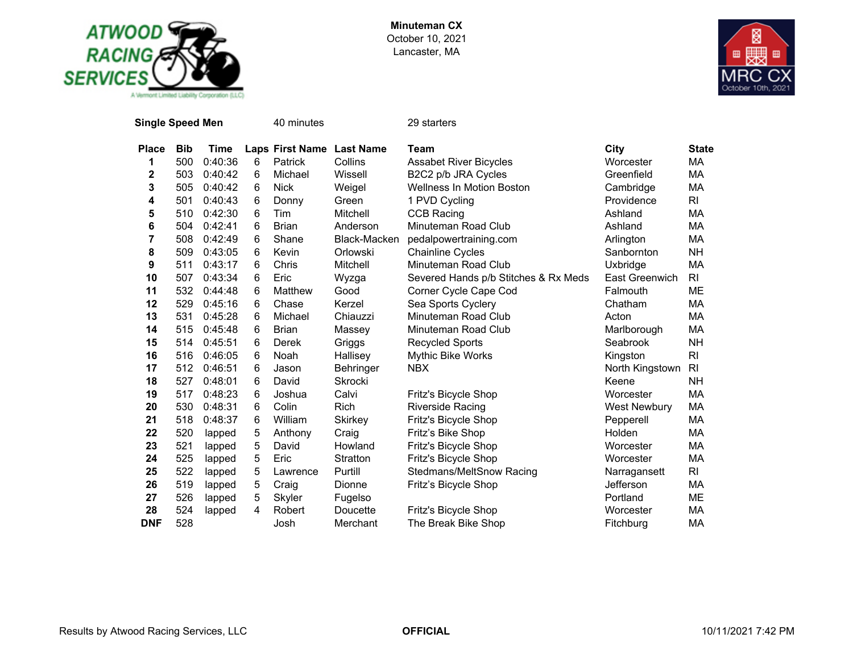



| <b>Single Speed Men</b> |            |         |   | 40 minutes                |                 | 29 starters                          |                     |                |
|-------------------------|------------|---------|---|---------------------------|-----------------|--------------------------------------|---------------------|----------------|
| <b>Place</b>            | <b>Bib</b> | Time    |   | Laps First Name Last Name |                 | Team                                 | City                | <b>State</b>   |
| 1                       | 500        | 0:40:36 | 6 | Patrick                   | Collins         | <b>Assabet River Bicycles</b>        | Worcester           | МA             |
| 2                       | 503        | 0:40:42 | 6 | Michael                   | Wissell         | B2C2 p/b JRA Cycles                  | Greenfield          | MA             |
| 3                       | 505        | 0:40:42 | 6 | <b>Nick</b>               | Weigel          | <b>Wellness In Motion Boston</b>     | Cambridge           | МA             |
| 4                       | 501        | 0:40:43 | 6 | Donny                     | Green           | 1 PVD Cycling                        | Providence          | R <sub>l</sub> |
| 5                       | 510        | 0:42:30 | 6 | Tim                       | Mitchell        | <b>CCB Racing</b>                    | Ashland             | МA             |
| 6                       | 504        | 0:42:41 | 6 | <b>Brian</b>              | Anderson        | Minuteman Road Club                  | Ashland             | МA             |
| 7                       | 508        | 0:42:49 | 6 | Shane                     | Black-Macken    | pedalpowertraining.com               | Arlington           | MA             |
| 8                       | 509        | 0:43:05 | 6 | Kevin                     | Orlowski        | <b>Chainline Cycles</b>              | Sanbornton          | <b>NH</b>      |
| 9                       | 511        | 0:43:17 | 6 | Chris                     | Mitchell        | Minuteman Road Club                  | Uxbridge            | MA             |
| 10                      | 507        | 0:43:34 | 6 | Eric                      | Wyzga           | Severed Hands p/b Stitches & Rx Meds | East Greenwich      | <b>RI</b>      |
| 11                      | 532        | 0:44:48 | 6 | Matthew                   | Good            | Corner Cycle Cape Cod                | Falmouth            | ME             |
| 12                      | 529        | 0:45:16 | 6 | Chase                     | Kerzel          | Sea Sports Cyclery                   | Chatham             | МA             |
| 13                      | 531        | 0:45:28 | 6 | Michael                   | Chiauzzi        | Minuteman Road Club                  | Acton               | MA             |
| 14                      | 515        | 0:45:48 | 6 | <b>Brian</b>              | Massey          | Minuteman Road Club                  | Marlborough         | МA             |
| 15                      | 514        | 0:45:51 | 6 | Derek                     | Griggs          | <b>Recycled Sports</b>               | Seabrook            | <b>NH</b>      |
| 16                      | 516        | 0:46:05 | 6 | Noah                      | Hallisey        | <b>Mythic Bike Works</b>             | Kingston            | <b>RI</b>      |
| 17                      | 512        | 0:46:51 | 6 | Jason                     | Behringer       | <b>NBX</b>                           | North Kingstown     | R <sub>l</sub> |
| 18                      | 527        | 0:48:01 | 6 | David                     | <b>Skrocki</b>  |                                      | Keene               | NH             |
| 19                      | 517        | 0:48:23 | 6 | Joshua                    | Calvi           | Fritz's Bicycle Shop                 | Worcester           | MA             |
| 20                      | 530        | 0:48:31 | 6 | Colin                     | <b>Rich</b>     | Riverside Racing                     | <b>West Newbury</b> | MA             |
| 21                      | 518        | 0:48:37 | 6 | William                   | <b>Skirkey</b>  | Fritz's Bicycle Shop                 | Pepperell           | MA             |
| 22                      | 520        | lapped  | 5 | Anthony                   | Craig           | Fritz's Bike Shop                    | Holden              | MA             |
| 23                      | 521        | lapped  | 5 | David                     | Howland         | Fritz's Bicycle Shop                 | Worcester           | МA             |
| 24                      | 525        | lapped  | 5 | Eric                      | <b>Stratton</b> | Fritz's Bicycle Shop                 | Worcester           | MA             |
| 25                      | 522        | lapped  | 5 | Lawrence                  | Purtill         | Stedmans/MeltSnow Racing             | Narragansett        | <b>RI</b>      |
| 26                      | 519        | lapped  | 5 | Craig                     | Dionne          | Fritz's Bicycle Shop                 | Jefferson           | MA             |
| 27                      | 526        | lapped  | 5 | Skyler                    | Fugelso         |                                      | Portland            | MЕ             |
| 28                      | 524        | lapped  | 4 | Robert                    | Doucette        | Fritz's Bicycle Shop                 | Worcester           | MA             |
| <b>DNF</b>              | 528        |         |   | Josh                      | Merchant        | The Break Bike Shop                  | Fitchburg           | MA             |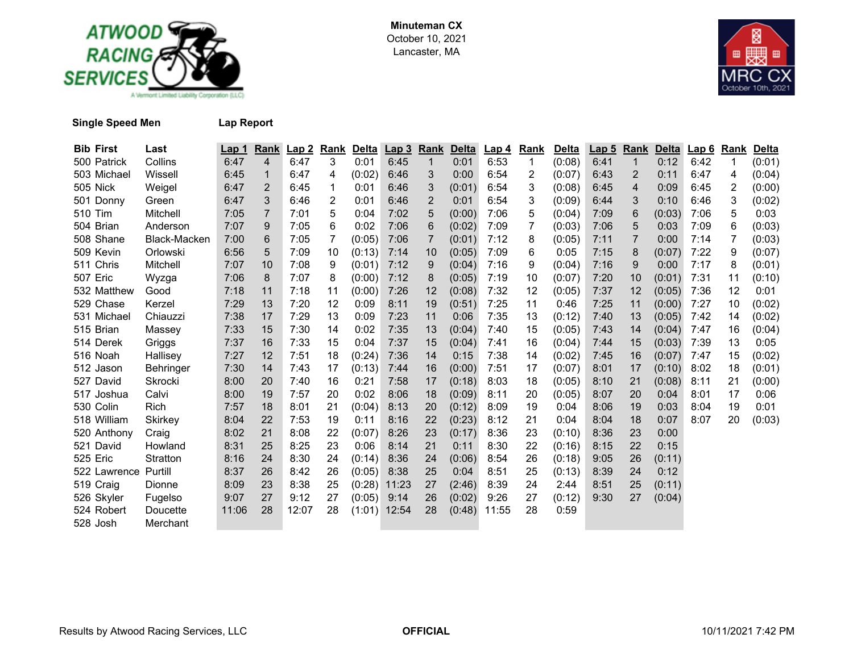



**Single Speed Men Lap Report**

| <b>Bib First</b> | Last         | Lap 1 | Rank           | Lap2  | <u>Rank</u> | <u>Delta</u> | Lap3  | Rank        | Delta  | Lap 4 | <u>Rank</u> | Delta  | Lap <sub>5</sub> | <b>Rank</b> | <b>Delta</b> | Lap6 | Rank | <b>Delta</b> |
|------------------|--------------|-------|----------------|-------|-------------|--------------|-------|-------------|--------|-------|-------------|--------|------------------|-------------|--------------|------|------|--------------|
| 500 Patrick      | Collins      | 6:47  | $\overline{4}$ | 6:47  | 3           | 0:01         | 6:45  | $\mathbf 1$ | 0:01   | 6:53  | 1           | (0:08) | 6:41             | 1           | 0:12         | 6:42 | 1    | (0:01)       |
| 503 Michael      | Wissell      | 6:45  | 1              | 6:47  | 4           | (0:02)       | 6:46  | 3           | 0:00   | 6:54  | 2           | (0:07) | 6:43             | 2           | 0:11         | 6:47 | 4    | (0:04)       |
| 505 Nick         | Weigel       | 6:47  | 2              | 6:45  | 1           | 0:01         | 6:46  | 3           | (0:01) | 6:54  | 3           | (0:08) | 6:45             | 4           | 0:09         | 6:45 | 2    | (0:00)       |
| 501 Donny        | Green        | 6:47  | 3              | 6:46  | 2           | 0:01         | 6:46  | 2           | 0:01   | 6:54  | 3           | (0:09) | 6:44             | 3           | 0:10         | 6:46 | 3    | (0:02)       |
| 510 Tim          | Mitchell     | 7:05  | 7              | 7:01  | 5           | 0:04         | 7:02  | 5           | (0:00) | 7:06  | 5           | (0:04) | 7:09             | 6           | (0:03)       | 7:06 | 5    | 0:03         |
| 504 Brian        | Anderson     | 7:07  | 9              | 7:05  | 6           | 0:02         | 7:06  | 6           | (0:02) | 7:09  | 7           | (0:03) | 7:06             | 5           | 0:03         | 7:09 | 6    | (0:03)       |
| 508 Shane        | Black-Macken | 7:00  | 6              | 7:05  | 7           | (0:05)       | 7:06  | 7           | (0:01) | 7:12  | 8           | (0:05) | 7:11             | 7           | 0:00         | 7:14 | 7    | (0:03)       |
| 509 Kevin        | Orlowski     | 6:56  | 5              | 7:09  | 10          | (0:13)       | 7:14  | 10          | (0:05) | 7:09  | 6           | 0:05   | 7:15             | 8           | (0:07)       | 7:22 | 9    | (0:07)       |
| 511 Chris        | Mitchell     | 7:07  | 10             | 7:08  | 9           | (0:01)       | 7:12  | 9           | (0:04) | 7:16  | 9           | (0:04) | 7:16             | 9           | 0:00         | 7:17 | 8    | (0:01)       |
| 507 Eric         | Wyzga        | 7:06  | 8              | 7:07  | 8           | (0:00)       | 7:12  | 8           | (0:05) | 7:19  | 10          | (0:07) | 7:20             | 10          | (0:01)       | 7:31 | 11   | (0:10)       |
| 532 Matthew      | Good         | 7:18  | 11             | 7:18  | 11          | (0:00)       | 7:26  | 12          | (0:08) | 7:32  | 12          | (0:05) | 7:37             | 12          | (0:05)       | 7:36 | 12   | 0:01         |
| 529 Chase        | Kerzel       | 7:29  | 13             | 7:20  | 12          | 0:09         | 8:11  | 19          | (0:51) | 7:25  | 11          | 0:46   | 7:25             | 11          | (0:00)       | 7:27 | 10   | (0:02)       |
| 531 Michael      | Chiauzzi     | 7:38  | 17             | 7:29  | 13          | 0:09         | 7:23  | 11          | 0:06   | 7:35  | 13          | (0:12) | 7:40             | 13          | (0:05)       | 7:42 | 14   | (0:02)       |
| 515 Brian        | Massey       | 7:33  | 15             | 7:30  | 14          | 0:02         | 7:35  | 13          | (0:04) | 7:40  | 15          | (0:05) | 7:43             | 14          | (0:04)       | 7:47 | 16   | (0:04)       |
| 514 Derek        | Griggs       | 7:37  | 16             | 7:33  | 15          | 0:04         | 7:37  | 15          | (0:04) | 7:41  | 16          | (0:04) | 7:44             | 15          | (0:03)       | 7:39 | 13   | 0:05         |
| 516 Noah         | Hallisey     | 7:27  | 12             | 7:51  | 18          | (0:24)       | 7:36  | 14          | 0:15   | 7:38  | 14          | (0:02) | 7:45             | 16          | (0:07)       | 7:47 | 15   | (0:02)       |
| 512 Jason        | Behringer    | 7:30  | 14             | 7:43  | 17          | (0:13)       | 7:44  | 16          | (0:00) | 7:51  | 17          | (0:07) | 8:01             | 17          | (0:10)       | 8:02 | 18   | (0:01)       |
| 527 David        | Skrocki      | 8:00  | 20             | 7:40  | 16          | 0:21         | 7:58  | 17          | (0:18) | 8:03  | 18          | (0:05) | 8:10             | 21          | (0:08)       | 8:11 | 21   | (0:00)       |
| 517 Joshua       | Calvi        | 8:00  | 19             | 7:57  | 20          | 0:02         | 8:06  | 18          | (0:09) | 8:11  | 20          | (0:05) | 8:07             | 20          | 0:04         | 8:01 | 17   | 0:06         |
| 530 Colin        | <b>Rich</b>  | 7:57  | 18             | 8:01  | 21          | (0:04)       | 8:13  | 20          | (0:12) | 8:09  | 19          | 0:04   | 8:06             | 19          | 0:03         | 8:04 | 19   | 0:01         |
| 518 William      | Skirkey      | 8:04  | 22             | 7:53  | 19          | 0:11         | 8:16  | 22          | (0:23) | 8:12  | 21          | 0:04   | 8:04             | 18          | 0:07         | 8:07 | 20   | (0:03)       |
| 520 Anthony      | Craig        | 8:02  | 21             | 8:08  | 22          | (0:07)       | 8:26  | 23          | (0:17) | 8:36  | 23          | (0:10) | 8:36             | 23          | 0:00         |      |      |              |
| 521 David        | Howland      | 8:31  | 25             | 8:25  | 23          | 0:06         | 8:14  | 21          | 0:11   | 8:30  | 22          | (0:16) | 8:15             | 22          | 0:15         |      |      |              |
| 525 Eric         | Stratton     | 8:16  | 24             | 8:30  | 24          | (0:14)       | 8:36  | 24          | (0:06) | 8:54  | 26          | (0:18) | 9:05             | 26          | (0:11)       |      |      |              |
| 522 Lawrence     | Purtill      | 8:37  | 26             | 8:42  | 26          | (0:05)       | 8:38  | 25          | 0:04   | 8:51  | 25          | (0:13) | 8:39             | 24          | 0:12         |      |      |              |
| 519 Craig        | Dionne       | 8:09  | 23             | 8:38  | 25          | (0:28)       | 11:23 | 27          | (2:46) | 8:39  | 24          | 2:44   | 8:51             | 25          | (0:11)       |      |      |              |
| 526 Skyler       | Fugelso      | 9:07  | 27             | 9:12  | 27          | (0:05)       | 9:14  | 26          | (0:02) | 9:26  | 27          | (0:12) | 9:30             | 27          | (0:04)       |      |      |              |
| 524 Robert       | Doucette     | 11:06 | 28             | 12:07 | 28          | (1:01)       | 12:54 | 28          | (0:48) | 11:55 | 28          | 0:59   |                  |             |              |      |      |              |
| 528 Josh         | Merchant     |       |                |       |             |              |       |             |        |       |             |        |                  |             |              |      |      |              |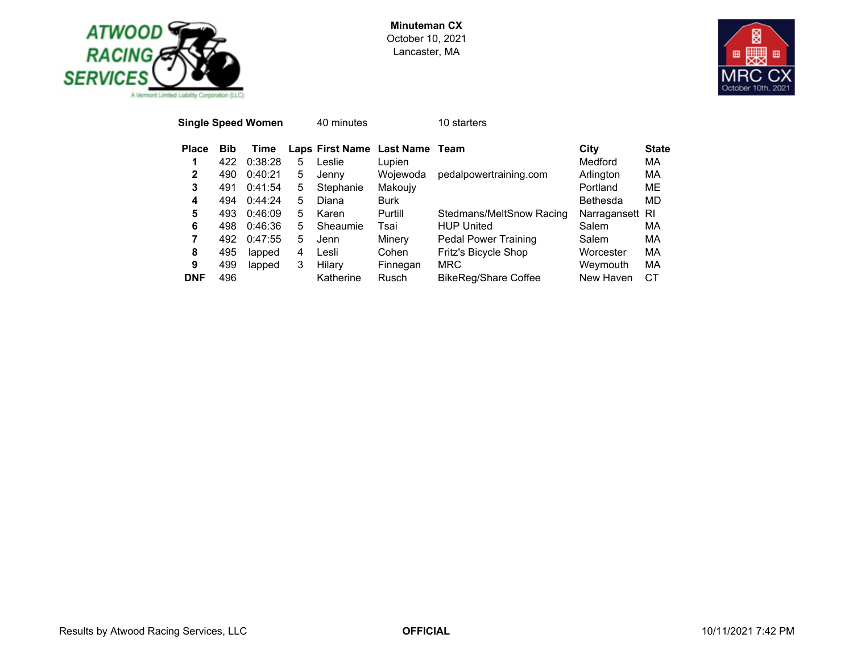



| <b>Single Speed Women</b> |            |         |   | 40 minutes |                                | 10 starters                 |                 |              |
|---------------------------|------------|---------|---|------------|--------------------------------|-----------------------------|-----------------|--------------|
| <b>Place</b>              | <b>Bib</b> | Time    |   |            | Laps First Name Last Name Team |                             | City            | <b>State</b> |
| 1                         | 422        | 0:38:28 | 5 | Leslie     | Lupien                         |                             | Medford         | МA           |
| $\mathbf{2}$              | 490        | 0:40:21 | 5 | Jenny      | Wojewoda                       | pedalpowertraining.com      | Arlington       | MA           |
| 3                         | 491        | 0:41:54 | 5 | Stephanie  | Makoujy                        |                             | Portland        | ME           |
| 4                         | 494        | 0:44:24 | 5 | Diana      | <b>Burk</b>                    |                             | <b>Bethesda</b> | MD           |
| 5                         | 493        | 0:46:09 | 5 | Karen      | Purtill                        | Stedmans/MeltSnow Racing    | Narragansett RI |              |
| 6                         | 498        | 0:46:36 | 5 | Sheaumie   | Tsai                           | <b>HUP United</b>           | Salem           | MA           |
| 7                         | 492        | 0:47:55 | 5 | Jenn       | Minery                         | <b>Pedal Power Training</b> | Salem           | МA           |
| 8                         | 495        | lapped  | 4 | Lesli      | Cohen                          | Fritz's Bicycle Shop        | Worcester       | МA           |
| 9                         | 499        | lapped  | 3 | Hilary     | Finnegan                       | <b>MRC</b>                  | Weymouth        | MA           |
| <b>DNF</b>                | 496        |         |   | Katherine  | Rusch                          | <b>BikeReg/Share Coffee</b> | New Haven       | СT           |